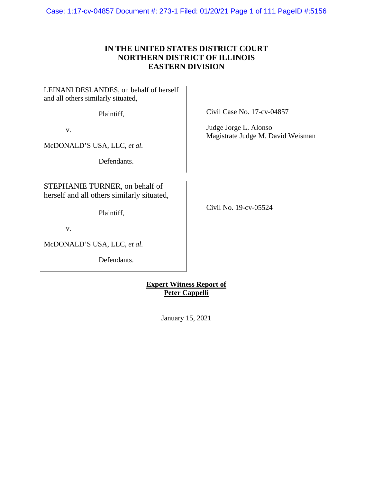Case: 1:17-cv-04857 Document #: 273-1 Filed: 01/20/21 Page 1 of 111 PageID #:5156

# **IN THE UNITED STATES DISTRICT COURT NORTHERN DISTRICT OF ILLINOIS EASTERN DIVISION**

LEINANI DESLANDES, on behalf of herself and all others similarly situated,

Plaintiff,

v.

McDONALD'S USA, LLC, *et al.*

Defendants.

STEPHANIE TURNER, on behalf of herself and all others similarly situated,

Plaintiff,

v.

McDONALD'S USA, LLC, *et al.*

Defendants.

Civil Case No. 17-cv-04857

Judge Jorge L. Alonso Magistrate Judge M. David Weisman

Civil No. 19-cv-05524

**Expert Witness Report of Peter Cappelli** 

January 15, 2021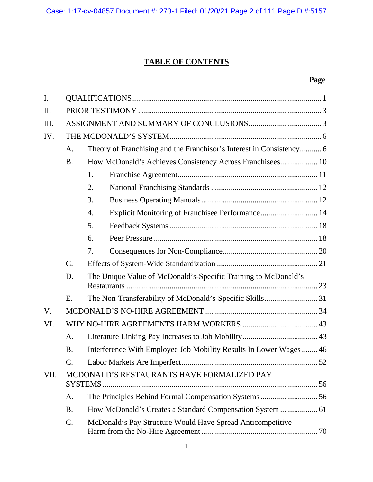# **TABLE OF CONTENTS**

# **Page**

| $\mathbf{I}$ . |                 |                                                                      |  |  |
|----------------|-----------------|----------------------------------------------------------------------|--|--|
| Π.             |                 |                                                                      |  |  |
| Ш.             |                 |                                                                      |  |  |
| IV.            |                 |                                                                      |  |  |
|                | A.              | Theory of Franchising and the Franchisor's Interest in Consistency 6 |  |  |
|                | <b>B.</b>       | How McDonald's Achieves Consistency Across Franchisees 10            |  |  |
|                |                 | 1.                                                                   |  |  |
|                |                 | 2.                                                                   |  |  |
|                |                 | 3.                                                                   |  |  |
|                |                 | Explicit Monitoring of Franchisee Performance 14<br>4.               |  |  |
|                |                 | 5.                                                                   |  |  |
|                |                 | 6.                                                                   |  |  |
|                |                 | 7.                                                                   |  |  |
|                | $\mathcal{C}$ . |                                                                      |  |  |
|                | D.              | The Unique Value of McDonald's-Specific Training to McDonald's       |  |  |
|                | Ε.              | The Non-Transferability of McDonald's-Specific Skills31              |  |  |
| V.             |                 |                                                                      |  |  |
| VI.            |                 |                                                                      |  |  |
|                | A.              |                                                                      |  |  |
|                | <b>B.</b>       | Interference With Employee Job Mobility Results In Lower Wages46     |  |  |
|                | C.              |                                                                      |  |  |
| VII.           |                 | MCDONALD'S RESTAURANTS HAVE FORMALIZED PAY                           |  |  |
|                | A.              | The Principles Behind Formal Compensation Systems56                  |  |  |
|                | <b>B.</b>       |                                                                      |  |  |
|                | C.              | McDonald's Pay Structure Would Have Spread Anticompetitive           |  |  |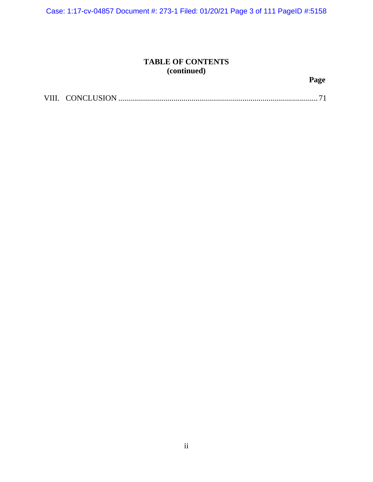Case: 1:17-cv-04857 Document #: 273-1 Filed: 01/20/21 Page 3 of 111 PageID #:5158

# **TABLE OF CONTENTS (continued)**

**Page** 

| VIII. |  |  |  |
|-------|--|--|--|
|-------|--|--|--|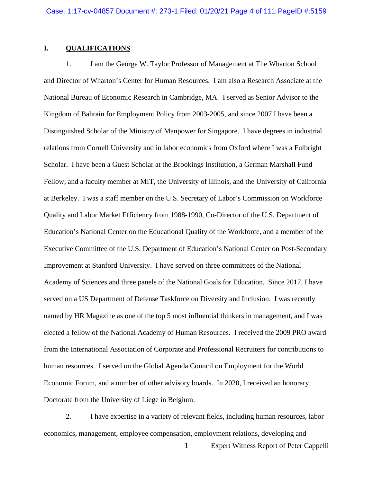# **I. QUALIFICATIONS**

1. I am the George W. Taylor Professor of Management at The Wharton School and Director of Wharton's Center for Human Resources. I am also a Research Associate at the National Bureau of Economic Research in Cambridge, MA. I served as Senior Advisor to the Kingdom of Bahrain for Employment Policy from 2003-2005, and since 2007 I have been a Distinguished Scholar of the Ministry of Manpower for Singapore. I have degrees in industrial relations from Cornell University and in labor economics from Oxford where I was a Fulbright Scholar. I have been a Guest Scholar at the Brookings Institution, a German Marshall Fund Fellow, and a faculty member at MIT, the University of Illinois, and the University of California at Berkeley. I was a staff member on the U.S. Secretary of Labor's Commission on Workforce Quality and Labor Market Efficiency from 1988-1990, Co-Director of the U.S. Department of Education's National Center on the Educational Quality of the Workforce, and a member of the Executive Committee of the U.S. Department of Education's National Center on Post-Secondary Improvement at Stanford University. I have served on three committees of the National Academy of Sciences and three panels of the National Goals for Education. Since 2017, I have served on a US Department of Defense Taskforce on Diversity and Inclusion. I was recently named by HR Magazine as one of the top 5 most influential thinkers in management, and I was elected a fellow of the National Academy of Human Resources. I received the 2009 PRO award from the International Association of Corporate and Professional Recruiters for contributions to human resources. I served on the Global Agenda Council on Employment for the World Economic Forum, and a number of other advisory boards. In 2020, I received an honorary Doctorate from the University of Liege in Belgium.

2. I have expertise in a variety of relevant fields, including human resources, labor economics, management, employee compensation, employment relations, developing and

1 Expert Witness Report of Peter Cappelli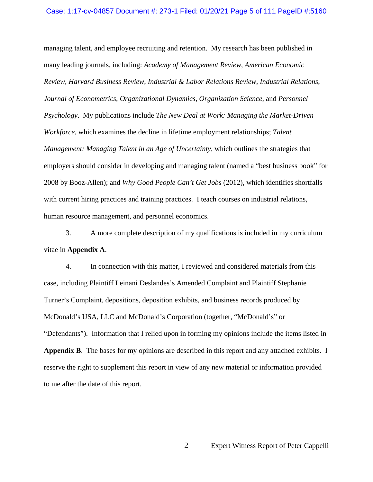### Case: 1:17-cv-04857 Document #: 273-1 Filed: 01/20/21 Page 5 of 111 PageID #:5160

managing talent, and employee recruiting and retention. My research has been published in many leading journals, including: *Academy of Management Review*, *American Economic Review*, *Harvard Business Review*, *Industrial & Labor Relations Review*, *Industrial Relations*, *Journal of Econometrics*, *Organizational Dynamics*, *Organization Science*, and *Personnel Psychology*. My publications include *The New Deal at Work: Managing the Market-Driven Workforce*, which examines the decline in lifetime employment relationships; *Talent Management: Managing Talent in an Age of Uncertainty*, which outlines the strategies that employers should consider in developing and managing talent (named a "best business book" for 2008 by Booz-Allen); and *Why Good People Can't Get Jobs* (2012), which identifies shortfalls with current hiring practices and training practices. I teach courses on industrial relations, human resource management, and personnel economics.

3. A more complete description of my qualifications is included in my curriculum vitae in **Appendix A**.

4. In connection with this matter, I reviewed and considered materials from this case, including Plaintiff Leinani Deslandes's Amended Complaint and Plaintiff Stephanie Turner's Complaint, depositions, deposition exhibits, and business records produced by McDonald's USA, LLC and McDonald's Corporation (together, "McDonald's" or "Defendants"). Information that I relied upon in forming my opinions include the items listed in **Appendix B**. The bases for my opinions are described in this report and any attached exhibits. I reserve the right to supplement this report in view of any new material or information provided to me after the date of this report.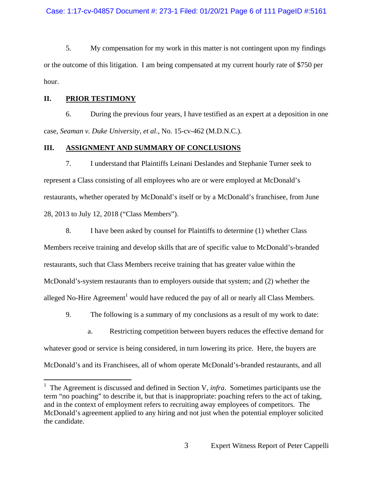5. My compensation for my work in this matter is not contingent upon my findings or the outcome of this litigation. I am being compensated at my current hourly rate of \$750 per hour.

# **II. PRIOR TESTIMONY**

6. During the previous four years, I have testified as an expert at a deposition in one case, *Seaman v. Duke University, et al.*, No. 15-cv-462 (M.D.N.C.).

# **III. ASSIGNMENT AND SUMMARY OF CONCLUSIONS**

7. I understand that Plaintiffs Leinani Deslandes and Stephanie Turner seek to represent a Class consisting of all employees who are or were employed at McDonald's restaurants, whether operated by McDonald's itself or by a McDonald's franchisee, from June 28, 2013 to July 12, 2018 ("Class Members").

8. I have been asked by counsel for Plaintiffs to determine (1) whether Class Members receive training and develop skills that are of specific value to McDonald's-branded restaurants, such that Class Members receive training that has greater value within the McDonald's-system restaurants than to employers outside that system; and (2) whether the alleged No-Hire Agreement<sup>1</sup> would have reduced the pay of all or nearly all Class Members.

9. The following is a summary of my conclusions as a result of my work to date:

a. Restricting competition between buyers reduces the effective demand for whatever good or service is being considered, in turn lowering its price. Here, the buyers are McDonald's and its Franchisees, all of whom operate McDonald's-branded restaurants, and all

<sup>&</sup>lt;sup>1</sup> The Agreement is discussed and defined in Section V, *infra*. Sometimes participants use the term "no poaching" to describe it, but that is inappropriate: poaching refers to the act of taking, and in the context of employment refers to recruiting away employees of competitors. The McDonald's agreement applied to any hiring and not just when the potential employer solicited the candidate.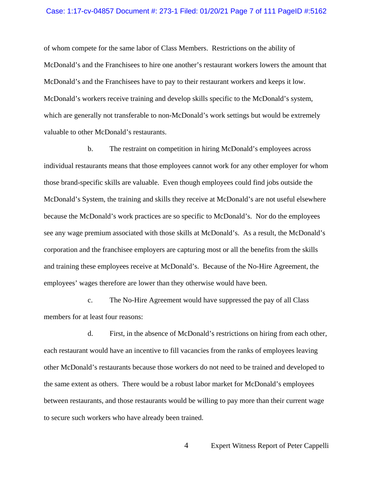### Case: 1:17-cv-04857 Document #: 273-1 Filed: 01/20/21 Page 7 of 111 PageID #:5162

of whom compete for the same labor of Class Members. Restrictions on the ability of McDonald's and the Franchisees to hire one another's restaurant workers lowers the amount that McDonald's and the Franchisees have to pay to their restaurant workers and keeps it low. McDonald's workers receive training and develop skills specific to the McDonald's system, which are generally not transferable to non-McDonald's work settings but would be extremely valuable to other McDonald's restaurants.

b. The restraint on competition in hiring McDonald's employees across individual restaurants means that those employees cannot work for any other employer for whom those brand-specific skills are valuable. Even though employees could find jobs outside the McDonald's System, the training and skills they receive at McDonald's are not useful elsewhere because the McDonald's work practices are so specific to McDonald's. Nor do the employees see any wage premium associated with those skills at McDonald's. As a result, the McDonald's corporation and the franchisee employers are capturing most or all the benefits from the skills and training these employees receive at McDonald's. Because of the No-Hire Agreement, the employees' wages therefore are lower than they otherwise would have been.

c. The No-Hire Agreement would have suppressed the pay of all Class members for at least four reasons:

d. First, in the absence of McDonald's restrictions on hiring from each other, each restaurant would have an incentive to fill vacancies from the ranks of employees leaving other McDonald's restaurants because those workers do not need to be trained and developed to the same extent as others. There would be a robust labor market for McDonald's employees between restaurants, and those restaurants would be willing to pay more than their current wage to secure such workers who have already been trained.

4 Expert Witness Report of Peter Cappelli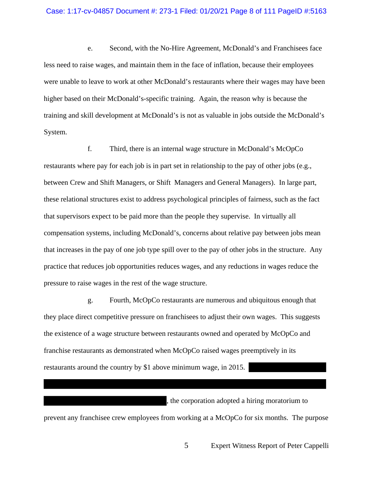### Case: 1:17-cv-04857 Document #: 273-1 Filed: 01/20/21 Page 8 of 111 PageID #:5163

e. Second, with the No-Hire Agreement, McDonald's and Franchisees face less need to raise wages, and maintain them in the face of inflation, because their employees were unable to leave to work at other McDonald's restaurants where their wages may have been higher based on their McDonald's-specific training. Again, the reason why is because the training and skill development at McDonald's is not as valuable in jobs outside the McDonald's System.

f. Third, there is an internal wage structure in McDonald's McOpCo restaurants where pay for each job is in part set in relationship to the pay of other jobs (e.g., between Crew and Shift Managers, or Shift Managers and General Managers). In large part, these relational structures exist to address psychological principles of fairness, such as the fact that supervisors expect to be paid more than the people they supervise. In virtually all compensation systems, including McDonald's, concerns about relative pay between jobs mean that increases in the pay of one job type spill over to the pay of other jobs in the structure. Any practice that reduces job opportunities reduces wages, and any reductions in wages reduce the pressure to raise wages in the rest of the wage structure.

g. Fourth, McOpCo restaurants are numerous and ubiquitous enough that they place direct competitive pressure on franchisees to adjust their own wages. This suggests the existence of a wage structure between restaurants owned and operated by McOpCo and franchise restaurants as demonstrated when McOpCo raised wages preemptively in its restaurants around the country by \$1 above minimum wage, in 2015.

prevent any franchisee crew employees from working at a McOpCo for six months. The purpose

5 Expert Witness Report of Peter Cappelli

, the corporation adopted a hiring moratorium to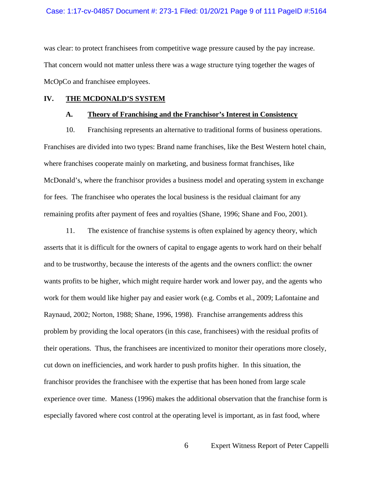was clear: to protect franchisees from competitive wage pressure caused by the pay increase. That concern would not matter unless there was a wage structure tying together the wages of McOpCo and franchisee employees.

### **IV. THE MCDONALD'S SYSTEM**

# **A. Theory of Franchising and the Franchisor's Interest in Consistency**

10. Franchising represents an alternative to traditional forms of business operations. Franchises are divided into two types: Brand name franchises, like the Best Western hotel chain, where franchises cooperate mainly on marketing, and business format franchises, like McDonald's, where the franchisor provides a business model and operating system in exchange for fees. The franchisee who operates the local business is the residual claimant for any remaining profits after payment of fees and royalties (Shane, 1996; Shane and Foo, 2001).

11. The existence of franchise systems is often explained by agency theory, which asserts that it is difficult for the owners of capital to engage agents to work hard on their behalf and to be trustworthy, because the interests of the agents and the owners conflict: the owner wants profits to be higher, which might require harder work and lower pay, and the agents who work for them would like higher pay and easier work (e.g. Combs et al., 2009; Lafontaine and Raynaud, 2002; Norton, 1988; Shane, 1996, 1998). Franchise arrangements address this problem by providing the local operators (in this case, franchisees) with the residual profits of their operations. Thus, the franchisees are incentivized to monitor their operations more closely, cut down on inefficiencies, and work harder to push profits higher. In this situation, the franchisor provides the franchisee with the expertise that has been honed from large scale experience over time. Maness (1996) makes the additional observation that the franchise form is especially favored where cost control at the operating level is important, as in fast food, where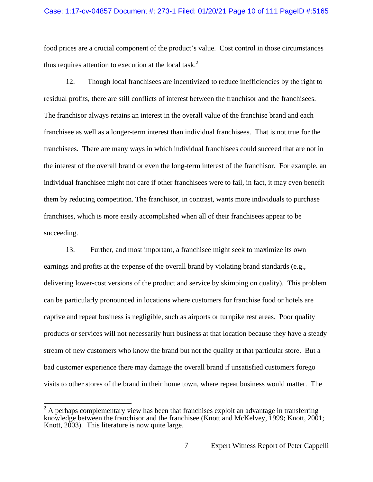### Case: 1:17-cv-04857 Document #: 273-1 Filed: 01/20/21 Page 10 of 111 PageID #:5165

food prices are a crucial component of the product's value. Cost control in those circumstances thus requires attention to execution at the local task. $<sup>2</sup>$ </sup>

12. Though local franchisees are incentivized to reduce inefficiencies by the right to residual profits, there are still conflicts of interest between the franchisor and the franchisees. The franchisor always retains an interest in the overall value of the franchise brand and each franchisee as well as a longer-term interest than individual franchisees. That is not true for the franchisees. There are many ways in which individual franchisees could succeed that are not in the interest of the overall brand or even the long-term interest of the franchisor. For example, an individual franchisee might not care if other franchisees were to fail, in fact, it may even benefit them by reducing competition. The franchisor, in contrast, wants more individuals to purchase franchises, which is more easily accomplished when all of their franchisees appear to be succeeding.

13. Further, and most important, a franchisee might seek to maximize its own earnings and profits at the expense of the overall brand by violating brand standards (e.g., delivering lower-cost versions of the product and service by skimping on quality). This problem can be particularly pronounced in locations where customers for franchise food or hotels are captive and repeat business is negligible, such as airports or turnpike rest areas. Poor quality products or services will not necessarily hurt business at that location because they have a steady stream of new customers who know the brand but not the quality at that particular store. But a bad customer experience there may damage the overall brand if unsatisfied customers forego visits to other stores of the brand in their home town, where repeat business would matter. The

<sup>&</sup>lt;sup>2</sup> A perhaps complementary view has been that franchises exploit an advantage in transferring knowledge between the franchisor and the franchisee (Knott and McKelvey, 1999; Knott, 2001; Knott, 2003). This literature is now quite large.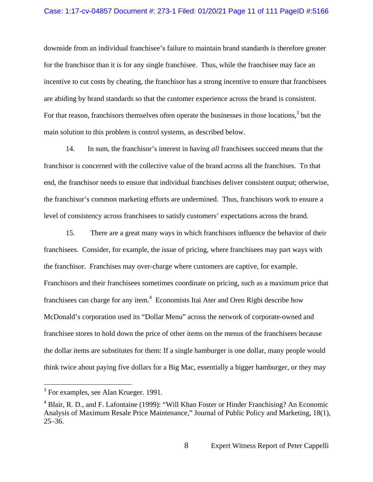### Case: 1:17-cv-04857 Document #: 273-1 Filed: 01/20/21 Page 11 of 111 PageID #:5166

downside from an individual franchisee's failure to maintain brand standards is therefore greater for the franchisor than it is for any single franchisee. Thus, while the franchisee may face an incentive to cut costs by cheating, the franchisor has a strong incentive to ensure that franchisees are abiding by brand standards so that the customer experience across the brand is consistent. For that reason, franchisors themselves often operate the businesses in those locations,  $3$  but the main solution to this problem is control systems, as described below.

14. In sum, the franchisor's interest in having *all* franchisees succeed means that the franchisor is concerned with the collective value of the brand across all the franchises. To that end, the franchisor needs to ensure that individual franchises deliver consistent output; otherwise, the franchisor's common marketing efforts are undermined. Thus, franchisors work to ensure a level of consistency across franchisees to satisfy customers' expectations across the brand.

15. There are a great many ways in which franchisors influence the behavior of their franchisees. Consider, for example, the issue of pricing, where franchisees may part ways with the franchisor. Franchises may over-charge where customers are captive, for example. Franchisors and their franchisees sometimes coordinate on pricing, such as a maximum price that franchisees can charge for any item.<sup>4</sup> Economists Itai Ater and Oren Rigbi describe how McDonald's corporation used its "Dollar Menu" across the network of corporate-owned and franchisee stores to hold down the price of other items on the menus of the franchisees because the dollar items are substitutes for them: If a single hamburger is one dollar, many people would think twice about paying five dollars for a Big Mac, essentially a bigger hamburger, or they may

 $\overline{a}$ 

<sup>&</sup>lt;sup>3</sup> For examples, see Alan Krueger. 1991.

<sup>&</sup>lt;sup>4</sup> Blair, R. D., and F. Lafontaine (1999): "Will Khan Foster or Hinder Franchising? An Economic Analysis of Maximum Resale Price Maintenance," Journal of Public Policy and Marketing, 18(1), 25–36.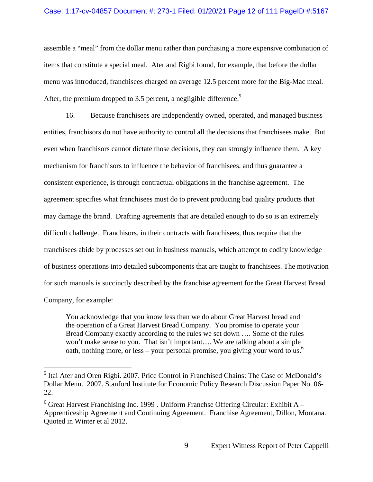### Case: 1:17-cv-04857 Document #: 273-1 Filed: 01/20/21 Page 12 of 111 PageID #:5167

assemble a "meal" from the dollar menu rather than purchasing a more expensive combination of items that constitute a special meal. Ater and Rigbi found, for example, that before the dollar menu was introduced, franchisees charged on average 12.5 percent more for the Big-Mac meal. After, the premium dropped to 3.5 percent, a negligible difference.<sup>5</sup>

16. Because franchisees are independently owned, operated, and managed business entities, franchisors do not have authority to control all the decisions that franchisees make. But even when franchisors cannot dictate those decisions, they can strongly influence them. A key mechanism for franchisors to influence the behavior of franchisees, and thus guarantee a consistent experience, is through contractual obligations in the franchise agreement. The agreement specifies what franchisees must do to prevent producing bad quality products that may damage the brand. Drafting agreements that are detailed enough to do so is an extremely difficult challenge. Franchisors, in their contracts with franchisees, thus require that the franchisees abide by processes set out in business manuals, which attempt to codify knowledge of business operations into detailed subcomponents that are taught to franchisees. The motivation for such manuals is succinctly described by the franchise agreement for the Great Harvest Bread Company, for example:

You acknowledge that you know less than we do about Great Harvest bread and the operation of a Great Harvest Bread Company. You promise to operate your Bread Company exactly according to the rules we set down …. Some of the rules won't make sense to you. That isn't important.... We are talking about a simple oath, nothing more, or less – your personal promise, you giving your word to us.<sup>6</sup>

<sup>&</sup>lt;sup>5</sup> Itai Ater and Oren Rigbi. 2007. Price Control in Franchised Chains: The Case of McDonald's Dollar Menu. 2007. Stanford Institute for Economic Policy Research Discussion Paper No. 06- 22.

 $6$  Great Harvest Franchising Inc. 1999 . Uniform Franchse Offering Circular: Exhibit A – Apprenticeship Agreement and Continuing Agreement. Franchise Agreement, Dillon, Montana. Quoted in Winter et al 2012.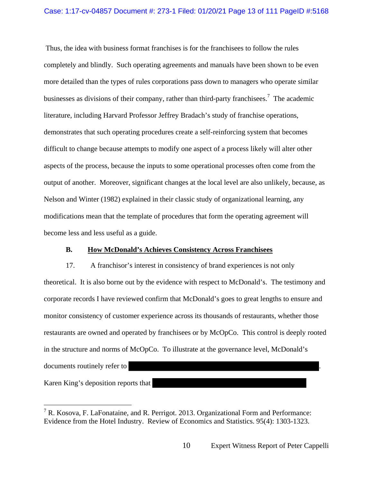Thus, the idea with business format franchises is for the franchisees to follow the rules completely and blindly. Such operating agreements and manuals have been shown to be even more detailed than the types of rules corporations pass down to managers who operate similar businesses as divisions of their company, rather than third-party franchisees.<sup>7</sup> The academic literature, including Harvard Professor Jeffrey Bradach's study of franchise operations, demonstrates that such operating procedures create a self-reinforcing system that becomes difficult to change because attempts to modify one aspect of a process likely will alter other aspects of the process, because the inputs to some operational processes often come from the output of another. Moreover, significant changes at the local level are also unlikely, because, as Nelson and Winter (1982) explained in their classic study of organizational learning, any modifications mean that the template of procedures that form the operating agreement will become less and less useful as a guide.

# **B. How McDonald's Achieves Consistency Across Franchisees**

17. A franchisor's interest in consistency of brand experiences is not only theoretical. It is also borne out by the evidence with respect to McDonald's. The testimony and corporate records I have reviewed confirm that McDonald's goes to great lengths to ensure and monitor consistency of customer experience across its thousands of restaurants, whether those restaurants are owned and operated by franchisees or by McOpCo. This control is deeply rooted in the structure and norms of McOpCo. To illustrate at the governance level, McDonald's documents routinely refer to

Karen King's deposition reports that

 $\overline{a}$ 

<sup>&</sup>lt;sup>7</sup> R. Kosova, F. LaFonataine, and R. Perrigot. 2013. Organizational Form and Performance: Evidence from the Hotel Industry. Review of Economics and Statistics. 95(4): 1303-1323.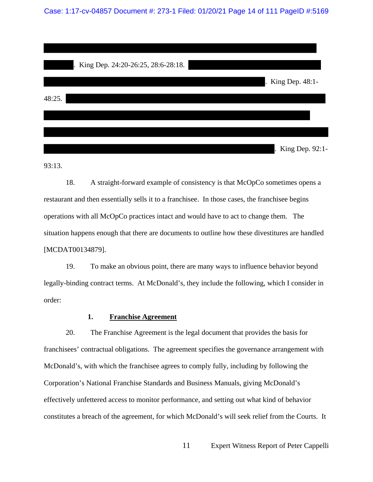Case: 1:17-cv-04857 Document #: 273-1 Filed: 01/20/21 Page 14 of 111 PageID #:5169

| King Dep. 24:20-26:25, 28:6-28:18. |                   |
|------------------------------------|-------------------|
|                                    | . King Dep. 48:1- |
| 48:25.                             |                   |
|                                    |                   |
|                                    |                   |
|                                    | . King Dep. 92:1- |

93:13.

18. A straight-forward example of consistency is that McOpCo sometimes opens a restaurant and then essentially sells it to a franchisee. In those cases, the franchisee begins operations with all McOpCo practices intact and would have to act to change them. The situation happens enough that there are documents to outline how these divestitures are handled [MCDAT00134879].

19. To make an obvious point, there are many ways to influence behavior beyond legally-binding contract terms. At McDonald's, they include the following, which I consider in order:

### **1. Franchise Agreement**

20. The Franchise Agreement is the legal document that provides the basis for franchisees' contractual obligations. The agreement specifies the governance arrangement with McDonald's, with which the franchisee agrees to comply fully, including by following the Corporation's National Franchise Standards and Business Manuals, giving McDonald's effectively unfettered access to monitor performance, and setting out what kind of behavior constitutes a breach of the agreement, for which McDonald's will seek relief from the Courts. It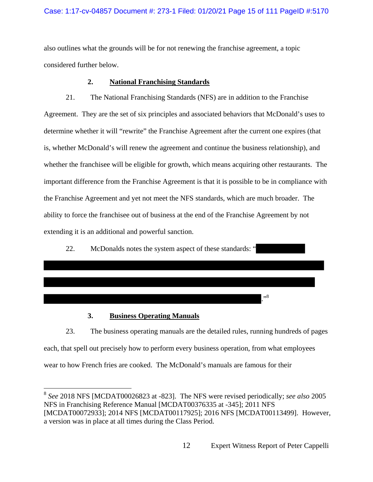# Case: 1:17-cv-04857 Document #: 273-1 Filed: 01/20/21 Page 15 of 111 PageID #:5170

also outlines what the grounds will be for not renewing the franchise agreement, a topic considered further below.

# **2. National Franchising Standards**

21. The National Franchising Standards (NFS) are in addition to the Franchise Agreement. They are the set of six principles and associated behaviors that McDonald's uses to determine whether it will "rewrite" the Franchise Agreement after the current one expires (that is, whether McDonald's will renew the agreement and continue the business relationship), and whether the franchisee will be eligible for growth, which means acquiring other restaurants. The important difference from the Franchise Agreement is that it is possible to be in compliance with the Franchise Agreement and yet not meet the NFS standards, which are much broader. The ability to force the franchisee out of business at the end of the Franchise Agreement by not extending it is an additional and powerful sanction.



# **3. Business Operating Manuals**

 $\overline{a}$ 

23. The business operating manuals are the detailed rules, running hundreds of pages each, that spell out precisely how to perform every business operation, from what employees wear to how French fries are cooked. The McDonald's manuals are famous for their

<sup>8</sup> *See* 2018 NFS [MCDAT00026823 at -823]. The NFS were revised periodically; *see also* 2005 NFS in Franchising Reference Manual [MCDAT00376335 at -345]; 2011 NFS [MCDAT00072933]; 2014 NFS [MCDAT00117925]; 2016 NFS [MCDAT00113499]. However, a version was in place at all times during the Class Period.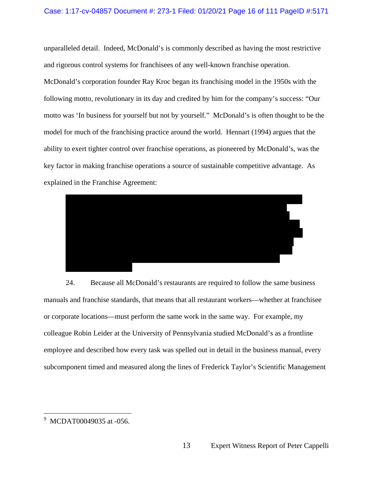### Case: 1:17-cv-04857 Document #: 273-1 Filed: 01/20/21 Page 16 of 111 PageID #:5171

unparalleled detail. Indeed, McDonald's is commonly described as having the most restrictive and rigorous control systems for franchisees of any well-known franchise operation. McDonald's corporation founder Ray Kroc began its franchising model in the 1950s with the following motto, revolutionary in its day and credited by him for the company's success: "Our motto was 'In business for yourself but not by yourself." McDonald's is often thought to be the model for much of the franchising practice around the world. Hennart (1994) argues that the ability to exert tighter control over franchise operations, as pioneered by McDonald's, was the key factor in making franchise operations a source of sustainable competitive advantage. As explained in the Franchise Agreement:



24. Because all McDonald's restaurants are required to follow the same business manuals and franchise standards, that means that all restaurant workers—whether at franchisee or corporate locations—must perform the same work in the same way. For example, my colleague Robin Leider at the University of Pennsylvania studied McDonald's as a frontline employee and described how every task was spelled out in detail in the business manual, every subcomponent timed and measured along the lines of Frederick Taylor's Scientific Management

 9 MCDAT00049035 at -056.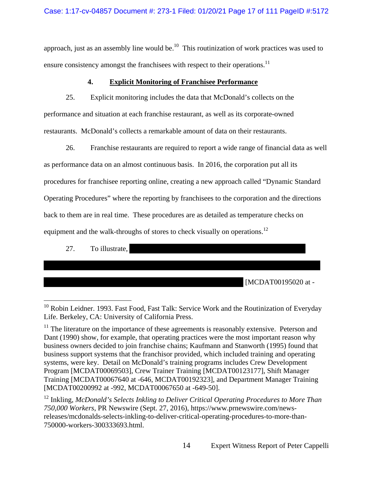# Case: 1:17-cv-04857 Document #: 273-1 Filed: 01/20/21 Page 17 of 111 PageID #:5172

approach, just as an assembly line would be.<sup>10</sup> This routinization of work practices was used to ensure consistency amongst the franchisees with respect to their operations.<sup>11</sup>

# **4. Explicit Monitoring of Franchisee Performance**

25. Explicit monitoring includes the data that McDonald's collects on the performance and situation at each franchise restaurant, as well as its corporate-owned restaurants. McDonald's collects a remarkable amount of data on their restaurants.

26. Franchise restaurants are required to report a wide range of financial data as well as performance data on an almost continuous basis. In 2016, the corporation put all its procedures for franchisee reporting online, creating a new approach called "Dynamic Standard Operating Procedures" where the reporting by franchisees to the corporation and the directions back to them are in real time. These procedures are as detailed as temperature checks on equipment and the walk-throughs of stores to check visually on operations.<sup>12</sup>

27. To illustrate,

[MCDAT00195020 at -

 $\overline{a}$  $10$  Robin Leidner. 1993. Fast Food, Fast Talk: Service Work and the Routinization of Everyday Life. Berkeley, CA: University of California Press.

 $11$  The literature on the importance of these agreements is reasonably extensive. Peterson and Dant (1990) show, for example, that operating practices were the most important reason why business owners decided to join franchise chains; Kaufmann and Stanworth (1995) found that business support systems that the franchisor provided, which included training and operating systems, were key. Detail on McDonald's training programs includes Crew Development Program [MCDAT00069503], Crew Trainer Training [MCDAT00123177], Shift Manager Training [MCDAT00067640 at -646, MCDAT00192323], and Department Manager Training [MCDAT00200992 at -992, MCDAT00067650 at -649-50].

<sup>&</sup>lt;sup>12</sup> Inkling, *McDonald's Selects Inkling to Deliver Critical Operating Procedures to More Than 750,000 Workers*, PR Newswire (Sept. 27, 2016), https://www.prnewswire.com/newsreleases/mcdonalds-selects-inkling-to-deliver-critical-operating-procedures-to-more-than-750000-workers-300333693.html.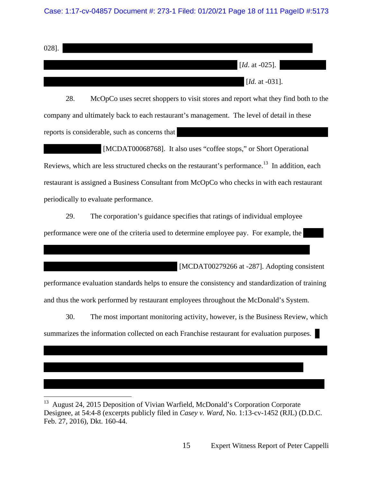### Case: 1:17-cv-04857 Document #: 273-1 Filed: 01/20/21 Page 18 of 111 PageID #:5173

028]. [*Id.* at -025]. [*Id.* at -031].

28. McOpCo uses secret shoppers to visit stores and report what they find both to the company and ultimately back to each restaurant's management. The level of detail in these reports is considerable, such as concerns that

 [MCDAT00068768]. It also uses "coffee stops," or Short Operational Reviews, which are less structured checks on the restaurant's performance.<sup>13</sup> In addition, each restaurant is assigned a Business Consultant from McOpCo who checks in with each restaurant periodically to evaluate performance.

29. The corporation's guidance specifies that ratings of individual employee performance were one of the criteria used to determine employee pay. For example, the

[MCDAT00279266 at -287]. Adopting consistent

performance evaluation standards helps to ensure the consistency and standardization of training and thus the work performed by restaurant employees throughout the McDonald's System.

30. The most important monitoring activity, however, is the Business Review, which summarizes the information collected on each Franchise restaurant for evaluation purposes.

 $\overline{a}$ 

<sup>13</sup> August 24, 2015 Deposition of Vivian Warfield, McDonald's Corporation Corporate Designee, at 54:4-8 (excerpts publicly filed in *Casey v. Ward*, No. 1:13-cv-1452 (RJL) (D.D.C. Feb. 27, 2016), Dkt. 160-44.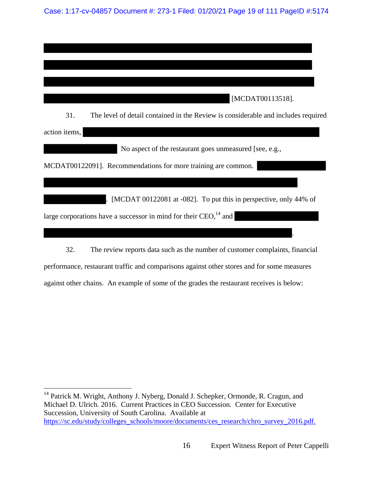Case: 1:17-cv-04857 Document #: 273-1 Filed: 01/20/21 Page 19 of 111 PageID #:5174

| [MCDAT00113518].                                                                         |
|------------------------------------------------------------------------------------------|
| 31.<br>The level of detail contained in the Review is considerable and includes required |
| action items,                                                                            |
| No aspect of the restaurant goes unmeasured [see, e.g.,                                  |
| MCDAT00122091]. Recommendations for more training are common.                            |
|                                                                                          |
| [MCDAT 00122081 at -082]. To put this in perspective, only 44% of                        |
| large corporations have a successor in mind for their $CEO1414$ and                      |
|                                                                                          |

32. The review reports data such as the number of customer complaints, financial performance, restaurant traffic and comparisons against other stores and for some measures against other chains. An example of some of the grades the restaurant receives is below:

 $\overline{a}$ 

<sup>&</sup>lt;sup>14</sup> Patrick M. Wright, Anthony J. Nyberg, Donald J. Schepker, Ormonde, R. Cragun, and Michael D. Ulrich. 2016. Current Practices in CEO Succession. Center for Executive Succession, University of South Carolina. Available at https://sc.edu/study/colleges\_schools/moore/documents/ces\_research/chro\_survey\_2016.pdf.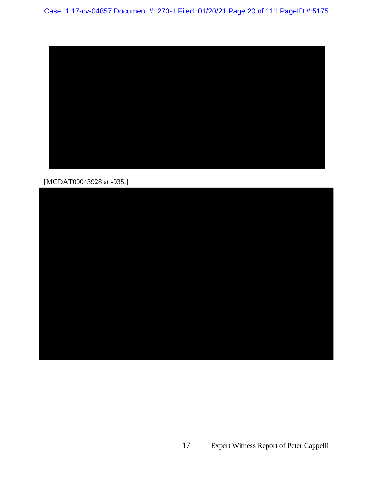

[MCDAT00043928 at -935.]

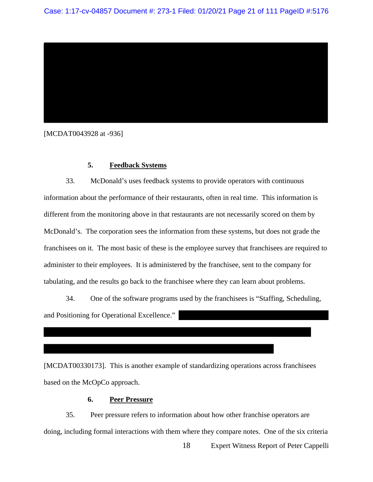

[MCDAT0043928 at -936]

# **5. Feedback Systems**

33. McDonald's uses feedback systems to provide operators with continuous information about the performance of their restaurants, often in real time. This information is different from the monitoring above in that restaurants are not necessarily scored on them by McDonald's. The corporation sees the information from these systems, but does not grade the franchisees on it. The most basic of these is the employee survey that franchisees are required to administer to their employees. It is administered by the franchisee, sent to the company for tabulating, and the results go back to the franchisee where they can learn about problems.

34. One of the software programs used by the franchisees is "Staffing, Scheduling, and Positioning for Operational Excellence."

[MCDAT00330173]. This is another example of standardizing operations across franchisees based on the McOpCo approach.

# **6. Peer Pressure**

35. Peer pressure refers to information about how other franchise operators are doing, including formal interactions with them where they compare notes. One of the six criteria

18 Expert Witness Report of Peter Cappelli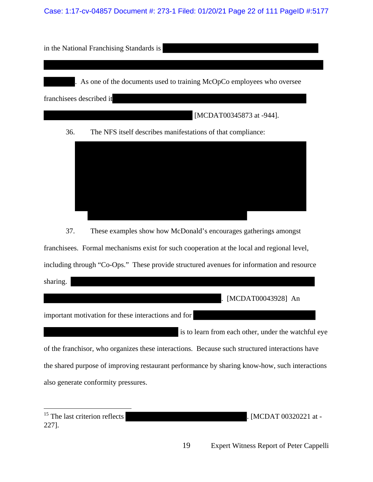Case: 1:17-cv-04857 Document #: 273-1 Filed: 01/20/21 Page 22 of 111 PageID #:5177





37. These examples show how McDonald's encourages gatherings amongst

franchisees. Formal mechanisms exist for such cooperation at the local and regional level,

including through "Co-Ops." These provide structured avenues for information and resource

sharing.

. [MCDAT00043928] An

important motivation for these interactions and for

 is to learn from each other, under the watchful eye of the franchisor, who organizes these interactions. Because such structured interactions have the shared purpose of improving restaurant performance by sharing know-how, such interactions also generate conformity pressures.

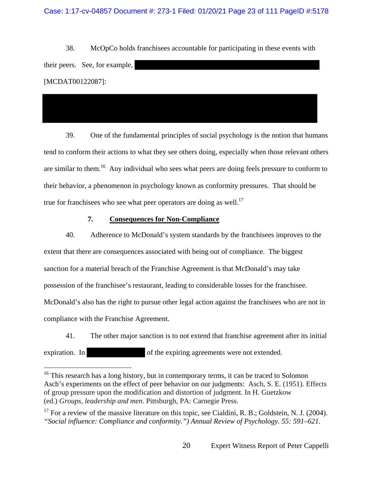### Case: 1:17-cv-04857 Document #: 273-1 Filed: 01/20/21 Page 23 of 111 PageID #:5178

38. McOpCo holds franchisees accountable for participating in these events with their peers. See, for example, [MCDAT00122087]:

39. One of the fundamental principles of social psychology is the notion that humans tend to conform their actions to what they see others doing, especially when those relevant others are similar to them.<sup>16</sup> Any individual who sees what peers are doing feels pressure to conform to their behavior, a phenomenon in psychology known as conformity pressures. That should be true for franchisees who see what peer operators are doing as well.<sup>17</sup>

# **7. Consequences for Non-Compliance**

40. Adherence to McDonald's system standards by the franchisees improves to the extent that there are consequences associated with being out of compliance. The biggest sanction for a material breach of the Franchise Agreement is that McDonald's may take possession of the franchisee's restaurant, leading to considerable losses for the franchisee. McDonald's also has the right to pursue other legal action against the franchisees who are not in compliance with the Franchise Agreement.

41. The other major sanction is to not extend that franchise agreement after its initial expiration. In of the expiring agreements were not extended.

 $16$ <sup>16</sup> This research has a long history, but in contemporary terms, it can be traced to Solomon Asch's experiments on the effect of peer behavior on our judgments: Asch, S. E. (1951). Effects of group pressure upon the modification and distortion of judgment. In H. Guetzkow (ed.) *Groups, leadership and men*. Pittsburgh, PA: Carnegie Press.

 $17$  For a review of the massive literature on this topic, see Cialdini, R. B.; Goldstein, N. J. (2004). *"Social influence: Compliance and conformity.") Annual Review of Psychology. 55: 591–621.*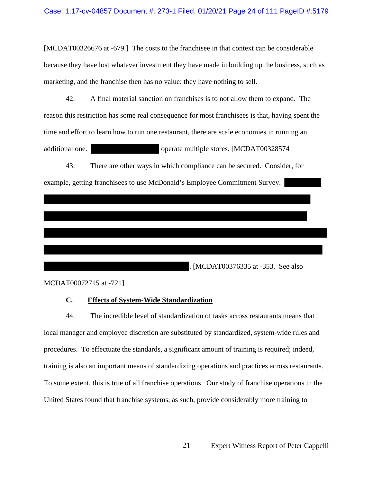[MCDAT00326676 at -679.] The costs to the franchisee in that context can be considerable because they have lost whatever investment they have made in building up the business, such as marketing, and the franchise then has no value: they have nothing to sell.

42. A final material sanction on franchises is to not allow them to expand. The reason this restriction has some real consequence for most franchisees is that, having spent the time and effort to learn how to run one restaurant, there are scale economies in running an additional one. operate multiple stores. [MCDAT00328574]

43. There are other ways in which compliance can be secured. Consider, for

example, getting franchisees to use McDonald's Employee Commitment Survey.

. [MCDAT00376335 at -353. See also

MCDAT00072715 at -721].

# **C. Effects of System-Wide Standardization**

44. The incredible level of standardization of tasks across restaurants means that local manager and employee discretion are substituted by standardized, system-wide rules and procedures. To effectuate the standards, a significant amount of training is required; indeed, training is also an important means of standardizing operations and practices across restaurants. To some extent, this is true of all franchise operations. Our study of franchise operations in the United States found that franchise systems, as such, provide considerably more training to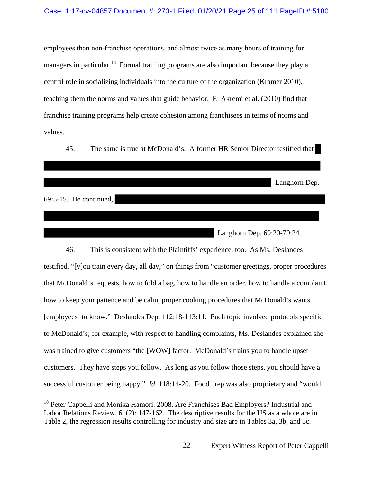employees than non-franchise operations, and almost twice as many hours of training for managers in particular.<sup>18</sup> Formal training programs are also important because they play a central role in socializing individuals into the culture of the organization (Kramer 2010), teaching them the norms and values that guide behavior. El Akremi et al. (2010) find that franchise training programs help create cohesion among franchisees in terms of norms and values.

45. The same is true at McDonald's. A former HR Senior Director testified that

Langhorn Dep.

69:5-15. He continued,

 $\overline{a}$ 

Langhorn Dep. 69:20-70:24.

46. This is consistent with the Plaintiffs' experience, too. As Ms. Deslandes testified, "[y]ou train every day, all day," on things from "customer greetings, proper procedures that McDonald's requests, how to fold a bag, how to handle an order, how to handle a complaint, how to keep your patience and be calm, proper cooking procedures that McDonald's wants [employees] to know." Deslandes Dep. 112:18-113:11. Each topic involved protocols specific to McDonald's; for example, with respect to handling complaints, Ms. Deslandes explained she was trained to give customers "the [WOW] factor. McDonald's trains you to handle upset customers. They have steps you follow. As long as you follow those steps, you should have a successful customer being happy." *Id.* 118:14-20. Food prep was also proprietary and "would

<sup>&</sup>lt;sup>18</sup> Peter Cappelli and Monika Hamori. 2008. Are Franchises Bad Employers? Industrial and Labor Relations Review. 61(2): 147-162. The descriptive results for the US as a whole are in Table 2, the regression results controlling for industry and size are in Tables 3a, 3b, and 3c.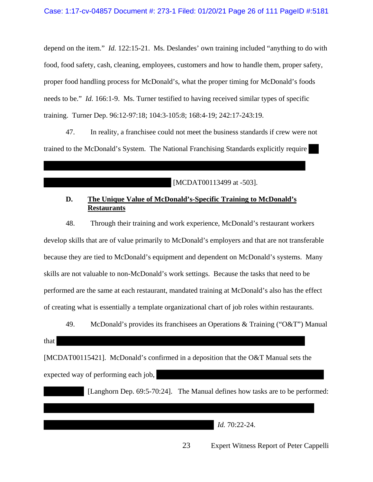depend on the item." *Id.* 122:15-21. Ms. Deslandes' own training included "anything to do with food, food safety, cash, cleaning, employees, customers and how to handle them, proper safety, proper food handling process for McDonald's, what the proper timing for McDonald's foods needs to be." *Id.* 166:1-9. Ms. Turner testified to having received similar types of specific training. Turner Dep. 96:12-97:18; 104:3-105:8; 168:4-19; 242:17-243:19.

47. In reality, a franchisee could not meet the business standards if crew were not trained to the McDonald's System. The National Franchising Standards explicitly require

[MCDAT00113499 at -503].

# **D. The Unique Value of McDonald's-Specific Training to McDonald's Restaurants**

48. Through their training and work experience, McDonald's restaurant workers develop skills that are of value primarily to McDonald's employers and that are not transferable because they are tied to McDonald's equipment and dependent on McDonald's systems. Many skills are not valuable to non-McDonald's work settings. Because the tasks that need to be performed are the same at each restaurant, mandated training at McDonald's also has the effect of creating what is essentially a template organizational chart of job roles within restaurants.

49. McDonald's provides its franchisees an Operations & Training ("O&T") Manual

### that

[MCDAT00115421]. McDonald's confirmed in a deposition that the O&T Manual sets the expected way of performing each job,

[Langhorn Dep. 69:5-70:24]. The Manual defines how tasks are to be performed:

*Id.* 70:22-24.

23 Expert Witness Report of Peter Cappelli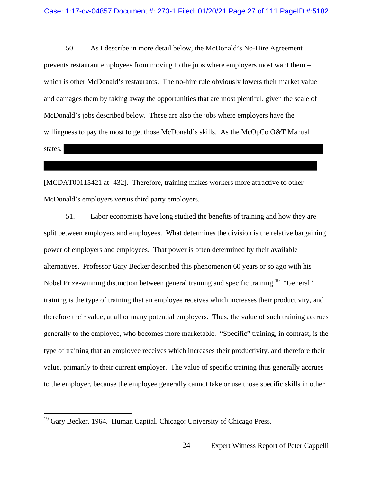50. As I describe in more detail below, the McDonald's No-Hire Agreement prevents restaurant employees from moving to the jobs where employers most want them – which is other McDonald's restaurants. The no-hire rule obviously lowers their market value and damages them by taking away the opportunities that are most plentiful, given the scale of McDonald's jobs described below. These are also the jobs where employers have the willingness to pay the most to get those McDonald's skills. As the McOpCo O&T Manual states,

[MCDAT00115421 at -432]. Therefore, training makes workers more attractive to other McDonald's employers versus third party employers.

51. Labor economists have long studied the benefits of training and how they are split between employers and employees. What determines the division is the relative bargaining power of employers and employees. That power is often determined by their available alternatives. Professor Gary Becker described this phenomenon 60 years or so ago with his Nobel Prize-winning distinction between general training and specific training.19 "General" training is the type of training that an employee receives which increases their productivity, and therefore their value, at all or many potential employers. Thus, the value of such training accrues generally to the employee, who becomes more marketable. "Specific" training, in contrast, is the type of training that an employee receives which increases their productivity, and therefore their value, primarily to their current employer. The value of specific training thus generally accrues to the employer, because the employee generally cannot take or use those specific skills in other

<sup>&</sup>lt;sup>19</sup> Gary Becker. 1964. Human Capital. Chicago: University of Chicago Press.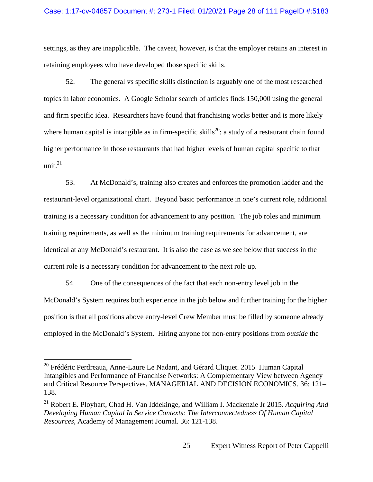### Case: 1:17-cv-04857 Document #: 273-1 Filed: 01/20/21 Page 28 of 111 PageID #:5183

settings, as they are inapplicable. The caveat, however, is that the employer retains an interest in retaining employees who have developed those specific skills.

52. The general vs specific skills distinction is arguably one of the most researched topics in labor economics. A Google Scholar search of articles finds 150,000 using the general and firm specific idea. Researchers have found that franchising works better and is more likely where human capital is intangible as in firm-specific skills<sup>20</sup>; a study of a restaurant chain found higher performance in those restaurants that had higher levels of human capital specific to that unit $^{21}$ 

53. At McDonald's, training also creates and enforces the promotion ladder and the restaurant-level organizational chart. Beyond basic performance in one's current role, additional training is a necessary condition for advancement to any position. The job roles and minimum training requirements, as well as the minimum training requirements for advancement, are identical at any McDonald's restaurant. It is also the case as we see below that success in the current role is a necessary condition for advancement to the next role up.

54. One of the consequences of the fact that each non-entry level job in the McDonald's System requires both experience in the job below and further training for the higher position is that all positions above entry-level Crew Member must be filled by someone already employed in the McDonald's System. Hiring anyone for non-entry positions from *outside* the

 $\overline{a}$ 

<sup>&</sup>lt;sup>20</sup> Frédéric Perdreaua, Anne-Laure Le Nadant, and Gérard Cliquet. 2015 Human Capital Intangibles and Performance of Franchise Networks: A Complementary View between Agency and Critical Resource Perspectives. MANAGERIAL AND DECISION ECONOMICS. 36: 121– 138.

<sup>21</sup> Robert E. Ployhart, Chad H. Van Iddekinge, and William I. Mackenzie Jr 2015. *Acquiring And Developing Human Capital In Service Contexts: The Interconnectedness Of Human Capital Resources*, Academy of Management Journal. 36: 121-138.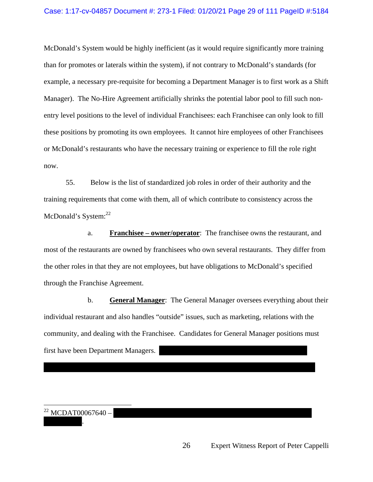### Case: 1:17-cv-04857 Document #: 273-1 Filed: 01/20/21 Page 29 of 111 PageID #:5184

McDonald's System would be highly inefficient (as it would require significantly more training than for promotes or laterals within the system), if not contrary to McDonald's standards (for example, a necessary pre-requisite for becoming a Department Manager is to first work as a Shift Manager). The No-Hire Agreement artificially shrinks the potential labor pool to fill such nonentry level positions to the level of individual Franchisees: each Franchisee can only look to fill these positions by promoting its own employees. It cannot hire employees of other Franchisees or McDonald's restaurants who have the necessary training or experience to fill the role right now.

55. Below is the list of standardized job roles in order of their authority and the training requirements that come with them, all of which contribute to consistency across the McDonald's System:<sup>22</sup>

a. **Franchisee – owner/operator**: The franchisee owns the restaurant, and most of the restaurants are owned by franchisees who own several restaurants. They differ from the other roles in that they are not employees, but have obligations to McDonald's specified through the Franchise Agreement.

b. **General Manager**: The General Manager oversees everything about their individual restaurant and also handles "outside" issues, such as marketing, relations with the community, and dealing with the Franchisee. Candidates for General Manager positions must first have been Department Managers.

.

 $\overline{a}$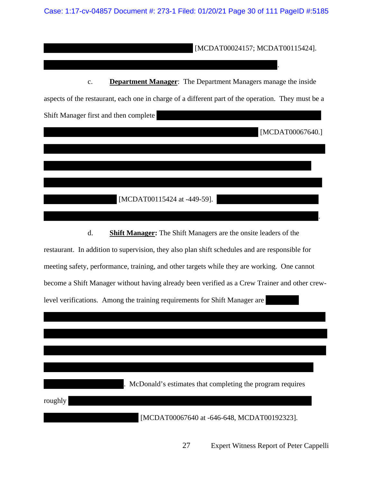Case: 1:17-cv-04857 Document #: 273-1 Filed: 01/20/21 Page 30 of 111 PageID #:5185

[MCDAT00024157; MCDAT00115424].

c. **Department Manager**: The Department Managers manage the inside aspects of the restaurant, each one in charge of a different part of the operation. They must be a Shift Manager first and then complete

[MCDAT00067640.]

.

.

[MCDAT00115424 at -449-59].

d. **Shift Manager:** The Shift Managers are the onsite leaders of the

restaurant. In addition to supervision, they also plan shift schedules and are responsible for meeting safety, performance, training, and other targets while they are working. One cannot become a Shift Manager without having already been verified as a Crew Trainer and other crewlevel verifications. Among the training requirements for Shift Manager are

|         | McDonald's estimates that completing the program requires |
|---------|-----------------------------------------------------------|
| roughly |                                                           |
|         | [MCDAT00067640 at -646-648, MCDAT00192323].               |

27 Expert Witness Report of Peter Cappelli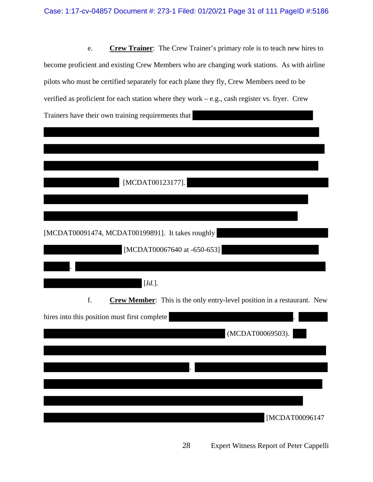e. **Crew Trainer**: The Crew Trainer's primary role is to teach new hires to become proficient and existing Crew Members who are changing work stations. As with airline pilots who must be certified separately for each plane they fly, Crew Members need to be verified as proficient for each station where they work – e.g., cash register vs. fryer. Crew Trainers have their own training requirements that

| [MCDAT00123177].                                                              |
|-------------------------------------------------------------------------------|
|                                                                               |
|                                                                               |
| [MCDAT00091474, MCDAT00199891]. It takes roughly                              |
| [MCDAT00067640 at -650-653]                                                   |
|                                                                               |
|                                                                               |
| $[Id.]$                                                                       |
| f.<br>Crew Member: This is the only entry-level position in a restaurant. New |
| hires into this position must first complete                                  |
| (MCDAT00069503).                                                              |
|                                                                               |
|                                                                               |
|                                                                               |
|                                                                               |
|                                                                               |
| [MCDAT00096147                                                                |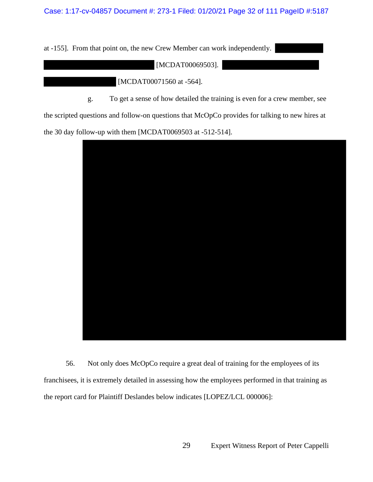at -155]. From that point on, the new Crew Member can work independently.

[MCDAT00069503].

[MCDAT00071560 at -564].

g. To get a sense of how detailed the training is even for a crew member, see

the scripted questions and follow-on questions that McOpCo provides for talking to new hires at

the 30 day follow-up with them [MCDAT0069503 at -512-514].



56. Not only does McOpCo require a great deal of training for the employees of its franchisees, it is extremely detailed in assessing how the employees performed in that training as the report card for Plaintiff Deslandes below indicates [LOPEZ/LCL 000006]: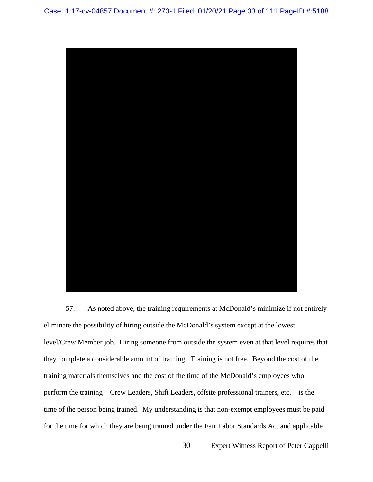

57. As noted above, the training requirements at McDonald's minimize if not entirely eliminate the possibility of hiring outside the McDonald's system except at the lowest level/Crew Member job. Hiring someone from outside the system even at that level requires that they complete a considerable amount of training. Training is not free. Beyond the cost of the training materials themselves and the cost of the time of the McDonald's employees who perform the training – Crew Leaders, Shift Leaders, offsite professional trainers, etc. – is the time of the person being trained. My understanding is that non-exempt employees must be paid for the time for which they are being trained under the Fair Labor Standards Act and applicable

30 Expert Witness Report of Peter Cappelli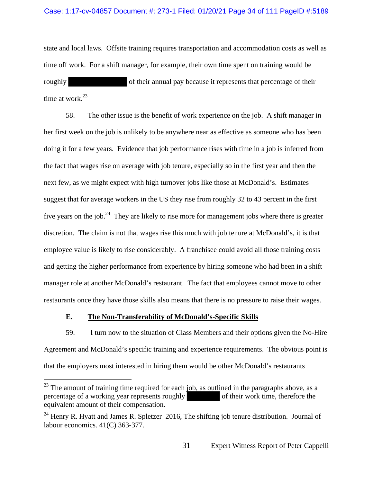### Case: 1:17-cv-04857 Document #: 273-1 Filed: 01/20/21 Page 34 of 111 PageID #:5189

state and local laws. Offsite training requires transportation and accommodation costs as well as time off work. For a shift manager, for example, their own time spent on training would be roughly of their annual pay because it represents that percentage of their time at work.<sup>23</sup>

58. The other issue is the benefit of work experience on the job. A shift manager in her first week on the job is unlikely to be anywhere near as effective as someone who has been doing it for a few years. Evidence that job performance rises with time in a job is inferred from the fact that wages rise on average with job tenure, especially so in the first year and then the next few, as we might expect with high turnover jobs like those at McDonald's. Estimates suggest that for average workers in the US they rise from roughly 32 to 43 percent in the first five years on the job.<sup>24</sup> They are likely to rise more for management jobs where there is greater discretion. The claim is not that wages rise this much with job tenure at McDonald's, it is that employee value is likely to rise considerably. A franchisee could avoid all those training costs and getting the higher performance from experience by hiring someone who had been in a shift manager role at another McDonald's restaurant. The fact that employees cannot move to other restaurants once they have those skills also means that there is no pressure to raise their wages.

### **E. The Non-Transferability of McDonald's-Specific Skills**

59. I turn now to the situation of Class Members and their options given the No-Hire Agreement and McDonald's specific training and experience requirements. The obvious point is that the employers most interested in hiring them would be other McDonald's restaurants

 $^{23}$  The amount of training time required for each job, as outlined in the paragraphs above, as a percentage of a working year represents roughly of their work time, therefore the equivalent amount of their compensation.

<sup>&</sup>lt;sup>24</sup> Henry R. Hyatt and James R. Spletzer 2016, The shifting job tenure distribution. Journal of labour economics. 41(C) 363-377.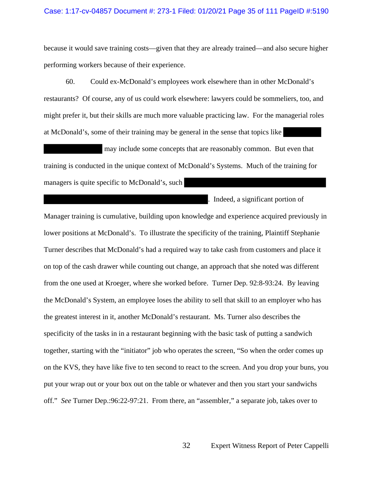### Case: 1:17-cv-04857 Document #: 273-1 Filed: 01/20/21 Page 35 of 111 PageID #:5190

because it would save training costs—given that they are already trained—and also secure higher performing workers because of their experience.

60. Could ex-McDonald's employees work elsewhere than in other McDonald's restaurants? Of course, any of us could work elsewhere: lawyers could be sommeliers, too, and might prefer it, but their skills are much more valuable practicing law. For the managerial roles at McDonald's, some of their training may be general in the sense that topics like

 may include some concepts that are reasonably common. But even that training is conducted in the unique context of McDonald's Systems. Much of the training for managers is quite specific to McDonald's, such

. Indeed, a significant portion of

Manager training is cumulative, building upon knowledge and experience acquired previously in lower positions at McDonald's. To illustrate the specificity of the training, Plaintiff Stephanie Turner describes that McDonald's had a required way to take cash from customers and place it on top of the cash drawer while counting out change, an approach that she noted was different from the one used at Kroeger, where she worked before. Turner Dep. 92:8-93:24. By leaving the McDonald's System, an employee loses the ability to sell that skill to an employer who has the greatest interest in it, another McDonald's restaurant. Ms. Turner also describes the specificity of the tasks in in a restaurant beginning with the basic task of putting a sandwich together, starting with the "initiator" job who operates the screen, "So when the order comes up on the KVS, they have like five to ten second to react to the screen. And you drop your buns, you put your wrap out or your box out on the table or whatever and then you start your sandwichs off." *See* Turner Dep.:96:22-97:21. From there, an "assembler," a separate job, takes over to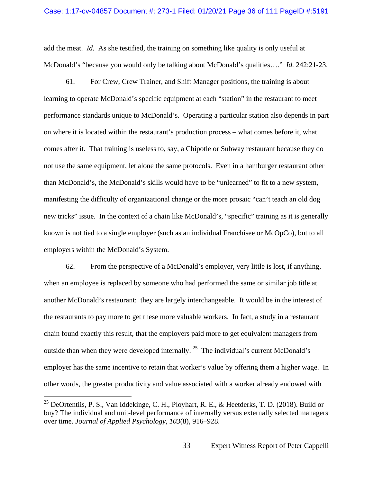add the meat. *Id.* As she testified, the training on something like quality is only useful at McDonald's "because you would only be talking about McDonald's qualities…." *Id.* 242:21-23.

61. For Crew, Crew Trainer, and Shift Manager positions, the training is about learning to operate McDonald's specific equipment at each "station" in the restaurant to meet performance standards unique to McDonald's. Operating a particular station also depends in part on where it is located within the restaurant's production process – what comes before it, what comes after it. That training is useless to, say, a Chipotle or Subway restaurant because they do not use the same equipment, let alone the same protocols. Even in a hamburger restaurant other than McDonald's, the McDonald's skills would have to be "unlearned" to fit to a new system, manifesting the difficulty of organizational change or the more prosaic "can't teach an old dog new tricks" issue. In the context of a chain like McDonald's, "specific" training as it is generally known is not tied to a single employer (such as an individual Franchisee or McOpCo), but to all employers within the McDonald's System.

62. From the perspective of a McDonald's employer, very little is lost, if anything, when an employee is replaced by someone who had performed the same or similar job title at another McDonald's restaurant: they are largely interchangeable. It would be in the interest of the restaurants to pay more to get these more valuable workers. In fact, a study in a restaurant chain found exactly this result, that the employers paid more to get equivalent managers from outside than when they were developed internally.<sup>25</sup> The individual's current McDonald's employer has the same incentive to retain that worker's value by offering them a higher wage. In other words, the greater productivity and value associated with a worker already endowed with

 $\overline{a}$ 

<sup>&</sup>lt;sup>25</sup> DeOrtentiis, P. S., Van Iddekinge, C. H., Ployhart, R. E., & Heetderks, T. D. (2018). Build or buy? The individual and unit-level performance of internally versus externally selected managers over time. *Journal of Applied Psychology, 103*(8), 916–928.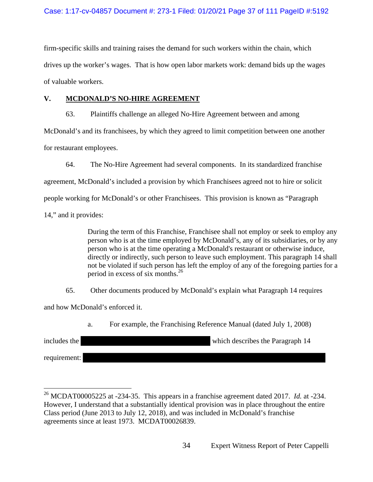firm-specific skills and training raises the demand for such workers within the chain, which drives up the worker's wages. That is how open labor markets work: demand bids up the wages of valuable workers.

### **V. MCDONALD'S NO-HIRE AGREEMENT**

63. Plaintiffs challenge an alleged No-Hire Agreement between and among

McDonald's and its franchisees, by which they agreed to limit competition between one another

for restaurant employees.

64. The No-Hire Agreement had several components. In its standardized franchise

agreement, McDonald's included a provision by which Franchisees agreed not to hire or solicit

people working for McDonald's or other Franchisees. This provision is known as "Paragraph

14," and it provides:

 $\overline{a}$ 

 During the term of this Franchise, Franchisee shall not employ or seek to employ any person who is at the time employed by McDonald's, any of its subsidiaries, or by any person who is at the time operating a McDonald's restaurant or otherwise induce, directly or indirectly, such person to leave such employment. This paragraph 14 shall not be violated if such person has left the employ of any of the foregoing parties for a period in excess of six months.<sup>26</sup>

65. Other documents produced by McDonald's explain what Paragraph 14 requires

and how McDonald's enforced it.

a. For example, the Franchising Reference Manual (dated July 1, 2008)

| includes the | which describes the Paragraph 14 |
|--------------|----------------------------------|
| requirement: |                                  |

<sup>26</sup> MCDAT00005225 at -234-35. This appears in a franchise agreement dated 2017. *Id.* at -234. However, I understand that a substantially identical provision was in place throughout the entire Class period (June 2013 to July 12, 2018), and was included in McDonald's franchise agreements since at least 1973. MCDAT00026839.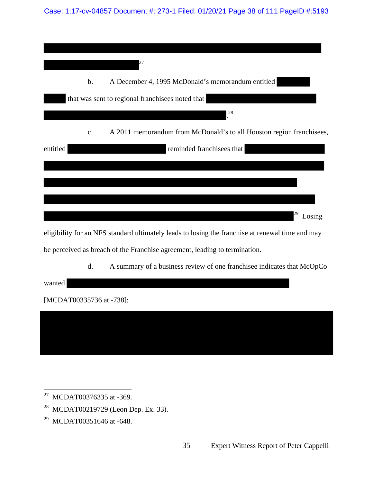Case: 1:17-cv-04857 Document #: 273-1 Filed: 01/20/21 Page 38 of 111 PageID #:5193

|          |    | 27                                                                                               |
|----------|----|--------------------------------------------------------------------------------------------------|
|          |    |                                                                                                  |
|          | b. | A December 4, 1995 McDonald's memorandum entitled                                                |
|          |    | that was sent to regional franchisees noted that                                                 |
|          |    | 28                                                                                               |
|          | c. | A 2011 memorandum from McDonald's to all Houston region franchisees,                             |
| entitled |    | reminded franchisees that                                                                        |
|          |    |                                                                                                  |
|          |    |                                                                                                  |
|          |    |                                                                                                  |
|          |    | Losing                                                                                           |
|          |    | eligibility for an NFS standard ultimately leads to losing the franchise at renewal time and may |
|          |    | be perceived as breach of the Franchise agreement, leading to termination.                       |
|          |    |                                                                                                  |

d. A summary of a business review of one franchisee indicates that McOpCo

wanted

[MCDAT00335736 at -738]:

 $\overline{a}$  $27$  MCDAT00376335 at -369.

- 28 MCDAT00219729 (Leon Dep. Ex. 33).
- 29 MCDAT00351646 at -648.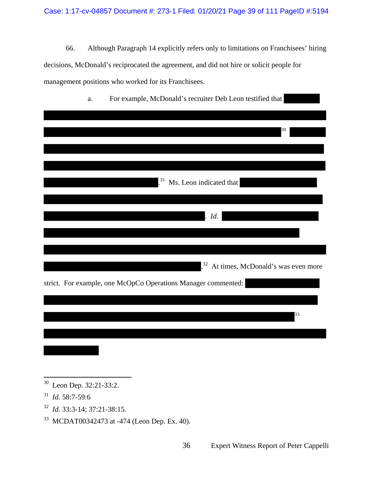66. Although Paragraph 14 explicitly refers only to limitations on Franchisees' hiring decisions, McDonald's reciprocated the agreement, and did not hire or solicit people for management positions who worked for its Franchisees.

| For example, McDonald's recruiter Deb Leon testified that<br>a. |
|-----------------------------------------------------------------|
|                                                                 |
|                                                                 |
| 30                                                              |
|                                                                 |
|                                                                 |
|                                                                 |
| $^{31}$<br>Ms. Leon indicated that                              |
|                                                                 |
|                                                                 |
| Id.                                                             |
|                                                                 |
|                                                                 |
|                                                                 |
| $^{32}$<br>At times, McDonald's was even more                   |
| strict. For example, one McOpCo Operations Manager commented:   |
|                                                                 |
|                                                                 |
| 33                                                              |
|                                                                 |
|                                                                 |
|                                                                 |

- 31 *Id.* 58:7-59:6
- 32 *Id.* 33:3-14; 37:21-38:15.
- 33 MCDAT00342473 at -474 (Leon Dep. Ex. 40).

 $\overline{a}$ <sup>30</sup> Leon Dep. 32:21-33:2.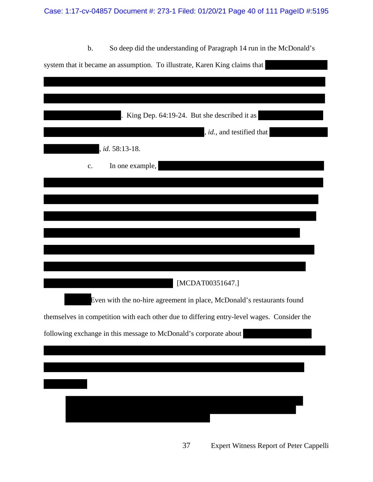# Case: 1:17-cv-04857 Document #: 273-1 Filed: 01/20/21 Page 40 of 111 PageID #:5195

| b.<br>So deep did the understanding of Paragraph 14 run in the McDonald's                  |
|--------------------------------------------------------------------------------------------|
| system that it became an assumption. To illustrate, Karen King claims that                 |
|                                                                                            |
|                                                                                            |
|                                                                                            |
| King Dep. 64:19-24. But she described it as                                                |
| , id., and testified that                                                                  |
| <i>id.</i> 58:13-18.                                                                       |
| In one example,<br>$\mathbf{c}$ .                                                          |
|                                                                                            |
|                                                                                            |
|                                                                                            |
|                                                                                            |
|                                                                                            |
|                                                                                            |
|                                                                                            |
|                                                                                            |
| [MCDAT00351647.]                                                                           |
| Even with the no-hire agreement in place, McDonald's restaurants found                     |
| themselves in competition with each other due to differing entry-level wages. Consider the |
| following exchange in this message to McDonald's corporate about                           |
|                                                                                            |
|                                                                                            |
|                                                                                            |
|                                                                                            |
|                                                                                            |
|                                                                                            |
|                                                                                            |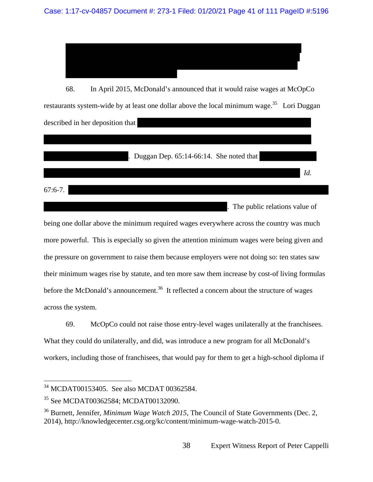68. In April 2015, McDonald's announced that it would raise wages at McOpCo restaurants system-wide by at least one dollar above the local minimum wage.<sup>35</sup> Lori Duggan described in her deposition that

. Duggan Dep. 65:14-66:14. She noted that

 $67:6-7.$ 

 $\overline{a}$ 

The public relations value of

*Id.*

being one dollar above the minimum required wages everywhere across the country was much more powerful. This is especially so given the attention minimum wages were being given and the pressure on government to raise them because employers were not doing so: ten states saw their minimum wages rise by statute, and ten more saw them increase by cost-of living formulas before the McDonald's announcement.<sup>36</sup> It reflected a concern about the structure of wages across the system.

69. McOpCo could not raise those entry-level wages unilaterally at the franchisees. What they could do unilaterally, and did, was introduce a new program for all McDonald's workers, including those of franchisees, that would pay for them to get a high-school diploma if

<sup>34</sup> MCDAT00153405. See also MCDAT 00362584.

<sup>&</sup>lt;sup>35</sup> See MCDAT00362584; MCDAT00132090.

<sup>36</sup> Burnett, Jennifer, *Minimum Wage Watch 2015*, The Council of State Governments (Dec. 2, 2014), http://knowledgecenter.csg.org/kc/content/minimum-wage-watch-2015-0.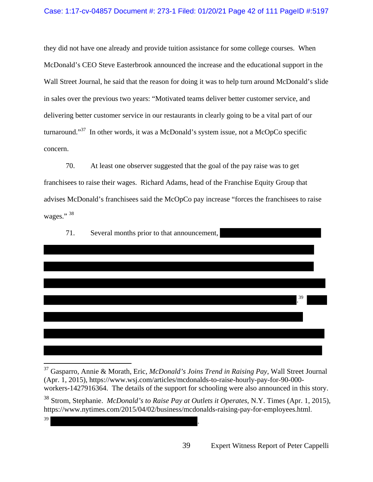### Case: 1:17-cv-04857 Document #: 273-1 Filed: 01/20/21 Page 42 of 111 PageID #:5197

they did not have one already and provide tuition assistance for some college courses. When McDonald's CEO Steve Easterbrook announced the increase and the educational support in the Wall Street Journal, he said that the reason for doing it was to help turn around McDonald's slide in sales over the previous two years: "Motivated teams deliver better customer service, and delivering better customer service in our restaurants in clearly going to be a vital part of our turnaround."37 In other words, it was a McDonald's system issue, not a McOpCo specific concern.

70. At least one observer suggested that the goal of the pay raise was to get franchisees to raise their wages. Richard Adams, head of the Franchise Equity Group that advises McDonald's franchisees said the McOpCo pay increase "forces the franchisees to raise wages." 38



<sup>37</sup> Gasparro, Annie & Morath, Eric, *McDonald's Joins Trend in Raising Pay*, Wall Street Journal (Apr. 1, 2015), https://www.wsj.com/articles/mcdonalds-to-raise-hourly-pay-for-90-000 workers-1427916364. The details of the support for schooling were also announced in this story.

 $39$  .

39 Expert Witness Report of Peter Cappelli

<sup>38</sup> Strom, Stephanie. *McDonald's to Raise Pay at Outlets it Operates*, N.Y. Times (Apr. 1, 2015), https://www.nytimes.com/2015/04/02/business/mcdonalds-raising-pay-for-employees.html.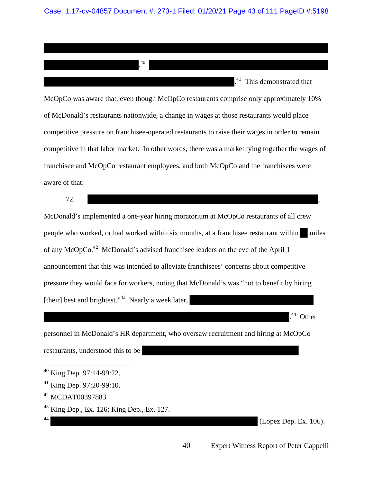Case: 1:17-cv-04857 Document #: 273-1 Filed: 01/20/21 Page 43 of 111 PageID #:5198

. 40 . 41 This demonstrated that McOpCo was aware that, even though McOpCo restaurants comprise only approximately 10% of McDonald's restaurants nationwide, a change in wages at those restaurants would place competitive pressure on franchisee-operated restaurants to raise their wages in order to remain competitive in that labor market. In other words, there was a market tying together the wages of franchisee and McOpCo restaurant employees, and both McOpCo and the franchisees were aware of that.

 $72.$ McDonald's implemented a one-year hiring moratorium at McOpCo restaurants of all crew people who worked, or had worked within six months, at a franchisee restaurant within miles of any McOpCo.42 McDonald's advised franchisee leaders on the eve of the April 1 announcement that this was intended to alleviate franchisees' concerns about competitive pressure they would face for workers, noting that McDonald's was "not to benefit by hiring [their] best and brightest."<sup>43</sup> Nearly a week later,

. 44 Other

personnel in McDonald's HR department, who oversaw recruitment and hiring at McOpCo

restaurants, understood this to be

 $(Lopez Dep. Ex. 106).$ 

 $40$  King Dep. 97:14-99:22.

<sup>41</sup> King Dep. 97:20-99:10.

<sup>&</sup>lt;sup>42</sup> MCDAT00397883.

 $43$  King Dep., Ex. 126; King Dep., Ex. 127.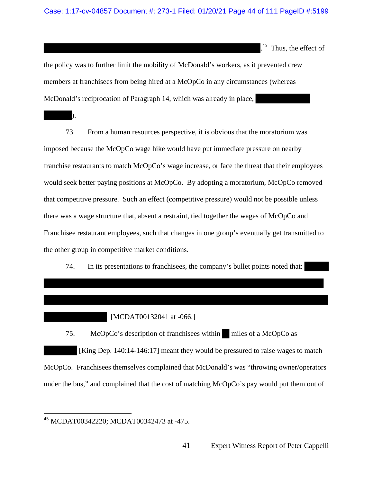<sup>45</sup> Thus, the effect of

the policy was to further limit the mobility of McDonald's workers, as it prevented crew members at franchisees from being hired at a McOpCo in any circumstances (whereas McDonald's reciprocation of Paragraph 14, which was already in place,

73. From a human resources perspective, it is obvious that the moratorium was imposed because the McOpCo wage hike would have put immediate pressure on nearby franchise restaurants to match McOpCo's wage increase, or face the threat that their employees would seek better paying positions at McOpCo. By adopting a moratorium, McOpCo removed that competitive pressure. Such an effect (competitive pressure) would not be possible unless there was a wage structure that, absent a restraint, tied together the wages of McOpCo and Franchisee restaurant employees, such that changes in one group's eventually get transmitted to the other group in competitive market conditions.

74. In its presentations to franchisees, the company's bullet points noted that:

[MCDAT00132041 at -066.]

75. McOpCo's description of franchisees within miles of a McOpCo as [King Dep. 140:14-146:17] meant they would be pressured to raise wages to match McOpCo. Franchisees themselves complained that McDonald's was "throwing owner/operators under the bus," and complained that the cost of matching McOpCo's pay would put them out of

).

<sup>45</sup> MCDAT00342220; MCDAT00342473 at -475.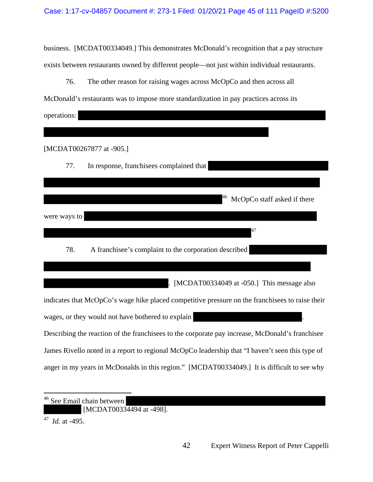business. [MCDAT00334049.] This demonstrates McDonald's recognition that a pay structure exists between restaurants owned by different people—not just within individual restaurants.

76. The other reason for raising wages across McOpCo and then across all McDonald's restaurants was to impose more standardization in pay practices across its operations:

|              | [MCDAT00267877 at -905.]                                                                        |
|--------------|-------------------------------------------------------------------------------------------------|
| 77.          | In response, franchisees complained that                                                        |
|              |                                                                                                 |
|              | McOpCo staff asked if there                                                                     |
| were ways to |                                                                                                 |
|              |                                                                                                 |
| 78.          | A franchise e's complaint to the corporation described                                          |
|              |                                                                                                 |
|              | [MCDAT00334049 at -050.] This message also                                                      |
|              | indicates that McOpCo's wage hike placed competitive pressure on the franchisees to raise their |
|              | wages, or they would not have bothered to explain                                               |
|              | Describing the reaction of the franchisees to the corporate pay increase, McDonald's franchisee |
|              | James Rivello noted in a report to regional McOpCo leadership that "I haven't seen this type of |

anger in my years in McDonalds in this region." [MCDAT00334049.] It is difficult to see why

 $\overline{a}$ <sup>46</sup> See Email chain between [MCDAT00334494 at -498].

47 *Id.* at -495.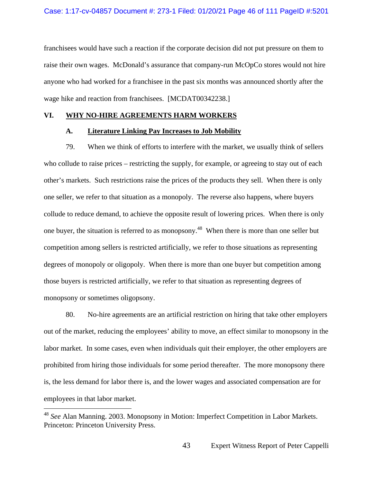franchisees would have such a reaction if the corporate decision did not put pressure on them to raise their own wages. McDonald's assurance that company-run McOpCo stores would not hire anyone who had worked for a franchisee in the past six months was announced shortly after the wage hike and reaction from franchisees. [MCDAT00342238.]

### **VI. WHY NO-HIRE AGREEMENTS HARM WORKERS**

### **A. Literature Linking Pay Increases to Job Mobility**

79. When we think of efforts to interfere with the market, we usually think of sellers who collude to raise prices – restricting the supply, for example, or agreeing to stay out of each other's markets. Such restrictions raise the prices of the products they sell. When there is only one seller, we refer to that situation as a monopoly. The reverse also happens, where buyers collude to reduce demand, to achieve the opposite result of lowering prices. When there is only one buyer, the situation is referred to as monopsony.48 When there is more than one seller but competition among sellers is restricted artificially, we refer to those situations as representing degrees of monopoly or oligopoly. When there is more than one buyer but competition among those buyers is restricted artificially, we refer to that situation as representing degrees of monopsony or sometimes oligopsony.

80. No-hire agreements are an artificial restriction on hiring that take other employers out of the market, reducing the employees' ability to move, an effect similar to monopsony in the labor market. In some cases, even when individuals quit their employer, the other employers are prohibited from hiring those individuals for some period thereafter. The more monopsony there is, the less demand for labor there is, and the lower wages and associated compensation are for employees in that labor market.

<sup>48</sup> *See* Alan Manning. 2003. Monopsony in Motion: Imperfect Competition in Labor Markets. Princeton: Princeton University Press.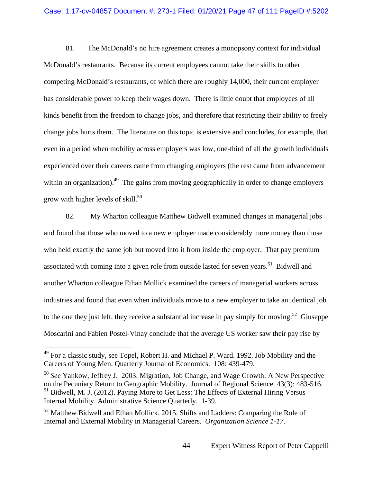81. The McDonald's no hire agreement creates a monopsony context for individual McDonald's restaurants. Because its current employees cannot take their skills to other competing McDonald's restaurants, of which there are roughly 14,000, their current employer has considerable power to keep their wages down. There is little doubt that employees of all kinds benefit from the freedom to change jobs, and therefore that restricting their ability to freely change jobs hurts them. The literature on this topic is extensive and concludes, for example, that even in a period when mobility across employers was low, one-third of all the growth individuals experienced over their careers came from changing employers (the rest came from advancement within an organization).<sup>49</sup> The gains from moving geographically in order to change employers grow with higher levels of skill. $50$ 

82. My Wharton colleague Matthew Bidwell examined changes in managerial jobs and found that those who moved to a new employer made considerably more money than those who held exactly the same job but moved into it from inside the employer. That pay premium associated with coming into a given role from outside lasted for seven years.<sup>51</sup> Bidwell and another Wharton colleague Ethan Mollick examined the careers of managerial workers across industries and found that even when individuals move to a new employer to take an identical job to the one they just left, they receive a substantial increase in pay simply for moving.<sup>52</sup> Giuseppe Moscarini and Fabien Postel-Vinay conclude that the average US worker saw their pay rise by

 $49$  For a classic study, see Topel, Robert H. and Michael P. Ward. 1992. Job Mobility and the Careers of Young Men. Quarterly Journal of Economics. 108: 439-479.

<sup>50</sup> *See* Yankow, Jeffrey J. 2003. Migration, Job Change, and Wage Growth: A New Perspective on the Pecuniary Return to Geographic Mobility. Journal of Regional Science. 43(3): 483-516. <sup>51</sup> Bidwell, M. J. (2012). Paying More to Get Less: The Effects of External Hiring Versus Internal Mobility. Administrative Science Quarterly. 1-39.

<sup>&</sup>lt;sup>52</sup> Matthew Bidwell and Ethan Mollick. 2015. Shifts and Ladders: Comparing the Role of Internal and External Mobility in Managerial Careers. *Organization Science 1-17.*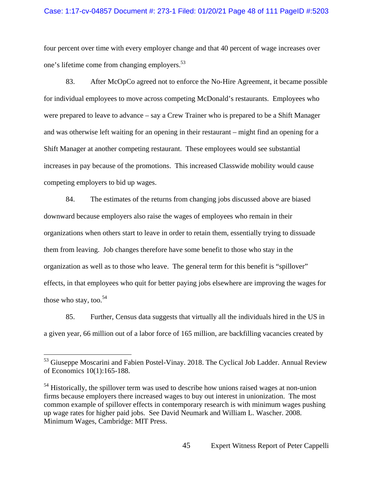### Case: 1:17-cv-04857 Document #: 273-1 Filed: 01/20/21 Page 48 of 111 PageID #:5203

four percent over time with every employer change and that 40 percent of wage increases over one's lifetime come from changing employers.53

83. After McOpCo agreed not to enforce the No-Hire Agreement, it became possible for individual employees to move across competing McDonald's restaurants. Employees who were prepared to leave to advance – say a Crew Trainer who is prepared to be a Shift Manager and was otherwise left waiting for an opening in their restaurant – might find an opening for a Shift Manager at another competing restaurant. These employees would see substantial increases in pay because of the promotions. This increased Classwide mobility would cause competing employers to bid up wages.

84. The estimates of the returns from changing jobs discussed above are biased downward because employers also raise the wages of employees who remain in their organizations when others start to leave in order to retain them, essentially trying to dissuade them from leaving. Job changes therefore have some benefit to those who stay in the organization as well as to those who leave. The general term for this benefit is "spillover" effects, in that employees who quit for better paying jobs elsewhere are improving the wages for those who stay, too. $54$ 

85. Further, Census data suggests that virtually all the individuals hired in the US in a given year, 66 million out of a labor force of 165 million, are backfilling vacancies created by

<sup>53</sup> Giuseppe Moscarini and Fabien Postel-Vinay. 2018. The Cyclical Job Ladder. Annual Review of Economics 10(1):165-188.

<sup>&</sup>lt;sup>54</sup> Historically, the spillover term was used to describe how unions raised wages at non-union firms because employers there increased wages to buy out interest in unionization. The most common example of spillover effects in contemporary research is with minimum wages pushing up wage rates for higher paid jobs. See David Neumark and William L. Wascher. 2008. Minimum Wages, Cambridge: MIT Press.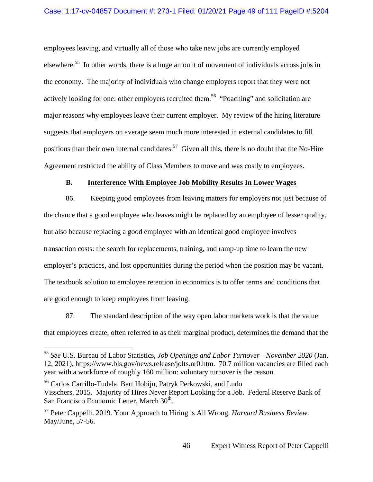#### Case: 1:17-cv-04857 Document #: 273-1 Filed: 01/20/21 Page 49 of 111 PageID #:5204

employees leaving, and virtually all of those who take new jobs are currently employed elsewhere.55 In other words, there is a huge amount of movement of individuals across jobs in the economy. The majority of individuals who change employers report that they were not actively looking for one: other employers recruited them.<sup>56</sup> "Poaching" and solicitation are major reasons why employees leave their current employer. My review of the hiring literature suggests that employers on average seem much more interested in external candidates to fill positions than their own internal candidates.<sup>57</sup> Given all this, there is no doubt that the No-Hire Agreement restricted the ability of Class Members to move and was costly to employees.

### **B. Interference With Employee Job Mobility Results In Lower Wages**

86. Keeping good employees from leaving matters for employers not just because of the chance that a good employee who leaves might be replaced by an employee of lesser quality, but also because replacing a good employee with an identical good employee involves transaction costs: the search for replacements, training, and ramp-up time to learn the new employer's practices, and lost opportunities during the period when the position may be vacant. The textbook solution to employee retention in economics is to offer terms and conditions that are good enough to keep employees from leaving.

87. The standard description of the way open labor markets work is that the value that employees create, often referred to as their marginal product, determines the demand that the

<sup>55</sup> *See* U.S. Bureau of Labor Statistics, *Job Openings and Labor Turnover—November 2020* (Jan. 12, 2021), https://www.bls.gov/news.release/jolts.nr0.htm. 70.7 million vacancies are filled each year with a workforce of roughly 160 million: voluntary turnover is the reason.

<sup>56</sup> Carlos Carrillo-Tudela, Bart Hobijn, Patryk Perkowski, and Ludo Visschers. 2015. Majority of Hires Never Report Looking for a Job. Federal Reserve Bank of San Francisco Economic Letter, March 30<sup>th</sup>.

<sup>57</sup> Peter Cappelli. 2019. Your Approach to Hiring is All Wrong. *Harvard Business Review*. May/June, 57-56.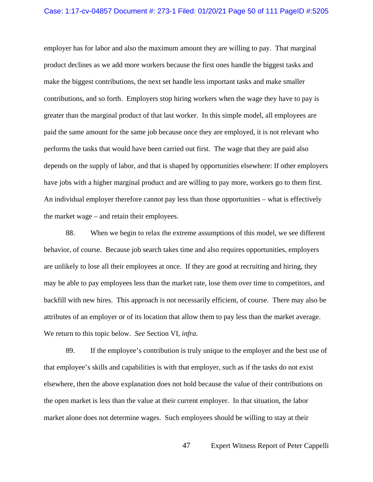employer has for labor and also the maximum amount they are willing to pay. That marginal product declines as we add more workers because the first ones handle the biggest tasks and make the biggest contributions, the next set handle less important tasks and make smaller contributions, and so forth. Employers stop hiring workers when the wage they have to pay is greater than the marginal product of that last worker. In this simple model, all employees are paid the same amount for the same job because once they are employed, it is not relevant who performs the tasks that would have been carried out first. The wage that they are paid also depends on the supply of labor, and that is shaped by opportunities elsewhere: If other employers have jobs with a higher marginal product and are willing to pay more, workers go to them first. An individual employer therefore cannot pay less than those opportunities – what is effectively the market wage – and retain their employees.

88. When we begin to relax the extreme assumptions of this model, we see different behavior, of course. Because job search takes time and also requires opportunities, employers are unlikely to lose all their employees at once. If they are good at recruiting and hiring, they may be able to pay employees less than the market rate, lose them over time to competitors, and backfill with new hires. This approach is not necessarily efficient, of course. There may also be attributes of an employer or of its location that allow them to pay less than the market average. We return to this topic below. *See* Section VI, *infra.*

89. If the employee's contribution is truly unique to the employer and the best use of that employee's skills and capabilities is with that employer, such as if the tasks do not exist elsewhere, then the above explanation does not hold because the value of their contributions on the open market is less than the value at their current employer. In that situation, the labor market alone does not determine wages. Such employees should be willing to stay at their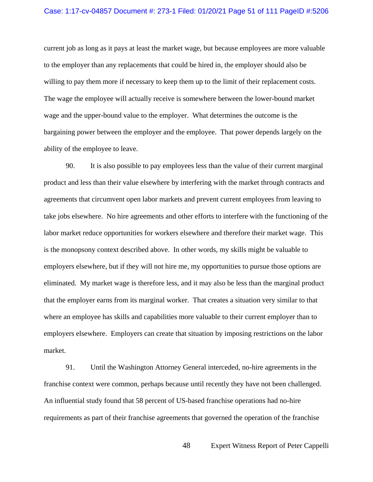#### Case: 1:17-cv-04857 Document #: 273-1 Filed: 01/20/21 Page 51 of 111 PageID #:5206

current job as long as it pays at least the market wage, but because employees are more valuable to the employer than any replacements that could be hired in, the employer should also be willing to pay them more if necessary to keep them up to the limit of their replacement costs. The wage the employee will actually receive is somewhere between the lower-bound market wage and the upper-bound value to the employer. What determines the outcome is the bargaining power between the employer and the employee. That power depends largely on the ability of the employee to leave.

90. It is also possible to pay employees less than the value of their current marginal product and less than their value elsewhere by interfering with the market through contracts and agreements that circumvent open labor markets and prevent current employees from leaving to take jobs elsewhere. No hire agreements and other efforts to interfere with the functioning of the labor market reduce opportunities for workers elsewhere and therefore their market wage. This is the monopsony context described above. In other words, my skills might be valuable to employers elsewhere, but if they will not hire me, my opportunities to pursue those options are eliminated. My market wage is therefore less, and it may also be less than the marginal product that the employer earns from its marginal worker. That creates a situation very similar to that where an employee has skills and capabilities more valuable to their current employer than to employers elsewhere. Employers can create that situation by imposing restrictions on the labor market.

91. Until the Washington Attorney General interceded, no-hire agreements in the franchise context were common, perhaps because until recently they have not been challenged. An influential study found that 58 percent of US-based franchise operations had no-hire requirements as part of their franchise agreements that governed the operation of the franchise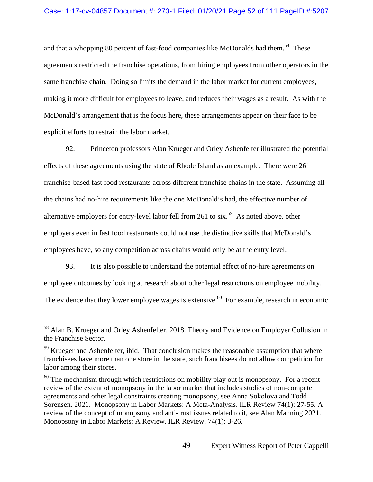### Case: 1:17-cv-04857 Document #: 273-1 Filed: 01/20/21 Page 52 of 111 PageID #:5207

and that a whopping 80 percent of fast-food companies like McDonalds had them.<sup>58</sup> These agreements restricted the franchise operations, from hiring employees from other operators in the same franchise chain. Doing so limits the demand in the labor market for current employees, making it more difficult for employees to leave, and reduces their wages as a result. As with the McDonald's arrangement that is the focus here, these arrangements appear on their face to be explicit efforts to restrain the labor market.

92. Princeton professors Alan Krueger and Orley Ashenfelter illustrated the potential effects of these agreements using the state of Rhode Island as an example. There were 261 franchise-based fast food restaurants across different franchise chains in the state. Assuming all the chains had no-hire requirements like the one McDonald's had, the effective number of alternative employers for entry-level labor fell from 261 to  $s$ ix.<sup>59</sup> As noted above, other employers even in fast food restaurants could not use the distinctive skills that McDonald's employees have, so any competition across chains would only be at the entry level.

93. It is also possible to understand the potential effect of no-hire agreements on employee outcomes by looking at research about other legal restrictions on employee mobility. The evidence that they lower employee wages is extensive.<sup>60</sup> For example, research in economic

<sup>&</sup>lt;sup>58</sup> Alan B. Krueger and Orley Ashenfelter. 2018. Theory and Evidence on Employer Collusion in the Franchise Sector.

<sup>&</sup>lt;sup>59</sup> Krueger and Ashenfelter, ibid. That conclusion makes the reasonable assumption that where franchisees have more than one store in the state, such franchisees do not allow competition for labor among their stores.

 $60$  The mechanism through which restrictions on mobility play out is monopsony. For a recent review of the extent of monopsony in the labor market that includes studies of non-compete agreements and other legal constraints creating monopsony, see Anna Sokolova and Todd Sorensen. 2021. Monopsony in Labor Markets: A Meta-Analysis. ILR Review 74(1): 27-55. A review of the concept of monopsony and anti-trust issues related to it, see Alan Manning 2021. Monopsony in Labor Markets: A Review. ILR Review. 74(1): 3-26.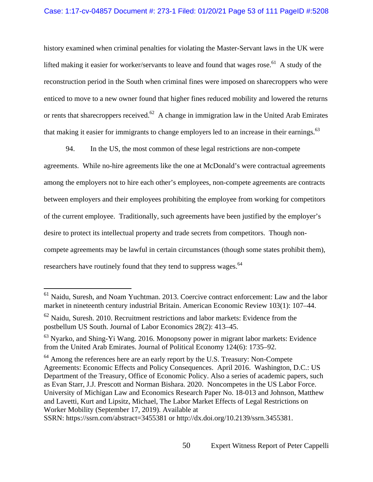### Case: 1:17-cv-04857 Document #: 273-1 Filed: 01/20/21 Page 53 of 111 PageID #:5208

history examined when criminal penalties for violating the Master-Servant laws in the UK were lifted making it easier for worker/servants to leave and found that wages rose.<sup>61</sup> A study of the reconstruction period in the South when criminal fines were imposed on sharecroppers who were enticed to move to a new owner found that higher fines reduced mobility and lowered the returns or rents that sharecroppers received.<sup>62</sup> A change in immigration law in the United Arab Emirates that making it easier for immigrants to change employers led to an increase in their earnings.<sup>63</sup>

94. In the US, the most common of these legal restrictions are non-compete agreements. While no-hire agreements like the one at McDonald's were contractual agreements among the employers not to hire each other's employees, non-compete agreements are contracts between employers and their employees prohibiting the employee from working for competitors of the current employee. Traditionally, such agreements have been justified by the employer's desire to protect its intellectual property and trade secrets from competitors. Though noncompete agreements may be lawful in certain circumstances (though some states prohibit them), researchers have routinely found that they tend to suppress wages.<sup>64</sup>

<sup>&</sup>lt;sup>61</sup> Naidu, Suresh, and Noam Yuchtman. 2013. Coercive contract enforcement: Law and the labor market in nineteenth century industrial Britain. American Economic Review 103(1): 107–44.

 $62$  Naidu, Suresh. 2010. Recruitment restrictions and labor markets: Evidence from the postbellum US South. Journal of Labor Economics 28(2): 413–45.

<sup>&</sup>lt;sup>63</sup> Nyarko, and Shing-Yi Wang. 2016. Monopsony power in migrant labor markets: Evidence from the United Arab Emirates. Journal of Political Economy 124(6): 1735–92.

<sup>&</sup>lt;sup>64</sup> Among the references here are an early report by the U.S. Treasury: Non-Compete Agreements: Economic Effects and Policy Consequences. April 2016. Washington, D.C.: US Department of the Treasury, Office of Economic Policy. Also a series of academic papers, such as Evan Starr, J.J. Prescott and Norman Bishara. 2020. Noncompetes in the US Labor Force. University of Michigan Law and Economics Research Paper No. 18-013 and Johnson, Matthew and Lavetti, Kurt and Lipsitz, Michael, The Labor Market Effects of Legal Restrictions on Worker Mobility (September 17, 2019). Available at

SSRN: https://ssrn.com/abstract=3455381 or http://dx.doi.org/10.2139/ssrn.3455381.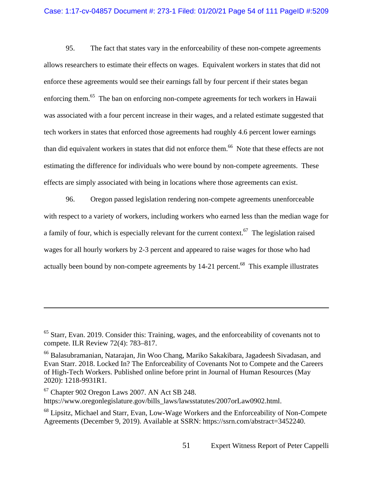#### Case: 1:17-cv-04857 Document #: 273-1 Filed: 01/20/21 Page 54 of 111 PageID #:5209

95. The fact that states vary in the enforceability of these non-compete agreements allows researchers to estimate their effects on wages. Equivalent workers in states that did not enforce these agreements would see their earnings fall by four percent if their states began enforcing them.<sup>65</sup> The ban on enforcing non-compete agreements for tech workers in Hawaii was associated with a four percent increase in their wages, and a related estimate suggested that tech workers in states that enforced those agreements had roughly 4.6 percent lower earnings than did equivalent workers in states that did not enforce them.<sup>66</sup> Note that these effects are not estimating the difference for individuals who were bound by non-compete agreements. These effects are simply associated with being in locations where those agreements can exist.

96. Oregon passed legislation rendering non-compete agreements unenforceable with respect to a variety of workers, including workers who earned less than the median wage for a family of four, which is especially relevant for the current context.<sup>67</sup> The legislation raised wages for all hourly workers by 2-3 percent and appeared to raise wages for those who had actually been bound by non-compete agreements by 14-21 percent.<sup>68</sup> This example illustrates

67 Chapter 902 Oregon Laws 2007. AN Act SB 248.

 $\overline{a}$ 

https://www.oregonlegislature.gov/bills\_laws/lawsstatutes/2007orLaw0902.html.

<sup>&</sup>lt;sup>65</sup> Starr, Evan. 2019. Consider this: Training, wages, and the enforceability of covenants not to compete. ILR Review 72(4): 783–817.

<sup>66</sup> Balasubramanian, Natarajan, Jin Woo Chang, Mariko Sakakibara, Jagadeesh Sivadasan, and Evan Starr. 2018. Locked In? The Enforceability of Covenants Not to Compete and the Careers of High-Tech Workers. Published online before print in Journal of Human Resources (May 2020): 1218-9931R1.

<sup>&</sup>lt;sup>68</sup> Lipsitz, Michael and Starr, Evan, Low-Wage Workers and the Enforceability of Non-Compete Agreements (December 9, 2019). Available at SSRN: https://ssrn.com/abstract=3452240.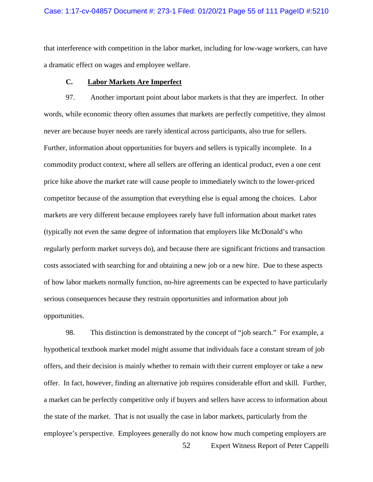#### Case: 1:17-cv-04857 Document #: 273-1 Filed: 01/20/21 Page 55 of 111 PageID #:5210

that interference with competition in the labor market, including for low-wage workers, can have a dramatic effect on wages and employee welfare.

### **C. Labor Markets Are Imperfect**

97. Another important point about labor markets is that they are imperfect. In other words, while economic theory often assumes that markets are perfectly competitive, they almost never are because buyer needs are rarely identical across participants, also true for sellers. Further, information about opportunities for buyers and sellers is typically incomplete. In a commodity product context, where all sellers are offering an identical product, even a one cent price hike above the market rate will cause people to immediately switch to the lower-priced competitor because of the assumption that everything else is equal among the choices. Labor markets are very different because employees rarely have full information about market rates (typically not even the same degree of information that employers like McDonald's who regularly perform market surveys do), and because there are significant frictions and transaction costs associated with searching for and obtaining a new job or a new hire. Due to these aspects of how labor markets normally function, no-hire agreements can be expected to have particularly serious consequences because they restrain opportunities and information about job opportunities.

98. This distinction is demonstrated by the concept of "job search." For example, a hypothetical textbook market model might assume that individuals face a constant stream of job offers, and their decision is mainly whether to remain with their current employer or take a new offer. In fact, however, finding an alternative job requires considerable effort and skill. Further, a market can be perfectly competitive only if buyers and sellers have access to information about the state of the market. That is not usually the case in labor markets, particularly from the employee's perspective. Employees generally do not know how much competing employers are

52 Expert Witness Report of Peter Cappelli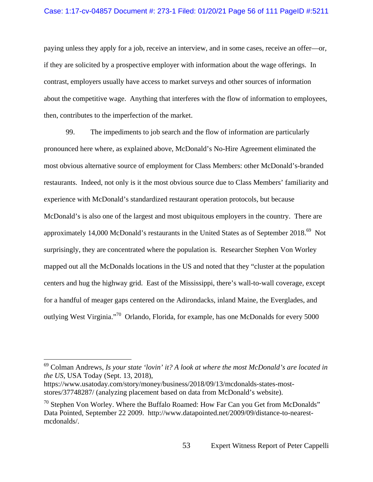#### Case: 1:17-cv-04857 Document #: 273-1 Filed: 01/20/21 Page 56 of 111 PageID #:5211

paying unless they apply for a job, receive an interview, and in some cases, receive an offer—or, if they are solicited by a prospective employer with information about the wage offerings. In contrast, employers usually have access to market surveys and other sources of information about the competitive wage. Anything that interferes with the flow of information to employees, then, contributes to the imperfection of the market.

99. The impediments to job search and the flow of information are particularly pronounced here where, as explained above, McDonald's No-Hire Agreement eliminated the most obvious alternative source of employment for Class Members: other McDonald's-branded restaurants. Indeed, not only is it the most obvious source due to Class Members' familiarity and experience with McDonald's standardized restaurant operation protocols, but because McDonald's is also one of the largest and most ubiquitous employers in the country. There are approximately 14,000 McDonald's restaurants in the United States as of September 2018.<sup>69</sup> Not surprisingly, they are concentrated where the population is. Researcher Stephen Von Worley mapped out all the McDonalds locations in the US and noted that they "cluster at the population centers and hug the highway grid. East of the Mississippi, there's wall-to-wall coverage, except for a handful of meager gaps centered on the Adirondacks, inland Maine, the Everglades, and outlying West Virginia."70 Orlando, Florida, for example, has one McDonalds for every 5000

<sup>69</sup> Colman Andrews, *Is your state 'lovin' it? A look at where the most McDonald's are located in the US*, USA Today (Sept. 13, 2018),

https://www.usatoday.com/story/money/business/2018/09/13/mcdonalds-states-moststores/37748287/ (analyzing placement based on data from McDonald's website).

 $70$  Stephen Von Worley. Where the Buffalo Roamed: How Far Can you Get from McDonalds" Data Pointed, September 22 2009. http://www.datapointed.net/2009/09/distance-to-nearestmcdonalds/.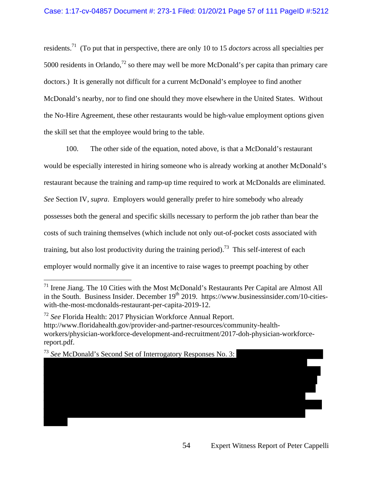residents.71 (To put that in perspective, there are only 10 to 15 *doctors* across all specialties per 5000 residents in Orlando,<sup>72</sup> so there may well be more McDonald's per capita than primary care doctors.) It is generally not difficult for a current McDonald's employee to find another McDonald's nearby, nor to find one should they move elsewhere in the United States. Without the No-Hire Agreement, these other restaurants would be high-value employment options given the skill set that the employee would bring to the table.

100. The other side of the equation, noted above, is that a McDonald's restaurant would be especially interested in hiring someone who is already working at another McDonald's restaurant because the training and ramp-up time required to work at McDonalds are eliminated. *See* Section IV, *supra*. Employers would generally prefer to hire somebody who already possesses both the general and specific skills necessary to perform the job rather than bear the costs of such training themselves (which include not only out-of-pocket costs associated with training, but also lost productivity during the training period).<sup>73</sup> This self-interest of each employer would normally give it an incentive to raise wages to preempt poaching by other

<sup>73</sup> *See* McDonald's Second Set of Interrogatory Responses No. 3:

 $71$  Irene Jiang. The 10 Cities with the Most McDonald's Restaurants Per Capital are Almost All in the South. Business Insider. December  $19<sup>th</sup>$  2019. https://www.businessinsider.com/10-citieswith-the-most-mcdonalds-restaurant-per-capita-2019-12.

<sup>72</sup> *See* Florida Health: 2017 Physician Workforce Annual Report. http://www.floridahealth.gov/provider-and-partner-resources/community-healthworkers/physician-workforce-development-and-recruitment/2017-doh-physician-workforcereport.pdf.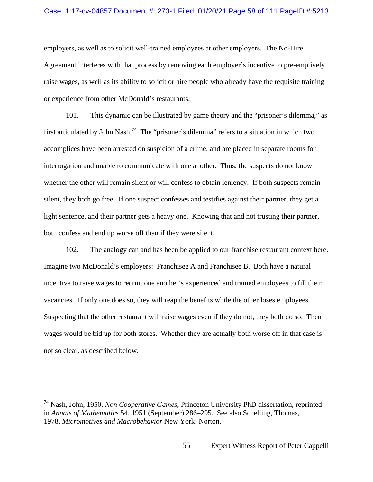### Case: 1:17-cv-04857 Document #: 273-1 Filed: 01/20/21 Page 58 of 111 PageID #:5213

employers, as well as to solicit well-trained employees at other employers. The No-Hire Agreement interferes with that process by removing each employer's incentive to pre-emptively raise wages, as well as its ability to solicit or hire people who already have the requisite training or experience from other McDonald's restaurants.

101. This dynamic can be illustrated by game theory and the "prisoner's dilemma," as first articulated by John Nash.<sup>74</sup> The "prisoner's dilemma" refers to a situation in which two accomplices have been arrested on suspicion of a crime, and are placed in separate rooms for interrogation and unable to communicate with one another. Thus, the suspects do not know whether the other will remain silent or will confess to obtain leniency. If both suspects remain silent, they both go free. If one suspect confesses and testifies against their partner, they get a light sentence, and their partner gets a heavy one. Knowing that and not trusting their partner, both confess and end up worse off than if they were silent.

102. The analogy can and has been be applied to our franchise restaurant context here. Imagine two McDonald's employers: Franchisee A and Franchisee B. Both have a natural incentive to raise wages to recruit one another's experienced and trained employees to fill their vacancies. If only one does so, they will reap the benefits while the other loses employees. Suspecting that the other restaurant will raise wages even if they do not, they both do so. Then wages would be bid up for both stores. Whether they are actually both worse off in that case is not so clear, as described below.

<sup>74</sup> Nash, John, 1950, *Non Cooperative Games*, Princeton University PhD dissertation, reprinted in *Annals of Mathematics* 54, 1951 (September) 286–295. See also Schelling, Thomas, 1978, *Micromotives and Macrobehavior* New York: Norton.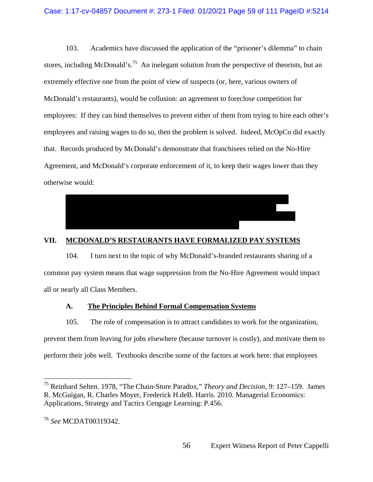103. Academics have discussed the application of the "prisoner's dilemma" to chain stores, including McDonald's.<sup>75</sup> An inelegant solution from the perspective of theorists, but an extremely effective one from the point of view of suspects (or, here, various owners of McDonald's restaurants), would be collusion: an agreement to foreclose competition for employees: If they can bind themselves to prevent either of them from trying to hire each other's employees and raising wages to do so, then the problem is solved. Indeed, McOpCo did exactly that. Records produced by McDonald's demonstrate that franchisees relied on the No-Hire Agreement, and McDonald's corporate enforcement of it, to keep their wages lower than they otherwise would:



### **VII. MCDONALD'S RESTAURANTS HAVE FORMALIZED PAY SYSTEMS**

104. I turn next to the topic of why McDonald's-branded restaurants sharing of a common pay system means that wage suppression from the No-Hire Agreement would impact all or nearly all Class Members.

### **A. The Principles Behind Formal Compensation Systems**

105. The role of compensation is to attract candidates to work for the organization, prevent them from leaving for jobs elsewhere (because turnover is costly), and motivate them to perform their jobs well. Textbooks describe some of the factors at work here: that employees

<sup>75</sup> Reinhard Selten. 1978, "The Chain-Store Paradox," *Theory and Decision*, 9: 127–159. James R. McGuigan, R. Charles Moyer, Frederick H.deB. Harris. 2010. Managerial Economics: Applications, Strategy and Tactics Cengage Learning: P.456.

<sup>76</sup> *See* MCDAT00319342.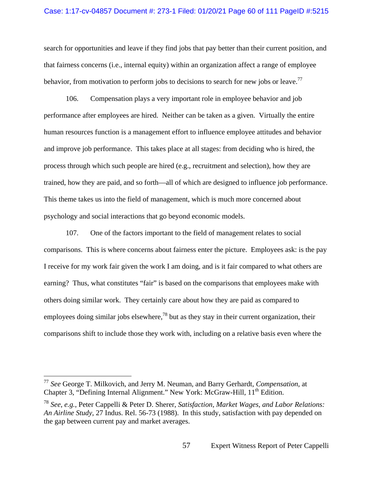#### Case: 1:17-cv-04857 Document #: 273-1 Filed: 01/20/21 Page 60 of 111 PageID #:5215

search for opportunities and leave if they find jobs that pay better than their current position, and that fairness concerns (i.e., internal equity) within an organization affect a range of employee behavior, from motivation to perform jobs to decisions to search for new jobs or leave.<sup>77</sup>

106. Compensation plays a very important role in employee behavior and job performance after employees are hired. Neither can be taken as a given. Virtually the entire human resources function is a management effort to influence employee attitudes and behavior and improve job performance. This takes place at all stages: from deciding who is hired, the process through which such people are hired (e.g., recruitment and selection), how they are trained, how they are paid, and so forth—all of which are designed to influence job performance. This theme takes us into the field of management, which is much more concerned about psychology and social interactions that go beyond economic models.

107. One of the factors important to the field of management relates to social comparisons. This is where concerns about fairness enter the picture. Employees ask: is the pay I receive for my work fair given the work I am doing, and is it fair compared to what others are earning? Thus, what constitutes "fair" is based on the comparisons that employees make with others doing similar work. They certainly care about how they are paid as compared to employees doing similar jobs elsewhere,<sup>78</sup> but as they stay in their current organization, their comparisons shift to include those they work with, including on a relative basis even where the

<sup>77</sup> *See* George T. Milkovich, and Jerry M. Neuman, and Barry Gerhardt, *Compensation*, at Chapter 3, "Defining Internal Alignment." New York: McGraw-Hill, 11<sup>th</sup> Edition.

<sup>78</sup> *See*, *e.g.*, Peter Cappelli & Peter D. Sherer, *Satisfaction, Market Wages, and Labor Relations: An Airline Study*, 27 Indus. Rel. 56-73 (1988). In this study, satisfaction with pay depended on the gap between current pay and market averages.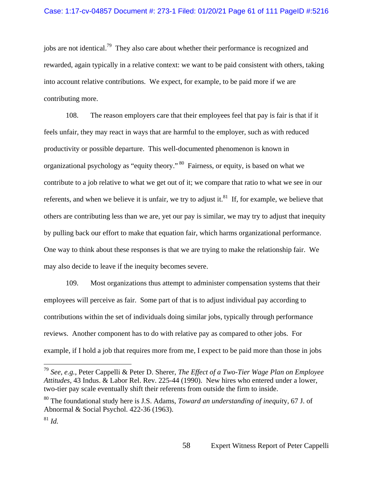jobs are not identical.<sup>79</sup> They also care about whether their performance is recognized and rewarded, again typically in a relative context: we want to be paid consistent with others, taking into account relative contributions. We expect, for example, to be paid more if we are contributing more.

108. The reason employers care that their employees feel that pay is fair is that if it feels unfair, they may react in ways that are harmful to the employer, such as with reduced productivity or possible departure. This well-documented phenomenon is known in organizational psychology as "equity theory." 80 Fairness, or equity, is based on what we contribute to a job relative to what we get out of it; we compare that ratio to what we see in our referents, and when we believe it is unfair, we try to adjust it. $81$  If, for example, we believe that others are contributing less than we are, yet our pay is similar, we may try to adjust that inequity by pulling back our effort to make that equation fair, which harms organizational performance. One way to think about these responses is that we are trying to make the relationship fair. We may also decide to leave if the inequity becomes severe.

109. Most organizations thus attempt to administer compensation systems that their employees will perceive as fair. Some part of that is to adjust individual pay according to contributions within the set of individuals doing similar jobs, typically through performance reviews. Another component has to do with relative pay as compared to other jobs. For example, if I hold a job that requires more from me, I expect to be paid more than those in jobs

<sup>79</sup> *See*, *e.g.*, Peter Cappelli & Peter D. Sherer, *The Effect of a Two-Tier Wage Plan on Employee Attitudes*, 43 Indus. & Labor Rel. Rev. 225-44 (1990). New hires who entered under a lower, two-tier pay scale eventually shift their referents from outside the firm to inside.

<sup>80</sup> The foundational study here is J.S. Adams, *Toward an understanding of inequit*y, 67 J. of Abnormal & Social Psychol. 422-36 (1963).

<sup>81</sup> *Id.*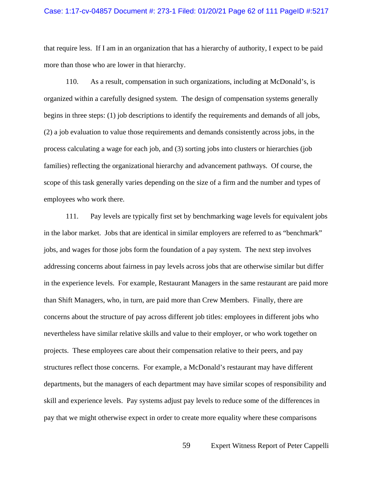#### Case: 1:17-cv-04857 Document #: 273-1 Filed: 01/20/21 Page 62 of 111 PageID #:5217

that require less. If I am in an organization that has a hierarchy of authority, I expect to be paid more than those who are lower in that hierarchy.

110. As a result, compensation in such organizations, including at McDonald's, is organized within a carefully designed system. The design of compensation systems generally begins in three steps: (1) job descriptions to identify the requirements and demands of all jobs, (2) a job evaluation to value those requirements and demands consistently across jobs, in the process calculating a wage for each job, and (3) sorting jobs into clusters or hierarchies (job families) reflecting the organizational hierarchy and advancement pathways. Of course, the scope of this task generally varies depending on the size of a firm and the number and types of employees who work there.

111. Pay levels are typically first set by benchmarking wage levels for equivalent jobs in the labor market. Jobs that are identical in similar employers are referred to as "benchmark" jobs, and wages for those jobs form the foundation of a pay system. The next step involves addressing concerns about fairness in pay levels across jobs that are otherwise similar but differ in the experience levels. For example, Restaurant Managers in the same restaurant are paid more than Shift Managers, who, in turn, are paid more than Crew Members. Finally, there are concerns about the structure of pay across different job titles: employees in different jobs who nevertheless have similar relative skills and value to their employer, or who work together on projects. These employees care about their compensation relative to their peers, and pay structures reflect those concerns. For example, a McDonald's restaurant may have different departments, but the managers of each department may have similar scopes of responsibility and skill and experience levels. Pay systems adjust pay levels to reduce some of the differences in pay that we might otherwise expect in order to create more equality where these comparisons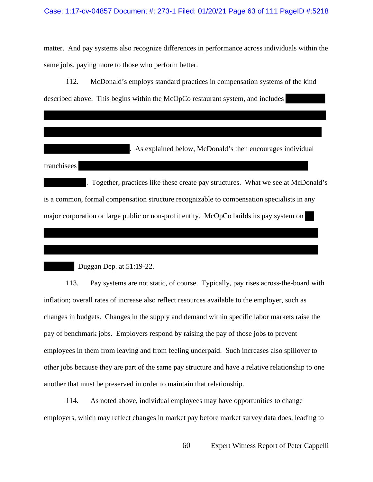matter. And pay systems also recognize differences in performance across individuals within the same jobs, paying more to those who perform better.

112. McDonald's employs standard practices in compensation systems of the kind described above. This begins within the McOpCo restaurant system, and includes

. As explained below, McDonald's then encourages individual

franchisees

. Together, practices like these create pay structures. What we see at McDonald's is a common, formal compensation structure recognizable to compensation specialists in any major corporation or large public or non-profit entity. McOpCo builds its pay system on

Duggan Dep. at 51:19-22.

113. Pay systems are not static, of course. Typically, pay rises across-the-board with inflation; overall rates of increase also reflect resources available to the employer, such as changes in budgets. Changes in the supply and demand within specific labor markets raise the pay of benchmark jobs. Employers respond by raising the pay of those jobs to prevent employees in them from leaving and from feeling underpaid. Such increases also spillover to other jobs because they are part of the same pay structure and have a relative relationship to one another that must be preserved in order to maintain that relationship.

114. As noted above, individual employees may have opportunities to change employers, which may reflect changes in market pay before market survey data does, leading to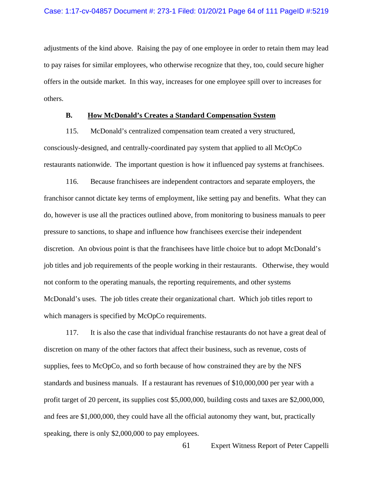adjustments of the kind above. Raising the pay of one employee in order to retain them may lead to pay raises for similar employees, who otherwise recognize that they, too, could secure higher offers in the outside market. In this way, increases for one employee spill over to increases for others.

### **B. How McDonald's Creates a Standard Compensation System**

115. McDonald's centralized compensation team created a very structured, consciously-designed, and centrally-coordinated pay system that applied to all McOpCo restaurants nationwide. The important question is how it influenced pay systems at franchisees.

116. Because franchisees are independent contractors and separate employers, the franchisor cannot dictate key terms of employment, like setting pay and benefits. What they can do, however is use all the practices outlined above, from monitoring to business manuals to peer pressure to sanctions, to shape and influence how franchisees exercise their independent discretion. An obvious point is that the franchisees have little choice but to adopt McDonald's job titles and job requirements of the people working in their restaurants. Otherwise, they would not conform to the operating manuals, the reporting requirements, and other systems McDonald's uses. The job titles create their organizational chart. Which job titles report to which managers is specified by McOpCo requirements.

117. It is also the case that individual franchise restaurants do not have a great deal of discretion on many of the other factors that affect their business, such as revenue, costs of supplies, fees to McOpCo, and so forth because of how constrained they are by the NFS standards and business manuals. If a restaurant has revenues of \$10,000,000 per year with a profit target of 20 percent, its supplies cost \$5,000,000, building costs and taxes are \$2,000,000, and fees are \$1,000,000, they could have all the official autonomy they want, but, practically speaking, there is only \$2,000,000 to pay employees.

61 Expert Witness Report of Peter Cappelli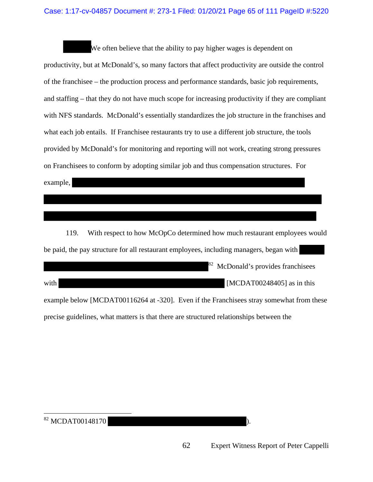### Case: 1:17-cv-04857 Document #: 273-1 Filed: 01/20/21 Page 65 of 111 PageID #:5220

We often believe that the ability to pay higher wages is dependent on productivity, but at McDonald's, so many factors that affect productivity are outside the control of the franchisee – the production process and performance standards, basic job requirements, and staffing – that they do not have much scope for increasing productivity if they are compliant with NFS standards. McDonald's essentially standardizes the job structure in the franchises and what each job entails. If Franchisee restaurants try to use a different job structure, the tools provided by McDonald's for monitoring and reporting will not work, creating strong pressures on Franchisees to conform by adopting similar job and thus compensation structures. For example,

119. With respect to how McOpCo determined how much restaurant employees would be paid, the pay structure for all restaurant employees, including managers, began with

with [MCDAT00248405] as in this example below [MCDAT00116264 at -320]. Even if the Franchisees stray somewhat from these precise guidelines, what matters is that there are structured relationships between the

  $82$  MCDAT00148170 ).

 $82$  McDonald's provides franchisees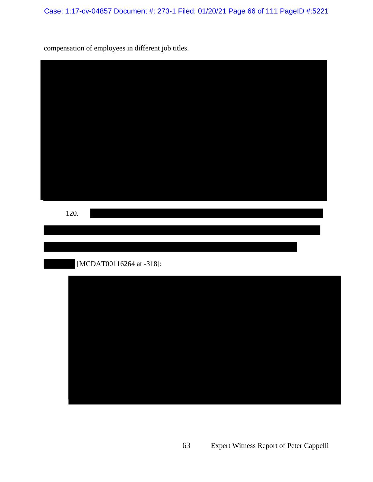Case: 1:17-cv-04857 Document #: 273-1 Filed: 01/20/21 Page 66 of 111 PageID #:5221

compensation of employees in different job titles.

| 120. |                          |  |  |
|------|--------------------------|--|--|
|      | [MCDAT00116264 at -318]: |  |  |
|      |                          |  |  |
|      |                          |  |  |
|      |                          |  |  |
|      |                          |  |  |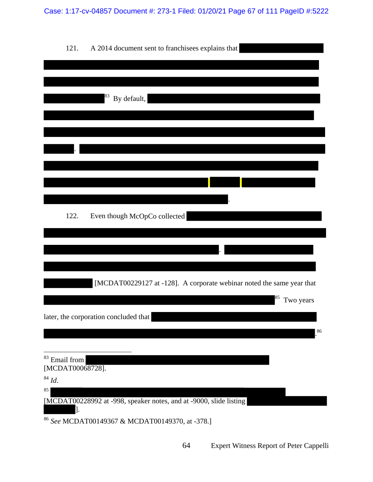| 121.<br>A 2014 document sent to franchisees explains that                    |
|------------------------------------------------------------------------------|
|                                                                              |
|                                                                              |
| 83<br>By default,                                                            |
|                                                                              |
|                                                                              |
|                                                                              |
|                                                                              |
|                                                                              |
|                                                                              |
| 122.<br>Even though McOpCo collected                                         |
|                                                                              |
|                                                                              |
|                                                                              |
|                                                                              |
| [MCDAT00229127 at -128]. A corporate webinar noted the same year that<br>85, |
| Two years                                                                    |
| later, the corporation concluded that<br>86                                  |
|                                                                              |
| <sup>83</sup> Email from                                                     |
| [MCDAT00068728].                                                             |
| $^{84}\, \mathrm{Id.}$<br>85                                                 |
| [MCDAT00228992 at -998, speaker notes, and at -9000, slide listing           |
| <sup>86</sup> See MCDAT00149367 & MCDAT00149370, at -378.]                   |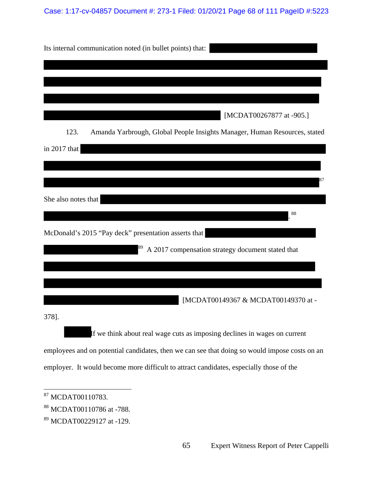## Case: 1:17-cv-04857 Document #: 273-1 Filed: 01/20/21 Page 68 of 111 PageID #:5223

| Its internal communication noted (in bullet points) that:                                                                                                                                |
|------------------------------------------------------------------------------------------------------------------------------------------------------------------------------------------|
|                                                                                                                                                                                          |
| [MCDAT00267877 at -905.]                                                                                                                                                                 |
| 123.<br>Amanda Yarbrough, Global People Insights Manager, Human Resources, stated                                                                                                        |
| in 2017 that                                                                                                                                                                             |
| She also notes that                                                                                                                                                                      |
| 88<br>McDonald's 2015 "Pay deck" presentation asserts that                                                                                                                               |
| A 2017 compensation strategy document stated that                                                                                                                                        |
|                                                                                                                                                                                          |
| [MCDAT00149367 & MCDAT00149370 at -<br>378].                                                                                                                                             |
| If we think about real wage cuts as imposing declines in wages on current                                                                                                                |
| employees and on potential candidates, then we can see that doing so would impose costs on an<br>employer. It would become more difficult to attract candidates, especially those of the |
| <sup>87</sup> MCDAT00110783.                                                                                                                                                             |

<sup>88</sup> MCDAT00110786 at -788.

<sup>89</sup> MCDAT00229127 at -129.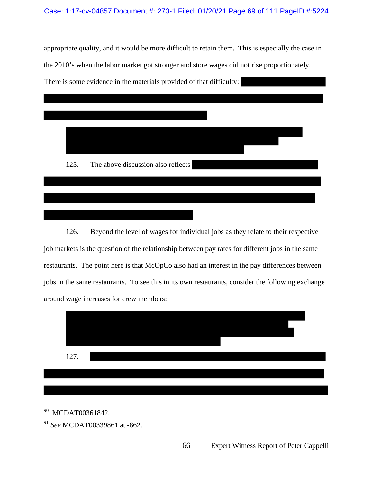### Case: 1:17-cv-04857 Document #: 273-1 Filed: 01/20/21 Page 69 of 111 PageID #:5224

appropriate quality, and it would be more difficult to retain them. This is especially the case in the 2010's when the labor market got stronger and store wages did not rise proportionately. There is some evidence in the materials provided of that difficulty:



126. Beyond the level of wages for individual jobs as they relate to their respective job markets is the question of the relationship between pay rates for different jobs in the same restaurants. The point here is that McOpCo also had an interest in the pay differences between jobs in the same restaurants. To see this in its own restaurants, consider the following exchange around wage increases for crew members:



 $\overline{a}$ <sup>90</sup> MCDAT00361842.

<sup>91</sup> *See* MCDAT00339861 at -862.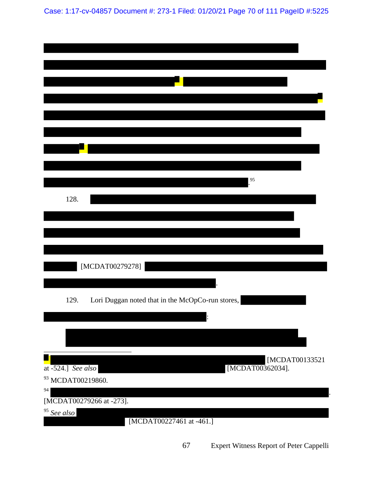Case: 1:17-cv-04857 Document #: 273-1 Filed: 01/20/21 Page 70 of 111 PageID #:5225

| 95                                                          |
|-------------------------------------------------------------|
| 128.                                                        |
|                                                             |
|                                                             |
| [MCDAT00279278]                                             |
| Lori Duggan noted that in the McOpCo-run stores,<br>129.    |
|                                                             |
| [MCDAT00133521                                              |
| [MCDAT00362034].<br>at -524.] See also<br>93 MCDAT00219860. |
| 94<br>[MCDAT00279266 at -273].                              |
| $\frac{95}{\text{See also}}$<br>[MCDAT00227461 at -461.]    |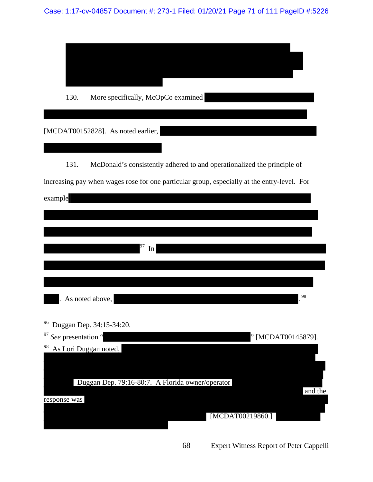| 130.<br>More specifically, McOpCo examined                                                  |
|---------------------------------------------------------------------------------------------|
|                                                                                             |
| [MCDAT00152828]. As noted earlier,                                                          |
|                                                                                             |
| 131.<br>McDonald's consistently adhered to and operationalized the principle of             |
| increasing pay when wages rose for one particular group, especially at the entry-level. For |
| example                                                                                     |
|                                                                                             |
|                                                                                             |
|                                                                                             |
| In                                                                                          |
|                                                                                             |
|                                                                                             |
| 98<br>As noted above,                                                                       |
|                                                                                             |
| <sup>96</sup> Duggan Dep. 34:15-34:20.                                                      |
| <sup>97</sup> See presentation "<br>" [MCDAT00145879].<br>98<br>As Lori Duggan noted,       |
|                                                                                             |
|                                                                                             |
| Duggan Dep. 79:16-80:7. A Florida owner/operator<br>and the                                 |
| response was                                                                                |
| [MCDAT00219860.]                                                                            |
|                                                                                             |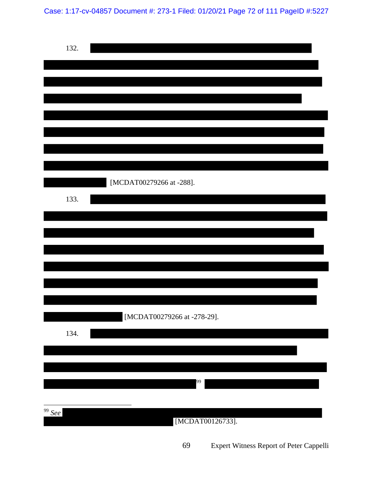Case: 1:17-cv-04857 Document #: 273-1 Filed: 01/20/21 Page 72 of 111 PageID #:5227

| 132.                    |                             |
|-------------------------|-----------------------------|
|                         |                             |
|                         |                             |
|                         |                             |
|                         |                             |
|                         |                             |
| 133.                    | [MCDAT00279266 at -288].    |
|                         |                             |
|                         |                             |
|                         |                             |
|                         |                             |
|                         | [MCDAT00279266 at -278-29]. |
| 134.                    |                             |
|                         |                             |
|                         | 99                          |
| $\frac{99}{\text{See}}$ |                             |
|                         | [MCDAT00126733].            |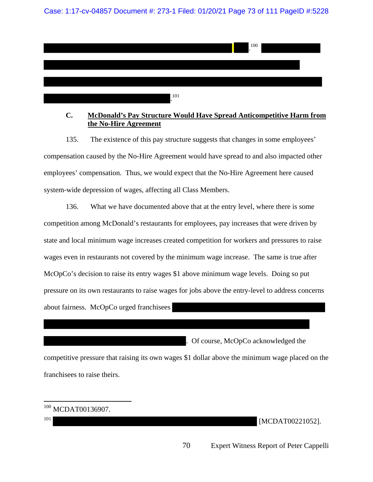Case: 1:17-cv-04857 Document #: 273-1 Filed: 01/20/21 Page 73 of 111 PageID #:5228



## **C. McDonald's Pay Structure Would Have Spread Anticompetitive Harm from the No-Hire Agreement**

135. The existence of this pay structure suggests that changes in some employees' compensation caused by the No-Hire Agreement would have spread to and also impacted other employees' compensation. Thus, we would expect that the No-Hire Agreement here caused system-wide depression of wages, affecting all Class Members.

136. What we have documented above that at the entry level, where there is some competition among McDonald's restaurants for employees, pay increases that were driven by state and local minimum wage increases created competition for workers and pressures to raise wages even in restaurants not covered by the minimum wage increase. The same is true after McOpCo's decision to raise its entry wages \$1 above minimum wage levels. Doing so put pressure on its own restaurants to raise wages for jobs above the entry-level to address concerns about fairness. McOpCo urged franchisees

. Of course, McOpCo acknowledged the

competitive pressure that raising its own wages \$1 dollar above the minimum wage placed on the franchisees to raise theirs.

| $100$ MCDAT00136907. |  |
|----------------------|--|

101 [MCDAT00221052].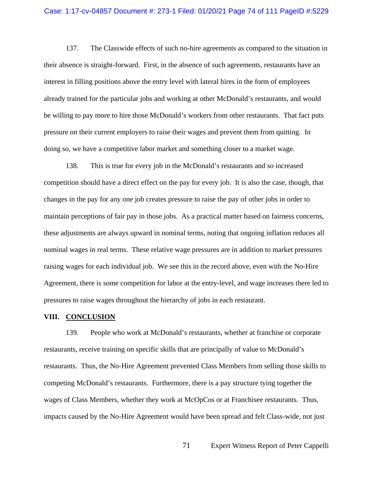#### Case: 1:17-cv-04857 Document #: 273-1 Filed: 01/20/21 Page 74 of 111 PageID #:5229

137. The Classwide effects of such no-hire agreements as compared to the situation in their absence is straight-forward. First, in the absence of such agreements, restaurants have an interest in filling positions above the entry level with lateral hires in the form of employees already trained for the particular jobs and working at other McDonald's restaurants, and would be willing to pay more to hire those McDonald's workers from other restaurants. That fact puts pressure on their current employers to raise their wages and prevent them from quitting. In doing so, we have a competitive labor market and something closer to a market wage.

138. This is true for every job in the McDonald's restaurants and so increased competition should have a direct effect on the pay for every job. It is also the case, though, that changes in the pay for any one job creates pressure to raise the pay of other jobs in order to maintain perceptions of fair pay in those jobs. As a practical matter based on fairness concerns, these adjustments are always upward in nominal terms, noting that ongoing inflation reduces all nominal wages in real terms. These relative wage pressures are in addition to market pressures raising wages for each individual job. We see this in the record above, even with the No-Hire Agreement, there is some competition for labor at the entry-level, and wage increases there led to pressures to raise wages throughout the hierarchy of jobs in each restaurant.

#### **VIII. CONCLUSION**

139. People who work at McDonald's restaurants, whether at franchise or corporate restaurants, receive training on specific skills that are principally of value to McDonald's restaurants. Thus, the No-Hire Agreement prevented Class Members from selling those skills to competing McDonald's restaurants. Furthermore, there is a pay structure tying together the wages of Class Members, whether they work at McOpCos or at Franchisee restaurants. Thus, impacts caused by the No-Hire Agreement would have been spread and felt Class-wide, not just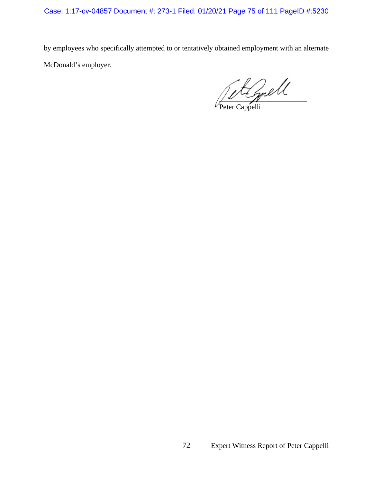Case: 1:17-cv-04857 Document #: 273-1 Filed: 01/20/21 Page 75 of 111 PageID #:5230

by employees who specifically attempted to or tentatively obtained employment with an alternate McDonald's employer.

 $\frac{1}{\sqrt{2}}$ 

Peter Cappelli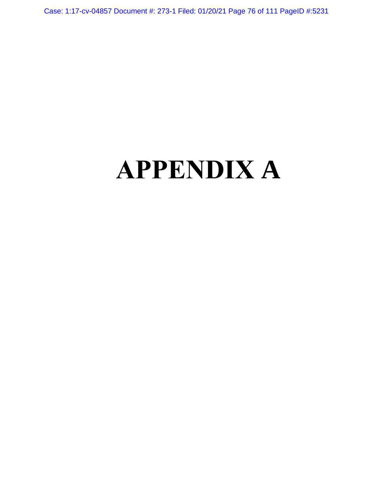Case: 1:17-cv-04857 Document #: 273-1 Filed: 01/20/21 Page 76 of 111 PageID #:5231

# **APPENDIX A**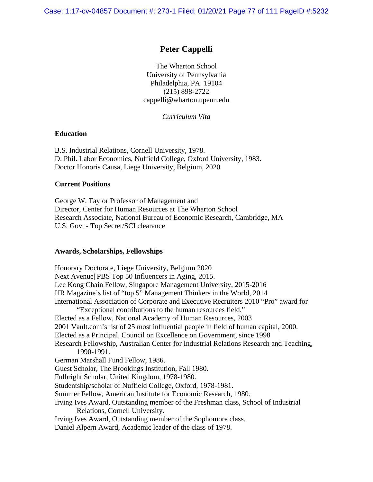Case: 1:17-cv-04857 Document #: 273-1 Filed: 01/20/21 Page 77 of 111 PageID #:5232

# **Peter Cappelli**

The Wharton School University of Pennsylvania Philadelphia, PA 19104 (215) 898-2722 cappelli@wharton.upenn.edu

*Curriculum Vita* 

#### **Education**

B.S. Industrial Relations, Cornell University, 1978. D. Phil. Labor Economics, Nuffield College, Oxford University, 1983. Doctor Honoris Causa, Liege University, Belgium, 2020

#### **Current Positions**

George W. Taylor Professor of Management and Director, Center for Human Resources at The Wharton School Research Associate, National Bureau of Economic Research, Cambridge, MA U.S. Govt - Top Secret/SCI clearance

#### **Awards, Scholarships, Fellowships**

Honorary Doctorate, Liege University, Belgium 2020 Next Avenue| PBS Top 50 Influencers in Aging, 2015. Lee Kong Chain Fellow, Singapore Management University, 2015-2016 HR Magazine's list of "top 5" Management Thinkers in the World, 2014 International Association of Corporate and Executive Recruiters 2010 "Pro" award for "Exceptional contributions to the human resources field." Elected as a Fellow, National Academy of Human Resources, 2003 2001 Vault.com's list of 25 most influential people in field of human capital, 2000. Elected as a Principal, Council on Excellence on Government, since 1998 Research Fellowship, Australian Center for Industrial Relations Research and Teaching, 1990-1991. German Marshall Fund Fellow, 1986. Guest Scholar, The Brookings Institution, Fall 1980. Fulbright Scholar, United Kingdom, 1978-1980. Studentship/scholar of Nuffield College, Oxford, 1978-1981. Summer Fellow, American Institute for Economic Research, 1980. Irving Ives Award, Outstanding member of the Freshman class, School of Industrial Relations, Cornell University. Irving Ives Award, Outstanding member of the Sophomore class. Daniel Alpern Award, Academic leader of the class of 1978.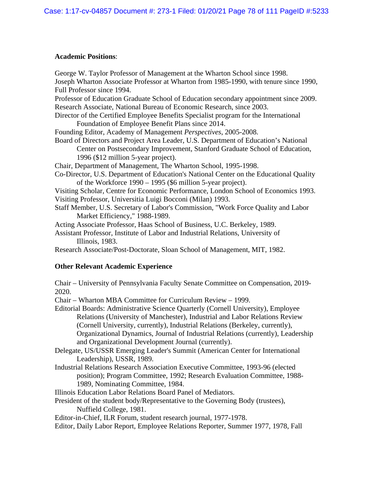# **Academic Positions**:

| George W. Taylor Professor of Management at the Wharton School since 1998.<br>Joseph Wharton Associate Professor at Wharton from 1985-1990, with tenure since 1990,                                                                                                                                                                                                                         |
|---------------------------------------------------------------------------------------------------------------------------------------------------------------------------------------------------------------------------------------------------------------------------------------------------------------------------------------------------------------------------------------------|
| Full Professor since 1994.<br>Professor of Education Graduate School of Education secondary appointment since 2009.                                                                                                                                                                                                                                                                         |
| Research Associate, National Bureau of Economic Research, since 2003.                                                                                                                                                                                                                                                                                                                       |
| Director of the Certified Employee Benefits Specialist program for the International<br>Foundation of Employee Benefit Plans since 2014.                                                                                                                                                                                                                                                    |
| Founding Editor, Academy of Management Perspectives, 2005-2008.                                                                                                                                                                                                                                                                                                                             |
| Board of Directors and Project Area Leader, U.S. Department of Education's National<br>Center on Postsecondary Improvement, Stanford Graduate School of Education,<br>1996 (\$12 million 5-year project).                                                                                                                                                                                   |
| Chair, Department of Management, The Wharton School, 1995-1998.                                                                                                                                                                                                                                                                                                                             |
| Co-Director, U.S. Department of Education's National Center on the Educational Quality<br>of the Workforce 1990 – 1995 (\$6 million 5-year project).                                                                                                                                                                                                                                        |
| Visiting Scholar, Centre for Economic Performance, London School of Economics 1993.<br>Visiting Professor, Universitia Luigi Bocconi (Milan) 1993.                                                                                                                                                                                                                                          |
| Staff Member, U.S. Secretary of Labor's Commission, "Work Force Quality and Labor<br>Market Efficiency," 1988-1989.                                                                                                                                                                                                                                                                         |
| Acting Associate Professor, Haas School of Business, U.C. Berkeley, 1989.                                                                                                                                                                                                                                                                                                                   |
| Assistant Professor, Institute of Labor and Industrial Relations, University of<br>Illinois, 1983.                                                                                                                                                                                                                                                                                          |
| Research Associate/Post-Doctorate, Sloan School of Management, MIT, 1982.                                                                                                                                                                                                                                                                                                                   |
|                                                                                                                                                                                                                                                                                                                                                                                             |
| <b>Other Relevant Academic Experience</b>                                                                                                                                                                                                                                                                                                                                                   |
| Chair – University of Pennsylvania Faculty Senate Committee on Compensation, 2019-<br>2020.                                                                                                                                                                                                                                                                                                 |
| Chair – Wharton MBA Committee for Curriculum Review – 1999.                                                                                                                                                                                                                                                                                                                                 |
| Editorial Boards: Administrative Science Quarterly (Cornell University), Employee<br>Relations (University of Manchester), Industrial and Labor Relations Review<br>(Cornell University, currently), Industrial Relations (Berkeley, currently),<br>Organizational Dynamics, Journal of Industrial Relations (currently), Leadership<br>and Organizational Development Journal (currently). |
| Delegate, US/USSR Emerging Leader's Summit (American Center for International                                                                                                                                                                                                                                                                                                               |
| Leadership), USSR, 1989.<br>Industrial Relations Research Association Executive Committee, 1993-96 (elected<br>position); Program Committee, 1992; Research Evaluation Committee, 1988-<br>1989, Nominating Committee, 1984.                                                                                                                                                                |
| Illinois Education Labor Relations Board Panel of Mediators.                                                                                                                                                                                                                                                                                                                                |
| President of the student body/Representative to the Governing Body (trustees),<br>Nuffield College, 1981.                                                                                                                                                                                                                                                                                   |
| Editor-in-Chief, ILR Forum, student research journal, 1977-1978.<br>Editor, Daily Labor Report, Employee Relations Reporter, Summer 1977, 1978, Fall                                                                                                                                                                                                                                        |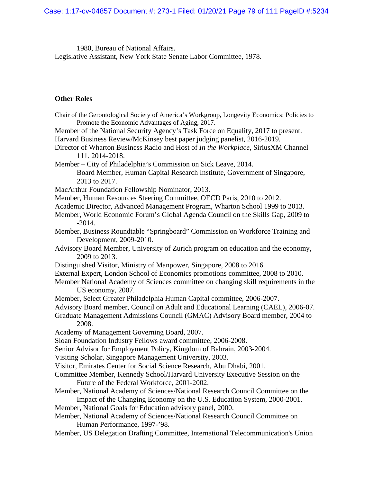1980, Bureau of National Affairs. Legislative Assistant, New York State Senate Labor Committee, 1978.

# **Other Roles**

| Chair of the Gerontological Society of America's Workgroup, Longevity Economics: Policies to                                         |
|--------------------------------------------------------------------------------------------------------------------------------------|
| Promote the Economic Advantages of Aging, 2017.<br>Member of the National Security Agency's Task Force on Equality, 2017 to present. |
| Harvard Business Review/McKinsey best paper judging panelist, 2016-2019.                                                             |
| Director of Wharton Business Radio and Host of In the Workplace, SiriusXM Channel                                                    |
| 111.2014-2018.                                                                                                                       |
| Member – City of Philadelphia's Commission on Sick Leave, 2014.                                                                      |
| Board Member, Human Capital Research Institute, Government of Singapore,                                                             |
| 2013 to 2017.                                                                                                                        |
| MacArthur Foundation Fellowship Nominator, 2013.                                                                                     |
| Member, Human Resources Steering Committee, OECD Paris, 2010 to 2012.                                                                |
| Academic Director, Advanced Management Program, Wharton School 1999 to 2013.                                                         |
| Member, World Economic Forum's Global Agenda Council on the Skills Gap, 2009 to<br>$-2014.$                                          |
| Member, Business Roundtable "Springboard" Commission on Workforce Training and                                                       |
| Development, 2009-2010.                                                                                                              |
| Advisory Board Member, University of Zurich program on education and the economy,                                                    |
| 2009 to 2013.                                                                                                                        |
| Distinguished Visitor, Ministry of Manpower, Singapore, 2008 to 2016.                                                                |
| External Expert, London School of Economics promotions committee, 2008 to 2010.                                                      |
| Member National Academy of Sciences committee on changing skill requirements in the<br>US economy, 2007.                             |
| Member, Select Greater Philadelphia Human Capital committee, 2006-2007.                                                              |
| Advisory Board member, Council on Adult and Educational Learning (CAEL), 2006-07.                                                    |
| Graduate Management Admissions Council (GMAC) Advisory Board member, 2004 to<br>2008.                                                |
| Academy of Management Governing Board, 2007.                                                                                         |
| Sloan Foundation Industry Fellows award committee, 2006-2008.                                                                        |
| Senior Advisor for Employment Policy, Kingdom of Bahrain, 2003-2004.                                                                 |
| Visiting Scholar, Singapore Management University, 2003.                                                                             |
| Visitor, Emirates Center for Social Science Research, Abu Dhabi, 2001.                                                               |
| Committee Member, Kennedy School/Harvard University Executive Session on the                                                         |
| Future of the Federal Workforce, 2001-2002.                                                                                          |
| Member, National Academy of Sciences/National Research Council Committee on the                                                      |
| Impact of the Changing Economy on the U.S. Education System, 2000-2001.                                                              |
| Member, National Goals for Education advisory panel, 2000.                                                                           |
| Member, National Academy of Sciences/National Research Council Committee on                                                          |
| Human Performance, 1997-'98.                                                                                                         |
| Member, US Delegation Drafting Committee, International Telecommunication's Union                                                    |
|                                                                                                                                      |
|                                                                                                                                      |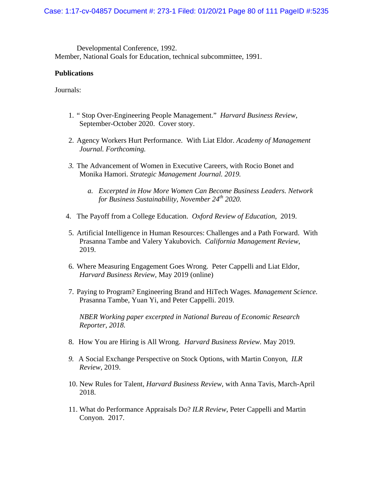Developmental Conference, 1992. Member, National Goals for Education, technical subcommittee, 1991.

#### **Publications**

Journals:

- 1. " Stop Over-Engineering People Management." *Harvard Business Review*, September-October 2020. Cover story.
- 2. Agency Workers Hurt Performance. With Liat Eldor. *Academy of Management Journal. Forthcoming.*
- *3.* The Advancement of Women in Executive Careers, with Rocio Bonet and Monika Hamori. *Strategic Management Journal. 2019.* 
	- *a. Excerpted in How More Women Can Become Business Leaders. Network for Business Sustainability, November 24th 2020.*
- 4. The Payoff from a College Education. *Oxford Review of Education*, 2019.
- 5. Artificial Intelligence in Human Resources: Challenges and a Path Forward. With Prasanna Tambe and Valery Yakubovich. *California Management Review*, 2019.
- 6. Where Measuring Engagement Goes Wrong. Peter Cappelli and Liat Eldor, *Harvard Business Review*, May 2019 (online)
- 7. Paying to Program? Engineering Brand and HiTech Wages. *Management Science.*  Prasanna Tambe, Yuan Yi, and Peter Cappelli. 2019.

*NBER Working paper excerpted in National Bureau of Economic Research Reporter, 2018.* 

- 8. How You are Hiring is All Wrong. *Harvard Business Review.* May 2019.
- *9.* A Social Exchange Perspective on Stock Options, with Martin Conyon, *ILR Review,* 2019.
- 10. New Rules for Talent, *Harvard Business Review*, with Anna Tavis, March-April 2018.
- 11. What do Performance Appraisals Do? *ILR Review*, Peter Cappelli and Martin Conyon. 2017.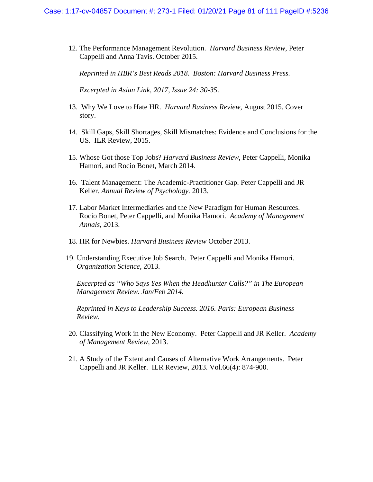12. The Performance Management Revolution. *Harvard Business Review*, Peter Cappelli and Anna Tavis. October 2015.

*Reprinted in HBR's Best Reads 2018. Boston: Harvard Business Press.* 

*Excerpted in Asian Link, 2017, Issue 24: 30-35*.

- 13. Why We Love to Hate HR. *Harvard Business Review*, August 2015. Cover story.
- 14. Skill Gaps, Skill Shortages, Skill Mismatches: Evidence and Conclusions for the US. ILR Review, 2015.
- 15. Whose Got those Top Jobs? *Harvard Business Review*, Peter Cappelli, Monika Hamori, and Rocio Bonet, March 2014.
- 16. Talent Management: The Academic-Practitioner Gap. Peter Cappelli and JR Keller. *Annual Review of Psychology.* 2013.
- 17. Labor Market Intermediaries and the New Paradigm for Human Resources. Rocio Bonet, Peter Cappelli, and Monika Hamori. *Academy of Management Annals,* 2013.
- 18. HR for Newbies. *Harvard Business Review* October 2013.
- 19. Understanding Executive Job Search. Peter Cappelli and Monika Hamori. *Organization Science*, 2013.

*Excerpted as "Who Says Yes When the Headhunter Calls?" in The European Management Review. Jan/Feb 2014.* 

*Reprinted in Keys to Leadership Success. 2016. Paris: European Business Review.* 

- 20. Classifying Work in the New Economy. Peter Cappelli and JR Keller. *Academy of Management Review*, 2013.
- 21. A Study of the Extent and Causes of Alternative Work Arrangements. Peter Cappelli and JR Keller. ILR Review, 2013. Vol.66(4): 874-900.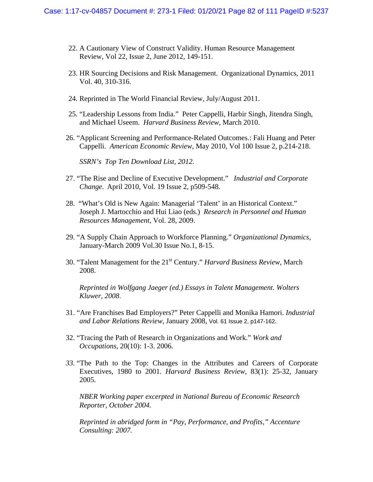- 22. A Cautionary View of Construct Validity. Human Resource Management Review, Vol 22, Issue 2, June 2012, 149-151.
- 23. HR Sourcing Decisions and Risk Management. Organizational Dynamics, 2011 Vol. 40, 310-316.
- 24. Reprinted in The World Financial Review, July/August 2011.
- 25. "Leadership Lessons from India." Peter Cappelli, Harbir Singh, Jitendra Singh, and Michael Useem. *Harvard Business Review*, March 2010.
- 26. "Applicant Screening and Performance-Related Outcomes.: Fali Huang and Peter Cappelli. *American Economic Review*, May 2010, Vol 100 Issue 2, p.214-218.

*SSRN's Top Ten Download List, 2012.* 

- 27. "The Rise and Decline of Executive Development." *Industrial and Corporate Change*. April 2010, Vol. 19 Issue 2, p509-548.
- 28. "What's Old is New Again: Managerial 'Talent' in an Historical Context." Joseph J. Martocchio and Hui Liao (eds.) *Research in Personnel and Human Resources Management*, Vol. 28, 2009.
- 29. "A Supply Chain Approach to Workforce Planning." *Organizational Dynamics*, January-March 2009 Vol.30 Issue No.1, 8-15.
- 30. "Talent Management for the 21st Century." *Harvard Business Review*, March 2008.

*Reprinted in Wolfgang Jaeger (ed.) Essays in Talent Management. Wolters Kluwer, 2008.*

- 31. "Are Franchises Bad Employers?" Peter Cappelli and Monika Hamori. *Industrial and Labor Relations Review*, January 2008, Vol. 61 Issue 2, p147-162.
- 32. "Tracing the Path of Research in Organizations and Work." *Work and Occupations*, 20(10): 1-3. 2006.
- *33.* "The Path to the Top: Changes in the Attributes and Careers of Corporate Executives, 1980 to 2001. *Harvard Business Review*, 83(1): 25-32, January 2005.

*NBER Working paper excerpted in National Bureau of Economic Research Reporter, October 2004.* 

*Reprinted in abridged form in "Pay, Performance, and Profits," Accenture Consulting: 2007.*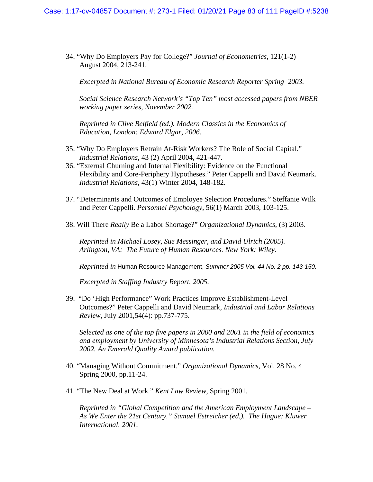34. "Why Do Employers Pay for College?" *Journal of Econometrics*, 121(1-2) August 2004, 213-241.

*Excerpted in National Bureau of Economic Research Reporter Spring 2003.* 

*Social Science Research Network's "Top Ten" most accessed papers from NBER working paper series, November 2002.* 

*Reprinted in Clive Belfield (ed.). Modern Classics in the Economics of Education, London: Edward Elgar, 2006.* 

- 35. "Why Do Employers Retrain At-Risk Workers? The Role of Social Capital." *Industrial Relations*, 43 (2) April 2004, 421-447.
- 36. "External Churning and Internal Flexibility: Evidence on the Functional Flexibility and Core-Periphery Hypotheses." Peter Cappelli and David Neumark. *Industrial Relations*, 43(1) Winter 2004, 148-182.
- 37. "Determinants and Outcomes of Employee Selection Procedures." Steffanie Wilk and Peter Cappelli. *Personnel Psychology*, 56(1) March 2003, 103-125.
- 38. Will There *Really* Be a Labor Shortage?" *Organizational Dynamics*, (3) 2003.

 *Reprinted in Michael Losey, Sue Messinger, and David Ulrich (2005). Arlington, VA: The Future of Human Resources. New York: Wiley.* 

 *Reprinted in* Human Resource Management, *Summer 2005 Vol. 44 No. 2 pp. 143-150.* 

 *Excerpted in Staffing Industry Report, 2005.* 

39. "Do 'High Performance" Work Practices Improve Establishment-Level Outcomes?" Peter Cappelli and David Neumark, *Industrial and Labor Relations Review*, July 2001,54(4): pp.737-775.

*Selected as one of the top five papers in 2000 and 2001 in the field of economics and employment by University of Minnesota's Industrial Relations Section, July 2002. An Emerald Quality Award publication.* 

- 40. "Managing Without Commitment." *Organizational Dynamics*, Vol. 28 No. 4 Spring 2000, pp.11-24.
- 41. "The New Deal at Work." *Kent Law Review*, Spring 2001.

*Reprinted in "Global Competition and the American Employment Landscape – As We Enter the 21st Century." Samuel Estreicher (ed.). The Hague: Kluwer International, 2001.*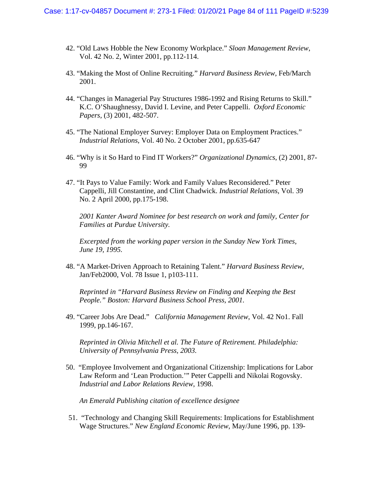- 42. "Old Laws Hobble the New Economy Workplace." *Sloan Management Review*, Vol. 42 No. 2, Winter 2001, pp.112-114.
- 43. "Making the Most of Online Recruiting." *Harvard Business Review*, Feb/March 2001.
- 44. "Changes in Managerial Pay Structures 1986-1992 and Rising Returns to Skill." K.C. O'Shaughnessy, David I. Levine, and Peter Cappelli. *Oxford Economic Papers*, (3) 2001, 482-507.
- 45. "The National Employer Survey: Employer Data on Employment Practices." *Industrial Relations*, Vol. 40 No. 2 October 2001, pp.635-647
- 46. "Why is it So Hard to Find IT Workers?" *Organizational Dynamics*, (2) 2001, 87- 99
- 47. "It Pays to Value Family: Work and Family Values Reconsidered." Peter Cappelli, Jill Constantine, and Clint Chadwick. *Industrial Relations*, Vol. 39 No. 2 April 2000, pp.175-198.

*2001 Kanter Award Nominee for best research on work and family, Center for Families at Purdue University.* 

*Excerpted from the working paper version in the Sunday New York Times, June 19, 1995.* 

48. "A Market-Driven Approach to Retaining Talent." *Harvard Business Review*, Jan/Feb2000, Vol. 78 Issue 1, p103-111.

*Reprinted in "Harvard Business Review on Finding and Keeping the Best People." Boston: Harvard Business School Press, 2001.* 

49. "Career Jobs Are Dead." *California Management Review*, Vol. 42 No1. Fall 1999, pp.146-167.

*Reprinted in Olivia Mitchell et al. The Future of Retirement. Philadelphia: University of Pennsylvania Press, 2003.* 

50. "Employee Involvement and Organizational Citizenship: Implications for Labor Law Reform and 'Lean Production.'" Peter Cappelli and Nikolai Rogovsky. *Industrial and Labor Relations Review*, 1998.

*An Emerald Publishing citation of excellence designee* 

51. "Technology and Changing Skill Requirements: Implications for Establishment Wage Structures." *New England Economic Review*, May/June 1996, pp. 139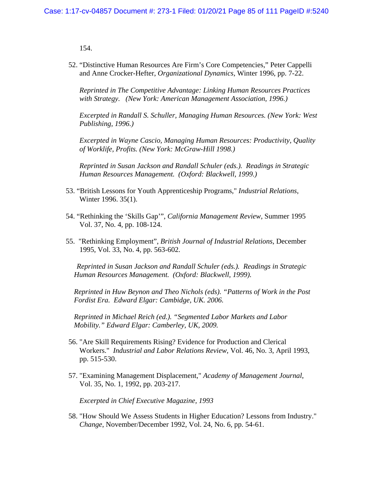154.

52. "Distinctive Human Resources Are Firm's Core Competencies," Peter Cappelli and Anne Crocker-Hefter, *Organizational Dynamics*, Winter 1996, pp. 7-22.

*Reprinted in The Competitive Advantage: Linking Human Resources Practices with Strategy. (New York: American Management Association, 1996.)* 

*Excerpted in Randall S. Schuller, Managing Human Resources. (New York: West Publishing, 1996.)* 

*Excerpted in Wayne Cascio, Managing Human Resources: Productivity, Quality of Worklife, Profits. (New York: McGraw-Hill 1998.)* 

*Reprinted in Susan Jackson and Randall Schuler (eds.). Readings in Strategic Human Resources Management. (Oxford: Blackwell, 1999.)* 

- 53. "British Lessons for Youth Apprenticeship Programs," *Industrial Relations*, Winter 1996. 35(1).
- 54. "Rethinking the 'Skills Gap'", *California Management Review*, Summer 1995 Vol. 37, No. 4, pp. 108-124.
- 55. "Rethinking Employment", *British Journal of Industrial Relations*, December 1995, Vol. 33, No. 4, pp. 563-602.

*Reprinted in Susan Jackson and Randall Schuler (eds.). Readings in Strategic Human Resources Management. (Oxford: Blackwell, 1999).* 

*Reprinted in Huw Beynon and Theo Nichols (eds). "Patterns of Work in the Post Fordist Era. Edward Elgar: Cambidge, UK. 2006.* 

*Reprinted in Michael Reich (ed.). "Segmented Labor Markets and Labor Mobility." Edward Elgar: Camberley, UK, 2009.*

- 56. "Are Skill Requirements Rising? Evidence for Production and Clerical Workers." *Industrial and Labor Relations Review*, Vol. 46, No. 3, April 1993, pp. 515-530.
- 57. "Examining Management Displacement," *Academy of Management Journal*, Vol. 35, No. 1, 1992, pp. 203-217.

*Excerpted in Chief Executive Magazine, 1993* 

58. "How Should We Assess Students in Higher Education? Lessons from Industry." *Change*, November/December 1992, Vol. 24, No. 6, pp. 54-61.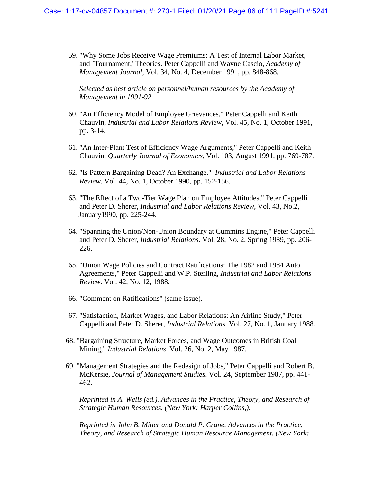59. "Why Some Jobs Receive Wage Premiums: A Test of Internal Labor Market, and `Tournament,' Theories. Peter Cappelli and Wayne Cascio, *Academy of Management Journal*, Vol. 34, No. 4, December 1991, pp. 848-868.

*Selected as best article on personnel/human resources by the Academy of Management in 1991-92.* 

- 60. "An Efficiency Model of Employee Grievances," Peter Cappelli and Keith Chauvin, *Industrial and Labor Relations Review*, Vol. 45, No. 1, October 1991, pp. 3-14.
- 61. "An Inter-Plant Test of Efficiency Wage Arguments," Peter Cappelli and Keith Chauvin, *Quarterly Journal of Economics*, Vol. 103, August 1991, pp. 769-787.
- 62. "Is Pattern Bargaining Dead? An Exchange." *Industrial and Labor Relations Review*. Vol. 44, No. 1, October 1990, pp. 152-156.
- 63. "The Effect of a Two-Tier Wage Plan on Employee Attitudes," Peter Cappelli and Peter D. Sherer, *Industrial and Labor Relations Review*, Vol. 43, No.2, January1990, pp. 225-244.
- 64. "Spanning the Union/Non-Union Boundary at Cummins Engine," Peter Cappelli and Peter D. Sherer, *Industrial Relations*. Vol. 28, No. 2, Spring 1989, pp. 206- 226.
- 65. "Union Wage Policies and Contract Ratifications: The 1982 and 1984 Auto Agreements," Peter Cappelli and W.P. Sterling, *Industrial and Labor Relations Review*. Vol. 42, No. 12, 1988.
- 66. "Comment on Ratifications" (same issue).
- 67. "Satisfaction, Market Wages, and Labor Relations: An Airline Study," Peter Cappelli and Peter D. Sherer, *Industrial Relations*. Vol. 27, No. 1, January 1988.
- 68. "Bargaining Structure, Market Forces, and Wage Outcomes in British Coal Mining," *Industrial Relations*. Vol. 26, No. 2, May 1987.
- 69. "Management Strategies and the Redesign of Jobs," Peter Cappelli and Robert B. McKersie, *Journal of Management Studies*. Vol. 24, September 1987, pp. 441- 462.

*Reprinted in A. Wells (ed.). Advances in the Practice, Theory, and Research of Strategic Human Resources. (New York: Harper Collins,).* 

*Reprinted in John B. Miner and Donald P. Crane. Advances in the Practice, Theory, and Research of Strategic Human Resource Management. (New York:*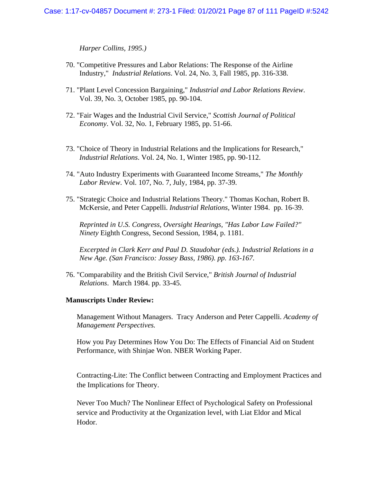*Harper Collins, 1995.)* 

- 70. "Competitive Pressures and Labor Relations: The Response of the Airline Industry," *Industrial Relations*. Vol. 24, No. 3, Fall 1985, pp. 316-338.
- 71. "Plant Level Concession Bargaining," *Industrial and Labor Relations Review*. Vol. 39, No. 3, October 1985, pp. 90-104.
- 72. "Fair Wages and the Industrial Civil Service," *Scottish Journal of Political Economy*. Vol. 32, No. 1, February 1985, pp. 51-66.
- 73. "Choice of Theory in Industrial Relations and the Implications for Research," *Industrial Relations*. Vol. 24, No. 1, Winter 1985, pp. 90-112.
- 74. "Auto Industry Experiments with Guaranteed Income Streams," *The Monthly Labor Review*. Vol. 107, No. 7, July, 1984, pp. 37-39.
- 75. "Strategic Choice and Industrial Relations Theory." Thomas Kochan, Robert B. McKersie, and Peter Cappelli. *Industrial Relations*, Winter 1984. pp. 16-39.

*Reprinted in U.S. Congress, Oversight Hearings, "Has Labor Law Failed?" Ninety* Eighth Congress, Second Session, 1984, p. 1181.

*Excerpted in Clark Kerr and Paul D. Staudohar (eds.). Industrial Relations in a New Age. (San Francisco: Jossey Bass, 1986). pp. 163-167.* 

76. "Comparability and the British Civil Service," *British Journal of Industrial Relations*. March 1984. pp. 33-45.

#### **Manuscripts Under Review:**

Management Without Managers. Tracy Anderson and Peter Cappelli. *Academy of Management Perspectives.*

How you Pay Determines How You Do: The Effects of Financial Aid on Student Performance, with Shinjae Won. NBER Working Paper.

Contracting-Lite: The Conflict between Contracting and Employment Practices and the Implications for Theory.

Never Too Much? The Nonlinear Effect of Psychological Safety on Professional service and Productivity at the Organization level, with Liat Eldor and Mical Hodor.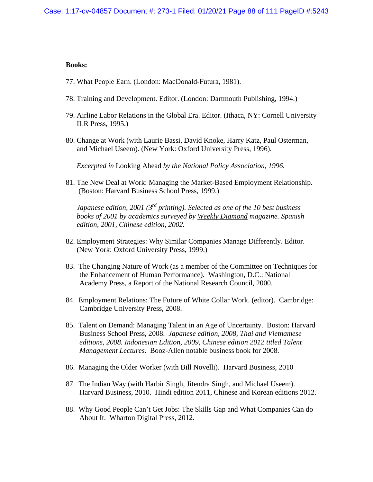#### **Books:**

- 77. What People Earn. (London: MacDonald-Futura, 1981).
- 78. Training and Development. Editor. (London: Dartmouth Publishing, 1994.)
- 79. Airline Labor Relations in the Global Era. Editor. (Ithaca, NY: Cornell University ILR Press, 1995.)
- 80. Change at Work (with Laurie Bassi, David Knoke, Harry Katz, Paul Osterman, and Michael Useem). (New York: Oxford University Press, 1996).

*Excerpted in* Looking Ahead *by the National Policy Association, 1996.* 

81. The New Deal at Work: Managing the Market-Based Employment Relationship. (Boston: Harvard Business School Press, 1999.)

*Japanese edition, 2001 (3rd printing). Selected as one of the 10 best business books of 2001 by academics surveyed by Weekly Diamond magazine. Spanish edition, 2001, Chinese edition, 2002.* 

- 82. Employment Strategies: Why Similar Companies Manage Differently. Editor. (New York: Oxford University Press, 1999.)
- 83. The Changing Nature of Work (as a member of the Committee on Techniques for the Enhancement of Human Performance). Washington, D.C.: National Academy Press, a Report of the National Research Council, 2000.
- 84. Employment Relations: The Future of White Collar Work. (editor). Cambridge: Cambridge University Press, 2008.
- 85. Talent on Demand: Managing Talent in an Age of Uncertainty. Boston: Harvard Business School Press, 2008. *Japanese edition, 2008, Thai and Vietnamese editions, 2008. Indonesian Edition, 2009, Chinese edition 2012 titled Talent Management Lectures.* Booz-Allen notable business book for 2008.
- 86. Managing the Older Worker (with Bill Novelli). Harvard Business, 2010
- 87. The Indian Way (with Harbir Singh, Jitendra Singh, and Michael Useem). Harvard Business, 2010. Hindi edition 2011, Chinese and Korean editions 2012.
- 88. Why Good People Can't Get Jobs: The Skills Gap and What Companies Can do About It. Wharton Digital Press, 2012.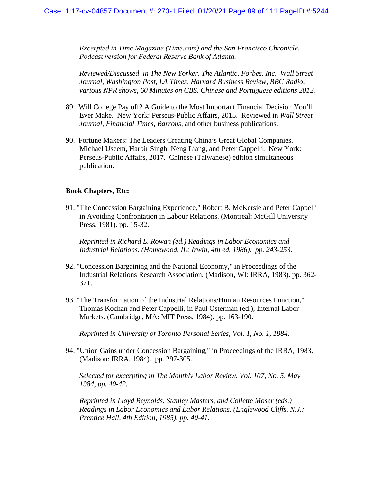*Excerpted in Time Magazine (Time.com) and the San Francisco Chronicle, Podcast version for Federal Reserve Bank of Atlanta.*

*Reviewed/Discussed in The New Yorker, The Atlantic, Forbes, Inc, Wall Street Journal, Washington Post, LA Times, Harvard Business Review, BBC Radio, various NPR shows, 60 Minutes on CBS. Chinese and Portuguese editions 2012.* 

- 89. Will College Pay off? A Guide to the Most Important Financial Decision You'll Ever Make. New York: Perseus-Public Affairs, 2015. Reviewed in *Wall Street Journal, Financial Times, Barrons*, and other business publications.
- 90. Fortune Makers: The Leaders Creating China's Great Global Companies. Michael Useem, Harbir Singh, Neng Liang, and Peter Cappelli. New York: Perseus-Public Affairs, 2017. Chinese (Taiwanese) edition simultaneous publication.

#### **Book Chapters, Etc:**

91. "The Concession Bargaining Experience," Robert B. McKersie and Peter Cappelli in Avoiding Confrontation in Labour Relations. (Montreal: McGill University Press, 1981). pp. 15-32.

*Reprinted in Richard L. Rowan (ed.) Readings in Labor Economics and Industrial Relations. (Homewood, IL: Irwin, 4th ed. 1986). pp. 243-253.* 

- 92. "Concession Bargaining and the National Economy," in Proceedings of the Industrial Relations Research Association, (Madison, WI: IRRA, 1983). pp. 362- 371.
- 93. "The Transformation of the Industrial Relations/Human Resources Function," Thomas Kochan and Peter Cappelli, in Paul Osterman (ed.), Internal Labor Markets. (Cambridge, MA: MIT Press, 1984). pp. 163-190.

*Reprinted in University of Toronto Personal Series, Vol. 1, No. 1, 1984.* 

94. "Union Gains under Concession Bargaining," in Proceedings of the IRRA, 1983, (Madison: IRRA, 1984). pp. 297-305.

*Selected for excerpting in The Monthly Labor Review. Vol. 107, No. 5, May 1984, pp. 40-42.* 

*Reprinted in Lloyd Reynolds, Stanley Masters, and Collette Moser (eds.) Readings in Labor Economics and Labor Relations. (Englewood Cliffs, N.J.: Prentice Hall, 4th Edition, 1985). pp. 40-41.*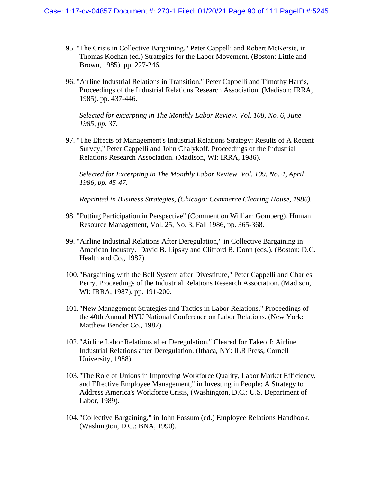- 95. "The Crisis in Collective Bargaining," Peter Cappelli and Robert McKersie, in Thomas Kochan (ed.) Strategies for the Labor Movement. (Boston: Little and Brown, 1985). pp. 227-246.
- 96. "Airline Industrial Relations in Transition," Peter Cappelli and Timothy Harris, Proceedings of the Industrial Relations Research Association. (Madison: IRRA, 1985). pp. 437-446.

*Selected for excerpting in The Monthly Labor Review. Vol. 108, No. 6, June 1985, pp. 37.* 

97. "The Effects of Management's Industrial Relations Strategy: Results of A Recent Survey," Peter Cappelli and John Chalykoff. Proceedings of the Industrial Relations Research Association. (Madison, WI: IRRA, 1986).

*Selected for Excerpting in The Monthly Labor Review. Vol. 109, No. 4, April 1986, pp. 45-47.* 

*Reprinted in Business Strategies, (Chicago: Commerce Clearing House, 1986).* 

- 98. "Putting Participation in Perspective" (Comment on William Gomberg), Human Resource Management, Vol. 25, No. 3, Fall 1986, pp. 365-368.
- 99. "Airline Industrial Relations After Deregulation," in Collective Bargaining in American Industry. David B. Lipsky and Clifford B. Donn (eds.), (Boston: D.C. Health and Co., 1987).
- 100. "Bargaining with the Bell System after Divestiture," Peter Cappelli and Charles Perry, Proceedings of the Industrial Relations Research Association. (Madison, WI: IRRA, 1987), pp. 191-200.
- 101. "New Management Strategies and Tactics in Labor Relations," Proceedings of the 40th Annual NYU National Conference on Labor Relations. (New York: Matthew Bender Co., 1987).
- 102. "Airline Labor Relations after Deregulation," Cleared for Takeoff: Airline Industrial Relations after Deregulation. (Ithaca, NY: ILR Press, Cornell University, 1988).
- 103. "The Role of Unions in Improving Workforce Quality, Labor Market Efficiency, and Effective Employee Management," in Investing in People: A Strategy to Address America's Workforce Crisis, (Washington, D.C.: U.S. Department of Labor, 1989).
- 104. "Collective Bargaining," in John Fossum (ed.) Employee Relations Handbook. (Washington, D.C.: BNA, 1990).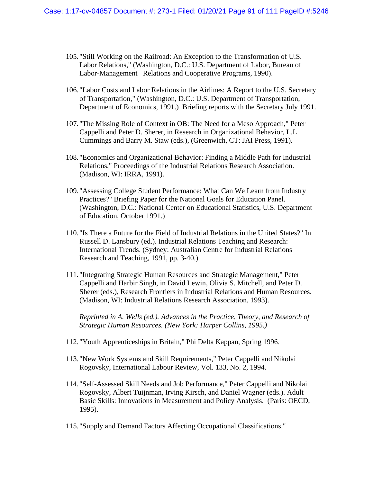- 105. "Still Working on the Railroad: An Exception to the Transformation of U.S. Labor Relations," (Washington, D.C.: U.S. Department of Labor, Bureau of Labor-Management Relations and Cooperative Programs, 1990).
- 106. "Labor Costs and Labor Relations in the Airlines: A Report to the U.S. Secretary of Transportation," (Washington, D.C.: U.S. Department of Transportation, Department of Economics, 1991.) Briefing reports with the Secretary July 1991.
- 107. "The Missing Role of Context in OB: The Need for a Meso Approach," Peter Cappelli and Peter D. Sherer, in Research in Organizational Behavior, L.L Cummings and Barry M. Staw (eds.), (Greenwich, CT: JAI Press, 1991).
- 108. "Economics and Organizational Behavior: Finding a Middle Path for Industrial Relations," Proceedings of the Industrial Relations Research Association. (Madison, WI: IRRA, 1991).
- 109. "Assessing College Student Performance: What Can We Learn from Industry Practices?" Briefing Paper for the National Goals for Education Panel. (Washington, D.C.: National Center on Educational Statistics, U.S. Department of Education, October 1991.)
- 110. "Is There a Future for the Field of Industrial Relations in the United States?" In Russell D. Lansbury (ed.). Industrial Relations Teaching and Research: International Trends. (Sydney: Australian Centre for Industrial Relations Research and Teaching, 1991, pp. 3-40.)
- 111. "Integrating Strategic Human Resources and Strategic Management," Peter Cappelli and Harbir Singh, in David Lewin, Olivia S. Mitchell, and Peter D. Sherer (eds.), Research Frontiers in Industrial Relations and Human Resources. (Madison, WI: Industrial Relations Research Association, 1993).

*Reprinted in A. Wells (ed.). Advances in the Practice, Theory, and Research of Strategic Human Resources. (New York: Harper Collins, 1995.)* 

- 112. "Youth Apprenticeships in Britain," Phi Delta Kappan, Spring 1996.
- 113. "New Work Systems and Skill Requirements," Peter Cappelli and Nikolai Rogovsky, International Labour Review, Vol. 133, No. 2, 1994.
- 114. "Self-Assessed Skill Needs and Job Performance," Peter Cappelli and Nikolai Rogovsky, Albert Tuijnman, Irving Kirsch, and Daniel Wagner (eds.). Adult Basic Skills: Innovations in Measurement and Policy Analysis. (Paris: OECD, 1995).
- 115. "Supply and Demand Factors Affecting Occupational Classifications."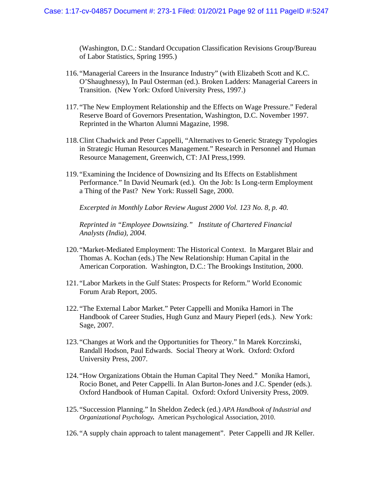(Washington, D.C.: Standard Occupation Classification Revisions Group/Bureau of Labor Statistics, Spring 1995.)

- 116. "Managerial Careers in the Insurance Industry" (with Elizabeth Scott and K.C. O'Shaughnessy), In Paul Osterman (ed.). Broken Ladders: Managerial Careers in Transition. (New York: Oxford University Press, 1997.)
- 117. "The New Employment Relationship and the Effects on Wage Pressure." Federal Reserve Board of Governors Presentation, Washington, D.C. November 1997. Reprinted in the Wharton Alumni Magazine, 1998.
- 118.Clint Chadwick and Peter Cappelli, "Alternatives to Generic Strategy Typologies in Strategic Human Resources Management." Research in Personnel and Human Resource Management, Greenwich, CT: JAI Press,1999.
- 119. "Examining the Incidence of Downsizing and Its Effects on Establishment Performance." In David Neumark (ed.). On the Job: Is Long-term Employment a Thing of the Past? New York: Russell Sage, 2000.

*Excerpted in Monthly Labor Review August 2000 Vol. 123 No. 8, p. 40.* 

*Reprinted in "Employee Downsizing." Institute of Chartered Financial Analysts (India), 2004.* 

- 120. "Market-Mediated Employment: The Historical Context. In Margaret Blair and Thomas A. Kochan (eds.) The New Relationship: Human Capital in the American Corporation. Washington, D.C.: The Brookings Institution, 2000.
- 121. "Labor Markets in the Gulf States: Prospects for Reform." World Economic Forum Arab Report, 2005.
- 122. "The External Labor Market." Peter Cappelli and Monika Hamori in The Handbook of Career Studies, Hugh Gunz and Maury Pieperl (eds.). New York: Sage, 2007.
- 123. "Changes at Work and the Opportunities for Theory." In Marek Korczinski, Randall Hodson, Paul Edwards. Social Theory at Work. Oxford: Oxford University Press, 2007.
- 124. "How Organizations Obtain the Human Capital They Need." Monika Hamori, Rocio Bonet, and Peter Cappelli. In Alan Burton-Jones and J.C. Spender (eds.). Oxford Handbook of Human Capital. Oxford: Oxford University Press, 2009.
- 125. "Succession Planning." In Sheldon Zedeck (ed.) *APA Handbook of Industrial and Organizational Psychology.* American Psychological Association, 2010.
- 126. "A supply chain approach to talent management". Peter Cappelli and JR Keller.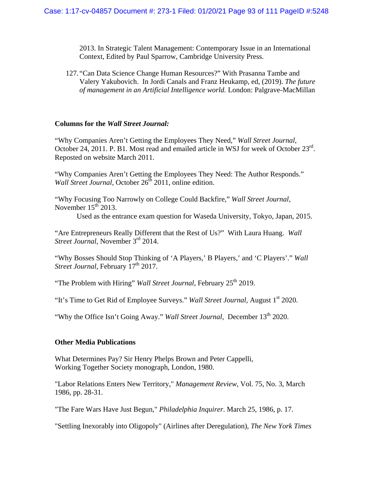2013. In Strategic Talent Management: Contemporary Issue in an International Context, Edited by Paul Sparrow, Cambridge University Press.

127. "Can Data Science Change Human Resources?" With Prasanna Tambe and Valery Yakubovich. In Jordi Canals and Franz Heukamp, ed, (2019). *The future of management in an Artificial Intelligence world.* London: Palgrave-MacMillan

#### **Columns for the** *Wall Street Journal:*

"Why Companies Aren't Getting the Employees They Need," *Wall Street Journal*, October 24, 2011. P. B1. Most read and emailed article in WSJ for week of October 23<sup>rd</sup>. Reposted on website March 2011.

"Why Companies Aren't Getting the Employees They Need: The Author Responds." *Wall Street Journal*, October 26<sup>th</sup> 2011, online edition.

"Why Focusing Too Narrowly on College Could Backfire," *Wall Street Journal*, November  $15<sup>th</sup>$  2013.

Used as the entrance exam question for Waseda University, Tokyo, Japan, 2015.

"Are Entrepreneurs Really Different that the Rest of Us?" With Laura Huang. *Wall Street Journal*, November 3<sup>rd</sup> 2014.

"Why Bosses Should Stop Thinking of 'A Players,' B Players,' and 'C Players'." *Wall Street Journal*, February 17<sup>th</sup> 2017.

"The Problem with Hiring" *Wall Street Journal*, February 25<sup>th</sup> 2019.

"It's Time to Get Rid of Employee Surveys." *Wall Street Journal*, August 1<sup>st</sup> 2020.

"Why the Office Isn't Going Away." *Wall Street Journal*, December 13<sup>th</sup> 2020.

#### **Other Media Publications**

What Determines Pay? Sir Henry Phelps Brown and Peter Cappelli, Working Together Society monograph, London, 1980.

"Labor Relations Enters New Territory," *Management Review*, Vol. 75, No. 3, March 1986, pp. 28-31.

"The Fare Wars Have Just Begun," *Philadelphia Inquirer*. March 25, 1986, p. 17.

"Settling Inexorably into Oligopoly" (Airlines after Deregulation), *The New York Times*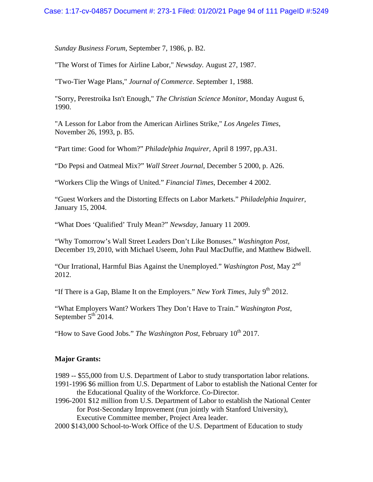*Sunday Business Forum*, September 7, 1986, p. B2.

"The Worst of Times for Airline Labor," *Newsday.* August 27, 1987.

"Two-Tier Wage Plans," *Journal of Commerce*. September 1, 1988.

"Sorry, Perestroika Isn't Enough," *The Christian Science Monitor*, Monday August 6, 1990.

"A Lesson for Labor from the American Airlines Strike," *Los Angeles Times*, November 26, 1993, p. B5.

"Part time: Good for Whom?" *Philadelphia Inquirer*, April 8 1997, pp.A31.

"Do Pepsi and Oatmeal Mix?" *Wall Street Journal*, December 5 2000, p. A26.

"Workers Clip the Wings of United." *Financial Times*, December 4 2002.

"Guest Workers and the Distorting Effects on Labor Markets." *Philadelphia Inquirer*, January 15, 2004.

"What Does 'Qualified' Truly Mean?" *Newsday*, January 11 2009.

"Why Tomorrow's Wall Street Leaders Don't Like Bonuses." *Washington Post,* December 19, 2010, with Michael Useem, John Paul MacDuffie, and Matthew Bidwell.

"Our Irrational, Harmful Bias Against the Unemployed." *Washington Post*, May 2nd 2012.

"If There is a Gap, Blame It on the Employers." *New York Times*, July  $9<sup>th</sup> 2012$ .

"What Employers Want? Workers They Don't Have to Train." *Washington Post*, September  $5<sup>th</sup>$  2014.

"How to Save Good Jobs." *The Washington Post*, February  $10^{th}$  2017.

### **Major Grants:**

1989 -- \$55,000 from U.S. Department of Labor to study transportation labor relations.

- 1991-1996 \$6 million from U.S. Department of Labor to establish the National Center for the Educational Quality of the Workforce. Co-Director.
- 1996-2001 \$12 million from U.S. Department of Labor to establish the National Center for Post-Secondary Improvement (run jointly with Stanford University), Executive Committee member, Project Area leader.
- 2000 \$143,000 School-to-Work Office of the U.S. Department of Education to study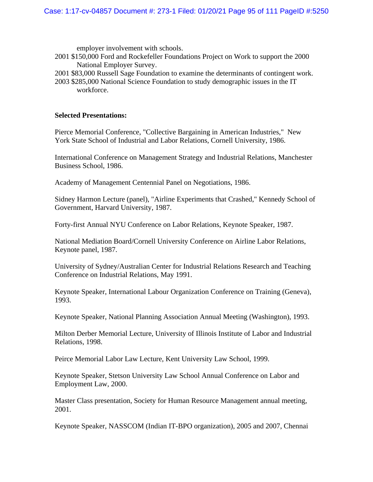employer involvement with schools.

- 2001 \$150,000 Ford and Rockefeller Foundations Project on Work to support the 2000 National Employer Survey.
- 2001 \$83,000 Russell Sage Foundation to examine the determinants of contingent work.
- 2003 \$285,000 National Science Foundation to study demographic issues in the IT workforce.

#### **Selected Presentations:**

Pierce Memorial Conference, "Collective Bargaining in American Industries," New York State School of Industrial and Labor Relations, Cornell University, 1986.

International Conference on Management Strategy and Industrial Relations, Manchester Business School, 1986.

Academy of Management Centennial Panel on Negotiations, 1986.

Sidney Harmon Lecture (panel), "Airline Experiments that Crashed," Kennedy School of Government, Harvard University, 1987.

Forty-first Annual NYU Conference on Labor Relations, Keynote Speaker, 1987.

National Mediation Board/Cornell University Conference on Airline Labor Relations, Keynote panel, 1987.

University of Sydney/Australian Center for Industrial Relations Research and Teaching Conference on Industrial Relations, May 1991.

Keynote Speaker, International Labour Organization Conference on Training (Geneva), 1993.

Keynote Speaker, National Planning Association Annual Meeting (Washington), 1993.

Milton Derber Memorial Lecture, University of Illinois Institute of Labor and Industrial Relations, 1998.

Peirce Memorial Labor Law Lecture, Kent University Law School, 1999.

Keynote Speaker, Stetson University Law School Annual Conference on Labor and Employment Law, 2000.

Master Class presentation, Society for Human Resource Management annual meeting, 2001.

Keynote Speaker, NASSCOM (Indian IT-BPO organization), 2005 and 2007, Chennai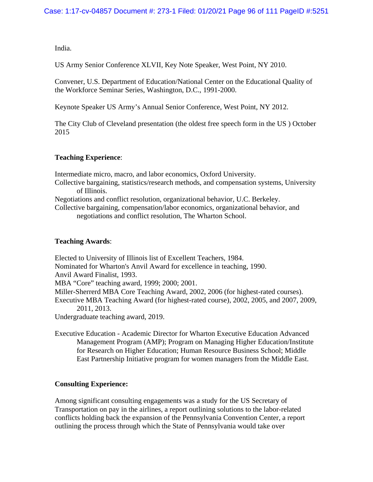India.

US Army Senior Conference XLVII, Key Note Speaker, West Point, NY 2010.

Convener, U.S. Department of Education/National Center on the Educational Quality of the Workforce Seminar Series, Washington, D.C., 1991-2000.

Keynote Speaker US Army's Annual Senior Conference, West Point, NY 2012.

The City Club of Cleveland presentation (the oldest free speech form in the US ) October 2015

# **Teaching Experience**:

Intermediate micro, macro, and labor economics, Oxford University. Collective bargaining, statistics/research methods, and compensation systems, University of Illinois. Negotiations and conflict resolution, organizational behavior, U.C. Berkeley. Collective bargaining, compensation/labor economics, organizational behavior, and negotiations and conflict resolution, The Wharton School.

## **Teaching Awards**:

Elected to University of Illinois list of Excellent Teachers, 1984. Nominated for Wharton's Anvil Award for excellence in teaching, 1990. Anvil Award Finalist, 1993. MBA "Core" teaching award, 1999; 2000; 2001. Miller-Sherrerd MBA Core Teaching Award, 2002, 2006 (for highest-rated courses). Executive MBA Teaching Award (for highest-rated course), 2002, 2005, and 2007, 2009, 2011, 2013. Undergraduate teaching award, 2019.

Executive Education - Academic Director for Wharton Executive Education Advanced Management Program (AMP); Program on Managing Higher Education/Institute for Research on Higher Education; Human Resource Business School; Middle East Partnership Initiative program for women managers from the Middle East.

# **Consulting Experience:**

Among significant consulting engagements was a study for the US Secretary of Transportation on pay in the airlines, a report outlining solutions to the labor-related conflicts holding back the expansion of the Pennsylvania Convention Center, a report outlining the process through which the State of Pennsylvania would take over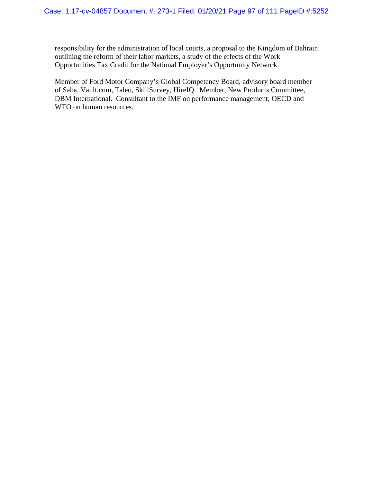responsibility for the administration of local courts, a proposal to the Kingdom of Bahrain outlining the reform of their labor markets, a study of the effects of the Work Opportunities Tax Credit for the National Employer's Opportunity Network.

Member of Ford Motor Company's Global Competency Board, advisory board member of Saba, Vault.com, Taleo, SkillSurvey, HireIQ. Member, New Products Committee, DBM International. Consultant to the IMF on performance management, OECD and WTO on human resources.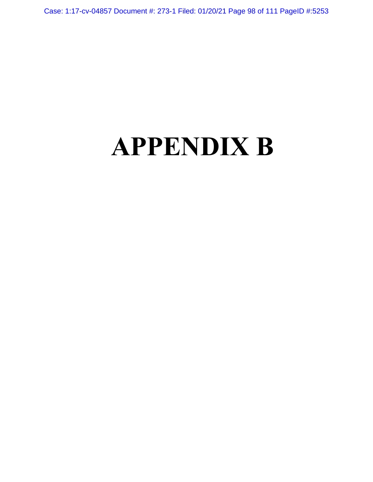Case: 1:17-cv-04857 Document #: 273-1 Filed: 01/20/21 Page 98 of 111 PageID #:5253

# **APPENDIX B**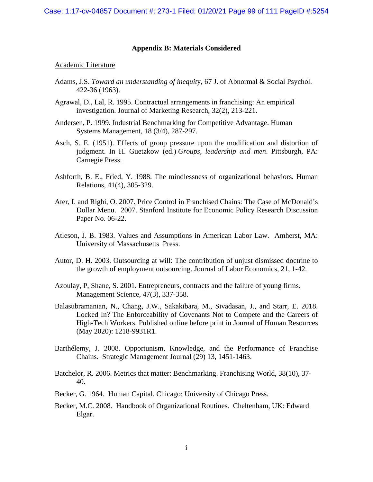### **Appendix B: Materials Considered**

#### Academic Literature

- Adams, J.S. *Toward an understanding of inequit*y, 67 J. of Abnormal & Social Psychol. 422-36 (1963).
- Agrawal, D., Lal, R. 1995. Contractual arrangements in franchising: An empirical investigation. Journal of Marketing Research, 32(2), 213-221.
- Andersen, P. 1999. Industrial Benchmarking for Competitive Advantage. Human Systems Management, 18 (3/4), 287-297.
- Asch, S. E. (1951). Effects of group pressure upon the modification and distortion of judgment. In H. Guetzkow (ed.) *Groups, leadership and men*. Pittsburgh, PA: Carnegie Press.
- Ashforth, B. E., Fried, Y. 1988. The mindlessness of organizational behaviors. Human Relations, 41(4), 305-329.
- Ater, I. and Rigbi, O. 2007. Price Control in Franchised Chains: The Case of McDonald's Dollar Menu. 2007. Stanford Institute for Economic Policy Research Discussion Paper No. 06-22.
- Atleson, J. B. 1983. Values and Assumptions in American Labor Law. Amherst, MA: University of Massachusetts Press.
- Autor, D. H. 2003. Outsourcing at will: The contribution of unjust dismissed doctrine to the growth of employment outsourcing. Journal of Labor Economics, 21, 1-42.
- Azoulay, P, Shane, S. 2001. Entrepreneurs, contracts and the failure of young firms. Management Science, 47(3), 337-358.
- Balasubramanian, N., Chang, J.W., Sakakibara, M., Sivadasan, J., and Starr, E. 2018. Locked In? The Enforceability of Covenants Not to Compete and the Careers of High-Tech Workers. Published online before print in Journal of Human Resources (May 2020): 1218-9931R1.
- Barthélemy, J. 2008. Opportunism, Knowledge, and the Performance of Franchise Chains. Strategic Management Journal (29) 13, 1451-1463.
- Batchelor, R. 2006. Metrics that matter: Benchmarking. Franchising World, 38(10), 37- 40.
- Becker, G. 1964. Human Capital. Chicago: University of Chicago Press.
- Becker, M.C. 2008. Handbook of Organizational Routines. Cheltenham, UK: Edward Elgar.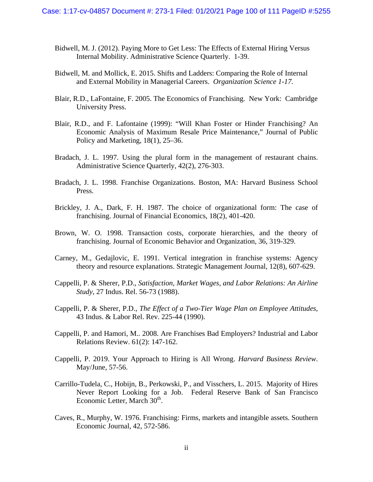- Bidwell, M. J. (2012). Paying More to Get Less: The Effects of External Hiring Versus Internal Mobility. Administrative Science Quarterly. 1-39.
- Bidwell, M. and Mollick, E. 2015. Shifts and Ladders: Comparing the Role of Internal and External Mobility in Managerial Careers. *Organization Science 1-17.*
- Blair, R.D., LaFontaine, F. 2005. The Economics of Franchising. New York: Cambridge University Press.
- Blair, R.D., and F. Lafontaine (1999): "Will Khan Foster or Hinder Franchising? An Economic Analysis of Maximum Resale Price Maintenance," Journal of Public Policy and Marketing, 18(1), 25–36.
- Bradach, J. L. 1997. Using the plural form in the management of restaurant chains. Administrative Science Quarterly, 42(2), 276-303.
- Bradach, J. L. 1998. Franchise Organizations. Boston, MA: Harvard Business School Press.
- Brickley, J. A., Dark, F. H. 1987. The choice of organizational form: The case of franchising. Journal of Financial Economics, 18(2), 401-420.
- Brown, W. O. 1998. Transaction costs, corporate hierarchies, and the theory of franchising. Journal of Economic Behavior and Organization, 36, 319-329.
- Carney, M., Gedajlovic, E. 1991. Vertical integration in franchise systems: Agency theory and resource explanations. Strategic Management Journal, 12(8), 607-629.
- Cappelli, P. & Sherer, P.D., *Satisfaction, Market Wages, and Labor Relations: An Airline Study*, 27 Indus. Rel. 56-73 (1988).
- Cappelli, P. & Sherer, P.D., *The Effect of a Two-Tier Wage Plan on Employee Attitudes*, 43 Indus. & Labor Rel. Rev. 225-44 (1990).
- Cappelli, P. and Hamori, M.. 2008. Are Franchises Bad Employers? Industrial and Labor Relations Review. 61(2): 147-162.
- Cappelli, P. 2019. Your Approach to Hiring is All Wrong. *Harvard Business Review*. May/June, 57-56.
- Carrillo-Tudela, C., Hobijn, B., Perkowski, P., and Visschers, L. 2015. Majority of Hires Never Report Looking for a Job. Federal Reserve Bank of San Francisco Economic Letter, March  $30<sup>th</sup>$ .
- Caves, R., Murphy, W. 1976. Franchising: Firms, markets and intangible assets. Southern Economic Journal, 42, 572-586.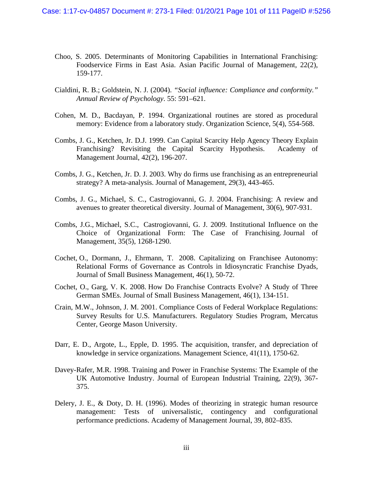- Choo, S. 2005. Determinants of Monitoring Capabilities in International Franchising: Foodservice Firms in East Asia. Asian Pacific Journal of Management, 22(2), 159-177.
- Cialdini, R. B.; Goldstein, N. J. (2004). *"Social influence: Compliance and conformity." Annual Review of Psychology*. 55: 591–621.
- Cohen, M. D., Bacdayan, P. 1994. Organizational routines are stored as procedural memory: Evidence from a laboratory study. Organization Science, 5(4), 554-568.
- Combs, J. G., Ketchen, Jr. D.J. 1999. Can Capital Scarcity Help Agency Theory Explain Franchising? Revisiting the Capital Scarcity Hypothesis. Academy of Management Journal, 42(2), 196-207.
- Combs, J. G., Ketchen, Jr. D. J. 2003. Why do firms use franchising as an entrepreneurial strategy? A meta-analysis. Journal of Management, 29(3), 443-465.
- Combs, J. G., Michael, S. C., Castrogiovanni, G. J. 2004. Franchising: A review and avenues to greater theoretical diversity. Journal of Management, 30(6), 907-931.
- Combs, J.G., Michael, S.C., Castrogiovanni, G. J. 2009. Institutional Influence on the Choice of Organizational Form: The Case of Franchising. Journal of Management, 35(5), 1268-1290.
- Cochet, O., Dormann, J., Ehrmann, T. 2008. Capitalizing on Franchisee Autonomy: Relational Forms of Governance as Controls in Idiosyncratic Franchise Dyads, Journal of Small Business Management, 46(1), 50-72.
- Cochet, O., Garg, V. K. 2008. How Do Franchise Contracts Evolve? A Study of Three German SMEs. Journal of Small Business Management, 46(1), 134-151.
- Crain, M.W., Johnson, J. M. 2001. Compliance Costs of Federal Workplace Regulations: Survey Results for U.S. Manufacturers. Regulatory Studies Program, Mercatus Center, George Mason University.
- Darr, E. D., Argote, L., Epple, D. 1995. The acquisition, transfer, and depreciation of knowledge in service organizations. Management Science, 41(11), 1750-62.
- Davey-Rafer, M.R. 1998. Training and Power in Franchise Systems: The Example of the UK Automotive Industry. Journal of European Industrial Training, 22(9), 367- 375.
- Delery, J. E., & Doty, D. H. (1996). Modes of theorizing in strategic human resource management: Tests of universalistic, contingency and configurational performance predictions. Academy of Management Journal, 39, 802–835.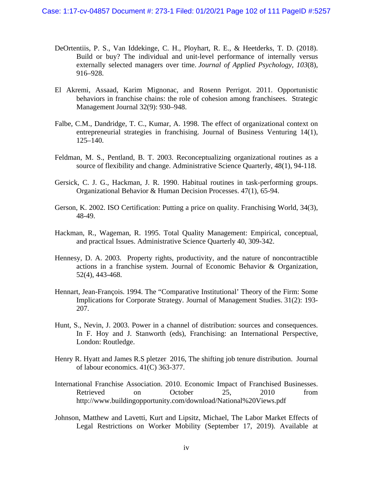- DeOrtentiis, P. S., Van Iddekinge, C. H., Ployhart, R. E., & Heetderks, T. D. (2018). Build or buy? The individual and unit-level performance of internally versus externally selected managers over time. *Journal of Applied Psychology, 103*(8), 916–928.
- El Akremi, Assaad, Karim Mignonac, and Rosenn Perrigot. 2011. Opportunistic behaviors in franchise chains: the role of cohesion among franchisees. Strategic Management Journal 32(9): 930–948.
- Falbe, C.M., Dandridge, T. C., Kumar, A. 1998. The effect of organizational context on entrepreneurial strategies in franchising. Journal of Business Venturing 14(1), 125–140.
- Feldman, M. S., Pentland, B. T. 2003. Reconceptualizing organizational routines as a source of flexibility and change. Administrative Science Quarterly, 48(1), 94-118.
- Gersick, C. J. G., Hackman, J. R. 1990. Habitual routines in task-performing groups. Organizational Behavior & Human Decision Processes. 47(1), 65-94.
- Gerson, K. 2002. ISO Certification: Putting a price on quality. Franchising World, 34(3), 48-49.
- Hackman, R., Wageman, R. 1995. Total Quality Management: Empirical, conceptual, and practical Issues. Administrative Science Quarterly 40, 309-342.
- Hennesy, D. A. 2003. Property rights, productivity, and the nature of noncontractible actions in a franchise system. Journal of Economic Behavior & Organization, 52(4), 443-468.
- Hennart, Jean-François. 1994. The "Comparative Institutional' Theory of the Firm: Some Implications for Corporate Strategy. Journal of Management Studies. 31(2): 193- 207.
- Hunt, S., Nevin, J. 2003. Power in a channel of distribution: sources and consequences. In F. Hoy and J. Stanworth (eds), Franchising: an International Perspective, London: Routledge.
- Henry R. Hyatt and James R.S pletzer 2016, The shifting job tenure distribution. Journal of labour economics. 41(C) 363-377.
- International Franchise Association. 2010. Economic Impact of Franchised Businesses. Retrieved on October 25, 2010 from http://www.buildingopportunity.com/download/National%20Views.pdf
- Johnson, Matthew and Lavetti, Kurt and Lipsitz, Michael, The Labor Market Effects of Legal Restrictions on Worker Mobility (September 17, 2019). Available at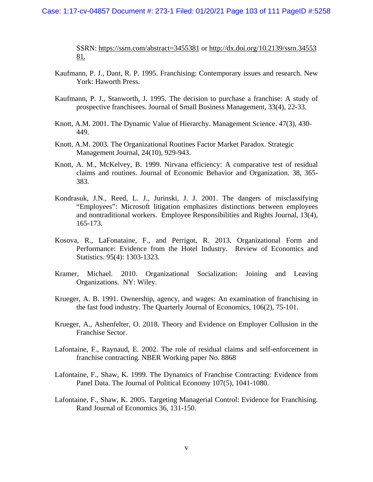#### Case: 1:17-cv-04857 Document #: 273-1 Filed: 01/20/21 Page 103 of 111 PageID #:5258

SSRN: https://ssrn.com/abstract=3455381 or http://dx.doi.org/10.2139/ssrn.34553 81.

- Kaufmann, P. J., Dant, R. P. 1995. Franchising: Contemporary issues and research. New York: Haworth Press.
- Kaufmann, P. J., Stanworth, J. 1995. The decision to purchase a franchise: A study of prospective franchisees. Journal of Small Business Management, 33(4), 22-33.
- Knott, A.M. 2001. The Dynamic Value of Hierarchy. Management Science. 47(3), 430- 449.
- Knott, A.M. 2003. The Organizational Routines Factor Market Paradox. Strategic Management Journal, 24(10), 929-943.
- Knott, A. M., McKelvey, B. 1999. Nirvana efficiency: A comparative test of residual claims and routines. Journal of Economic Behavior and Organization. 38, 365- 383.
- Kondrasuk, J.N., Reed, L. J., Jurinski, J. J. 2001. The dangers of misclassifying "Employees": Microsoft litigation emphasizes distinctions between employees and nontraditional workers. Employee Responsibilities and Rights Journal, 13(4), 165-173.
- Kosova, R., LaFonataine, F., and Perrigot, R. 2013. Organizational Form and Performance: Evidence from the Hotel Industry. Review of Economics and Statistics. 95(4): 1303-1323.
- Kramer, Michael. 2010. Organizational Socialization: Joining and Leaving Organizations. NY: Wiley.
- Krueger, A. B. 1991. Ownership, agency, and wages: An examination of franchising in the fast food industry. The Quarterly Journal of Economics, 106(2), 75-101.
- Krueger, A., Ashenfelter, O. 2018. Theory and Evidence on Employer Collusion in the Franchise Sector.
- Lafontaine, F., Raynaud, E. 2002. The role of residual claims and self-enforcement in franchise contracting. NBER Working paper No. 8868
- Lafontaine, F., Shaw, K. 1999. The Dynamics of Franchise Contracting: Evidence from Panel Data. The Journal of Political Economy 107(5), 1041-1080.
- Lafontaine, F., Shaw, K. 2005. Targeting Managerial Control: Evidence for Franchising. Rand Journal of Economics 36, 131-150.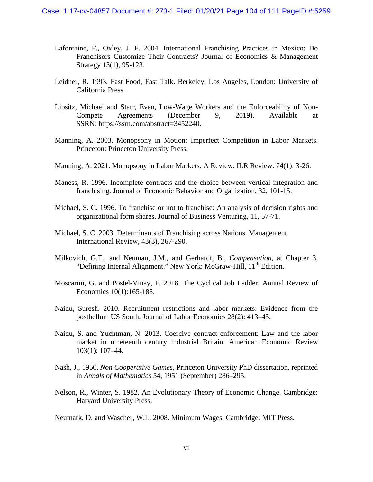- Lafontaine, F., Oxley, J. F. 2004. International Franchising Practices in Mexico: Do Franchisors Customize Their Contracts? Journal of Economics & Management Strategy 13(1), 95-123.
- Leidner, R. 1993. Fast Food, Fast Talk. Berkeley, Los Angeles, London: University of California Press.
- Lipsitz, Michael and Starr, Evan, Low-Wage Workers and the Enforceability of Non-Compete Agreements (December 9, 2019). Available at SSRN: https://ssrn.com/abstract=3452240.
- Manning, A. 2003. Monopsony in Motion: Imperfect Competition in Labor Markets. Princeton: Princeton University Press.
- Manning, A. 2021. Monopsony in Labor Markets: A Review. ILR Review. 74(1): 3-26.
- Maness, R. 1996. Incomplete contracts and the choice between vertical integration and franchising. Journal of Economic Behavior and Organization, 32, 101-15.
- Michael, S. C. 1996. To franchise or not to franchise: An analysis of decision rights and organizational form shares. Journal of Business Venturing, 11, 57-71.
- Michael, S. C. 2003. Determinants of Franchising across Nations. Management International Review, 43(3), 267-290.
- Milkovich, G.T., and Neuman, J.M., and Gerhardt, B., *Compensation*, at Chapter 3, "Defining Internal Alignment." New York: McGraw-Hill, 11<sup>th</sup> Edition.
- Moscarini, G. and Postel-Vinay, F. 2018. The Cyclical Job Ladder. Annual Review of Economics 10(1):165-188.
- Naidu, Suresh. 2010. Recruitment restrictions and labor markets: Evidence from the postbellum US South. Journal of Labor Economics 28(2): 413–45.
- Naidu, S. and Yuchtman, N. 2013. Coercive contract enforcement: Law and the labor market in nineteenth century industrial Britain. American Economic Review 103(1): 107–44.
- Nash, J., 1950, *Non Cooperative Games*, Princeton University PhD dissertation, reprinted in *Annals of Mathematics* 54, 1951 (September) 286–295.
- Nelson, R., Winter, S. 1982. An Evolutionary Theory of Economic Change. Cambridge: Harvard University Press.

Neumark, D. and Wascher, W.L. 2008. Minimum Wages, Cambridge: MIT Press.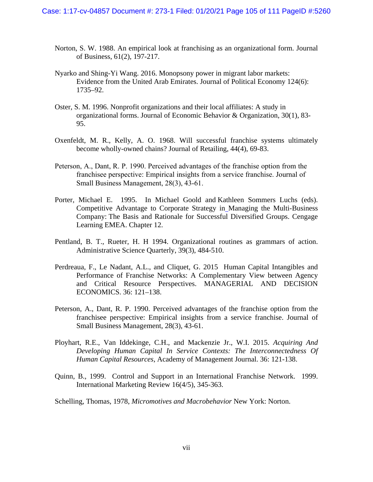- Norton, S. W. 1988. An empirical look at franchising as an organizational form. Journal of Business, 61(2), 197-217.
- Nyarko and Shing-Yi Wang. 2016. Monopsony power in migrant labor markets: Evidence from the United Arab Emirates. Journal of Political Economy 124(6): 1735–92.
- Oster, S. M. 1996. Nonprofit organizations and their local affiliates: A study in organizational forms. Journal of Economic Behavior & Organization, 30(1), 83- 95.
- Oxenfeldt, M. R., Kelly, A. O. 1968. Will successful franchise systems ultimately become wholly-owned chains? Journal of Retailing, 44(4), 69-83.
- Peterson, A., Dant, R. P. 1990. Perceived advantages of the franchise option from the franchisee perspective: Empirical insights from a service franchise. Journal of Small Business Management, 28(3), 43-61.
- Porter, Michael E. 1995. In Michael Goold and Kathleen Sommers Luchs (eds). Competitive Advantage to Corporate Strategy in Managing the Multi-Business Company: The Basis and Rationale for Successful Diversified Groups. Cengage Learning EMEA. Chapter 12.
- Pentland, B. T., Rueter, H. H 1994. Organizational routines as grammars of action. Administrative Science Quarterly, 39(3), 484-510.
- Perdreaua, F., Le Nadant, A.L., and Cliquet, G. 2015 Human Capital Intangibles and Performance of Franchise Networks: A Complementary View between Agency and Critical Resource Perspectives. MANAGERIAL AND DECISION ECONOMICS. 36: 121–138.
- Peterson, A., Dant, R. P. 1990. Perceived advantages of the franchise option from the franchisee perspective: Empirical insights from a service franchise. Journal of Small Business Management, 28(3), 43-61.
- Ployhart, R.E., Van Iddekinge, C.H., and Mackenzie Jr., W.I. 2015. *Acquiring And Developing Human Capital In Service Contexts: The Interconnectedness Of Human Capital Resources*, Academy of Management Journal. 36: 121-138.
- Quinn, B., 1999. Control and Support in an International Franchise Network. 1999. International Marketing Review 16(4/5), 345-363.
- Schelling, Thomas, 1978, *Micromotives and Macrobehavior* New York: Norton.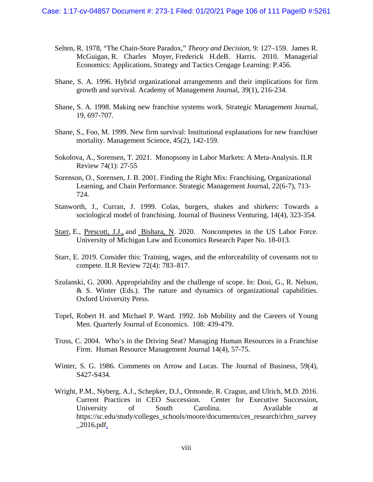- Selten, R. 1978, "The Chain-Store Paradox," *Theory and Decision*, 9: 127–159. James R. McGuigan, R. Charles Moyer, Frederick H.deB. Harris. 2010. Managerial Economics: Applications, Strategy and Tactics Cengage Learning: P.456.
- Shane, S. A. 1996. Hybrid organizational arrangements and their implications for firm growth and survival. Academy of Management Journal, 39(1), 216-234.
- Shane, S. A. 1998. Making new franchise systems work. Strategic Management Journal, 19, 697-707.
- Shane, S., Foo, M. 1999. New firm survival: Institutional explanations for new franchiser mortality. Management Science, 45(2), 142-159.
- Sokolova, A., Sorensen, T. 2021. Monopsony in Labor Markets: A Meta-Analysis. ILR Review 74(1): 27-55
- Sorenson, O., Sorensen, J. B. 2001. Finding the Right Mix: Franchising, Organizational Learning, and Chain Performance. Strategic Management Journal, 22(6-7), 713- 724.
- Stanworth, J., Curran, J. 1999. Colas, burgers, shakes and shirkers: Towards a sociological model of franchising. Journal of Business Venturing, 14(4), 323-354.
- Starr, E., Prescott, J.J., and Bishara, N. 2020. Noncompetes in the US Labor Force. University of Michigan Law and Economics Research Paper No. 18-013.
- Starr, E. 2019. Consider this: Training, wages, and the enforceability of covenants not to compete. ILR Review 72(4): 783–817.
- Szulanski, G. 2000. Appropriability and the challenge of scope. In: Dosi, G., R. Nelson, & S. Winter (Eds.). The nature and dynamics of organizational capabilities. Oxford University Press.
- Topel, Robert H. and Michael P. Ward. 1992. Job Mobility and the Careers of Young Men. Quarterly Journal of Economics. 108: 439-479.
- Truss, C. 2004. Who's in the Driving Seat? Managing Human Resources in a Franchise Firm. Human Resource Management Journal 14(4), 57-75.
- Winter, S. G. 1986. Comments on Arrow and Lucas. The Journal of Business, 59(4), S427-S434.
- Wright, P.M., Nyberg, A.J., Schepker, D.J., Ormonde, R. Cragun, and Ulrich, M.D. 2016. Current Practices in CEO Succession. Center for Executive Succession, University of South Carolina. Available at https://sc.edu/study/colleges\_schools/moore/documents/ces\_research/chro\_survey  $\_2016.pdf.$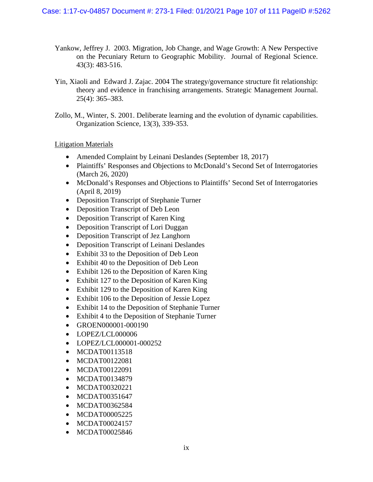- Yankow, Jeffrey J. 2003. Migration, Job Change, and Wage Growth: A New Perspective on the Pecuniary Return to Geographic Mobility. Journal of Regional Science. 43(3): 483-516.
- Yin, Xiaoli and Edward J. Zajac. 2004 The strategy/governance structure fit relationship: theory and evidence in franchising arrangements. Strategic Management Journal. 25(4): 365–383.
- Zollo, M., Winter, S. 2001. Deliberate learning and the evolution of dynamic capabilities. Organization Science, 13(3), 339-353.

Litigation Materials

- Amended Complaint by Leinani Deslandes (September 18, 2017)
- Plaintiffs' Responses and Objections to McDonald's Second Set of Interrogatories (March 26, 2020)
- McDonald's Responses and Objections to Plaintiffs' Second Set of Interrogatories (April 8, 2019)
- Deposition Transcript of Stephanie Turner
- Deposition Transcript of Deb Leon
- Deposition Transcript of Karen King
- Deposition Transcript of Lori Duggan
- Deposition Transcript of Jez Langhorn
- Deposition Transcript of Leinani Deslandes
- Exhibit 33 to the Deposition of Deb Leon
- Exhibit 40 to the Deposition of Deb Leon
- Exhibit 126 to the Deposition of Karen King
- Exhibit 127 to the Deposition of Karen King
- Exhibit 129 to the Deposition of Karen King
- Exhibit 106 to the Deposition of Jessie Lopez
- Exhibit 14 to the Deposition of Stephanie Turner
- Exhibit 4 to the Deposition of Stephanie Turner
- GROEN000001-000190
- LOPEZ/LCL000006
- LOPEZ/LCL000001-000252
- MCDAT00113518
- MCDAT00122081
- MCDAT00122091
- MCDAT00134879
- MCDAT00320221
- MCDAT00351647
- MCDAT00362584
- MCDAT00005225
- MCDAT00024157
- MCDAT00025846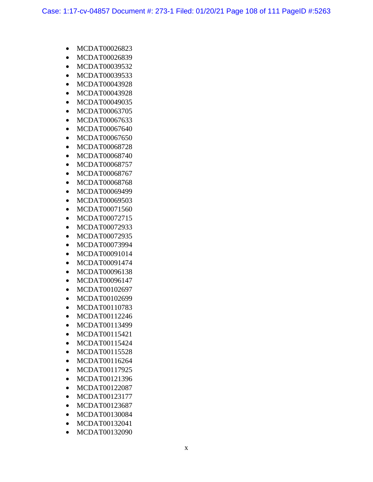- MCDAT00026823
- MCDAT00026839
- MCDAT00039532
- MCDAT00039533
- MCDAT00043928
- MCDAT00043928
- MCDAT00049035
- MCDAT00063705
- MCDAT00067633
- MCDAT00067640
- MCDAT00067650
- MCDAT00068728
- MCDAT00068740
- MCDAT00068757
- MCDAT00068767
- MCDAT00068768
- MCDAT00069499
- MCDAT00069503
- MCDAT00071560
- MCDAT00072715
- MCDAT00072933
- MCDAT00072935
- MCDAT00073994
- MCDAT00091014
- MCDAT00091474
- MCDAT00096138
- MCDAT00096147
- MCDAT00102697
- MCDAT00102699
- MCDAT00110783
- MCDAT00112246
- MCDAT00113499
- MCDAT00115421
- MCDAT00115424
- MCDAT00115528
- MCDAT00116264
- MCDAT00117925
- MCDAT00121396
- MCDAT00122087
- MCDAT00123177
- MCDAT00123687
- MCDAT00130084
- MCDAT00132041
- MCDAT00132090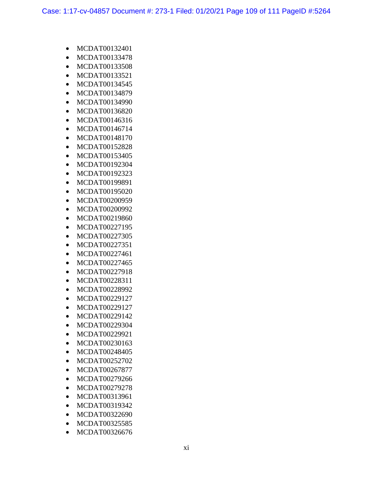- MCDAT00132401
- MCDAT00133478
- MCDAT00133508
- MCDAT00133521
- MCDAT00134545
- MCDAT00134879
- MCDAT00134990
- MCDAT00136820
- MCDAT00146316
- MCDAT00146714
- MCDAT00148170
- MCDAT00152828
- MCDAT00153405
- MCDAT00192304
- MCDAT00192323
- MCDAT00199891
- MCDAT00195020
- MCDAT00200959
- MCDAT00200992
- MCDAT00219860
- MCDAT00227195
- MCDAT00227305
- MCDAT00227351
- MCDAT00227461
- MCDAT00227465
- MCDAT00227918
- MCDAT00228311
- MCDAT00228992
- MCDAT00229127
- MCDAT00229127
- MCDAT00229142
- MCDAT00229304
- MCDAT00229921
- MCDAT00230163
- MCDAT00248405
- MCDAT00252702
- MCDAT00267877
- MCDAT00279266
- MCDAT00279278
- MCDAT00313961
- MCDAT00319342
- MCDAT00322690
- MCDAT00325585
- MCDAT00326676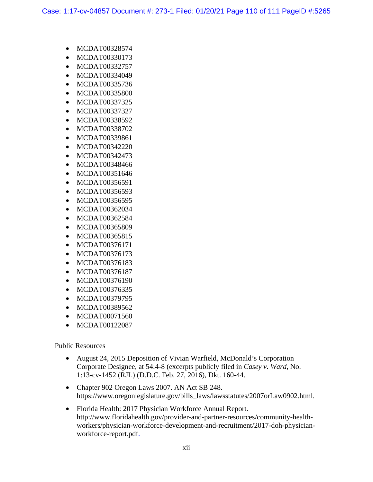- MCDAT00328574
- MCDAT00330173
- MCDAT00332757
- MCDAT00334049
- MCDAT00335736
- MCDAT00335800
- MCDAT00337325
- MCDAT00337327
- MCDAT00338592
- MCDAT00338702
- MCDAT00339861
- MCDAT00342220
- MCDAT00342473
- MCDAT00348466
- MCDAT00351646
- MCDAT00356591
- MCDAT00356593
- MCDAT00356595
- MCDAT00362034
- MCDAT00362584
- MCDAT00365809
- MCDAT00365815
- MCDAT00376171
- MCDAT00376173
- MCDAT00376183
- MCDAT00376187
- MCDAT00376190
- MCDAT00376335
- MCDAT00379795
- MCDAT00389562
- MCDAT00071560
- MCDAT00122087

## Public Resources

- August 24, 2015 Deposition of Vivian Warfield, McDonald's Corporation Corporate Designee, at 54:4-8 (excerpts publicly filed in *Casey v. Ward*, No. 1:13-cv-1452 (RJL) (D.D.C. Feb. 27, 2016), Dkt. 160-44.
- Chapter 902 Oregon Laws 2007. AN Act SB 248. https://www.oregonlegislature.gov/bills\_laws/lawsstatutes/2007orLaw0902.html.
- Florida Health: 2017 Physician Workforce Annual Report. http://www.floridahealth.gov/provider-and-partner-resources/community-healthworkers/physician-workforce-development-and-recruitment/2017-doh-physicianworkforce-report.pdf.